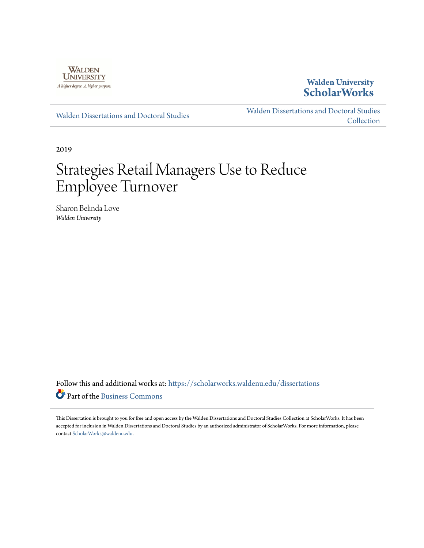

# **Walden University [ScholarWorks](https://scholarworks.waldenu.edu?utm_source=scholarworks.waldenu.edu%2Fdissertations%2F7162&utm_medium=PDF&utm_campaign=PDFCoverPages)**

[Walden Dissertations and Doctoral Studies](https://scholarworks.waldenu.edu/dissertations?utm_source=scholarworks.waldenu.edu%2Fdissertations%2F7162&utm_medium=PDF&utm_campaign=PDFCoverPages)

[Walden Dissertations and Doctoral Studies](https://scholarworks.waldenu.edu/dissanddoc?utm_source=scholarworks.waldenu.edu%2Fdissertations%2F7162&utm_medium=PDF&utm_campaign=PDFCoverPages) [Collection](https://scholarworks.waldenu.edu/dissanddoc?utm_source=scholarworks.waldenu.edu%2Fdissertations%2F7162&utm_medium=PDF&utm_campaign=PDFCoverPages)

2019

# Strategies Retail Managers Use to Reduce Employee Turnover

Sharon Belinda Love *Walden University*

Follow this and additional works at: [https://scholarworks.waldenu.edu/dissertations](https://scholarworks.waldenu.edu/dissertations?utm_source=scholarworks.waldenu.edu%2Fdissertations%2F7162&utm_medium=PDF&utm_campaign=PDFCoverPages) Part of the [Business Commons](http://network.bepress.com/hgg/discipline/622?utm_source=scholarworks.waldenu.edu%2Fdissertations%2F7162&utm_medium=PDF&utm_campaign=PDFCoverPages)

This Dissertation is brought to you for free and open access by the Walden Dissertations and Doctoral Studies Collection at ScholarWorks. It has been accepted for inclusion in Walden Dissertations and Doctoral Studies by an authorized administrator of ScholarWorks. For more information, please contact [ScholarWorks@waldenu.edu](mailto:ScholarWorks@waldenu.edu).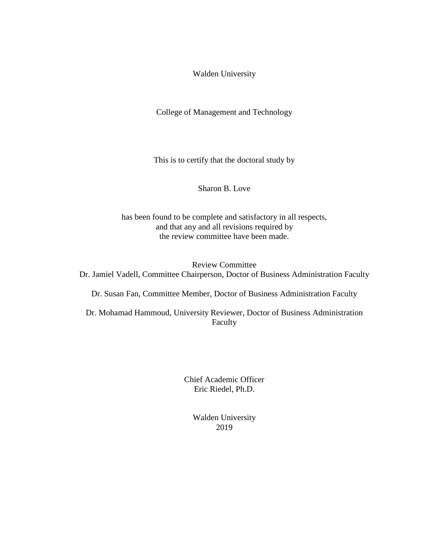Walden University

College of Management and Technology

This is to certify that the doctoral study by

Sharon B. Love

has been found to be complete and satisfactory in all respects, and that any and all revisions required by the review committee have been made.

Review Committee Dr. Jamiel Vadell, Committee Chairperson, Doctor of Business Administration Faculty

Dr. Susan Fan, Committee Member, Doctor of Business Administration Faculty

Dr. Mohamad Hammoud, University Reviewer, Doctor of Business Administration Faculty

> Chief Academic Officer Eric Riedel, Ph.D.

> > Walden University 2019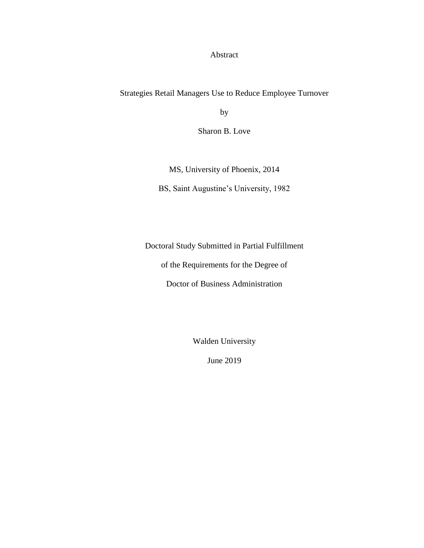Abstract

Strategies Retail Managers Use to Reduce Employee Turnover

by

Sharon B. Love

MS, University of Phoenix, 2014 BS, Saint Augustine's University, 1982

Doctoral Study Submitted in Partial Fulfillment

of the Requirements for the Degree of

Doctor of Business Administration

Walden University

June 2019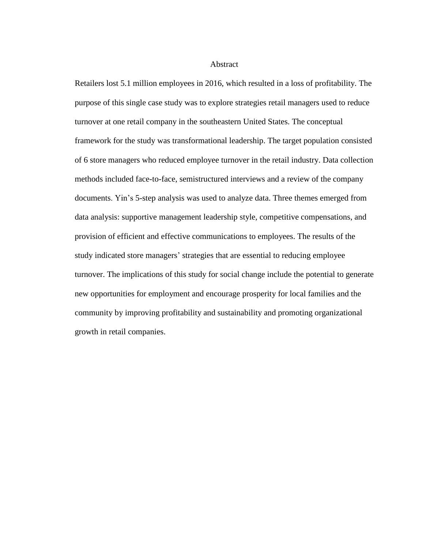#### Abstract

Retailers lost 5.1 million employees in 2016, which resulted in a loss of profitability. The purpose of this single case study was to explore strategies retail managers used to reduce turnover at one retail company in the southeastern United States. The conceptual framework for the study was transformational leadership. The target population consisted of 6 store managers who reduced employee turnover in the retail industry. Data collection methods included face-to-face, semistructured interviews and a review of the company documents. Yin's 5-step analysis was used to analyze data. Three themes emerged from data analysis: supportive management leadership style, competitive compensations, and provision of efficient and effective communications to employees. The results of the study indicated store managers' strategies that are essential to reducing employee turnover. The implications of this study for social change include the potential to generate new opportunities for employment and encourage prosperity for local families and the community by improving profitability and sustainability and promoting organizational growth in retail companies.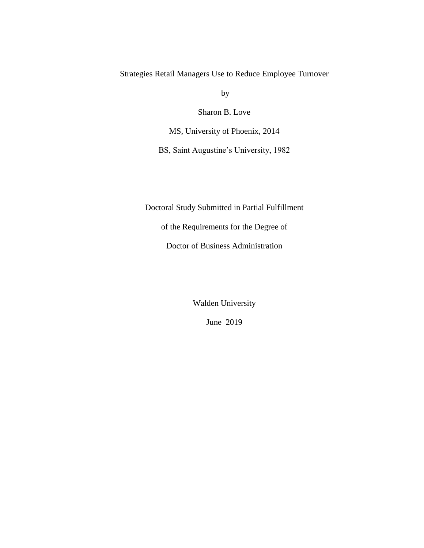Strategies Retail Managers Use to Reduce Employee Turnover

by

Sharon B. Love

MS, University of Phoenix, 2014

BS, Saint Augustine's University, 1982

Doctoral Study Submitted in Partial Fulfillment

of the Requirements for the Degree of

Doctor of Business Administration

Walden University

June 2019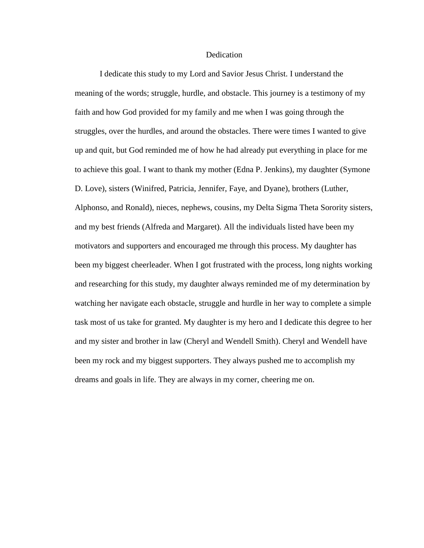### Dedication

I dedicate this study to my Lord and Savior Jesus Christ. I understand the meaning of the words; struggle, hurdle, and obstacle. This journey is a testimony of my faith and how God provided for my family and me when I was going through the struggles, over the hurdles, and around the obstacles. There were times I wanted to give up and quit, but God reminded me of how he had already put everything in place for me to achieve this goal. I want to thank my mother (Edna P. Jenkins), my daughter (Symone D. Love), sisters (Winifred, Patricia, Jennifer, Faye, and Dyane), brothers (Luther, Alphonso, and Ronald), nieces, nephews, cousins, my Delta Sigma Theta Sorority sisters, and my best friends (Alfreda and Margaret). All the individuals listed have been my motivators and supporters and encouraged me through this process. My daughter has been my biggest cheerleader. When I got frustrated with the process, long nights working and researching for this study, my daughter always reminded me of my determination by watching her navigate each obstacle, struggle and hurdle in her way to complete a simple task most of us take for granted. My daughter is my hero and I dedicate this degree to her and my sister and brother in law (Cheryl and Wendell Smith). Cheryl and Wendell have been my rock and my biggest supporters. They always pushed me to accomplish my dreams and goals in life. They are always in my corner, cheering me on.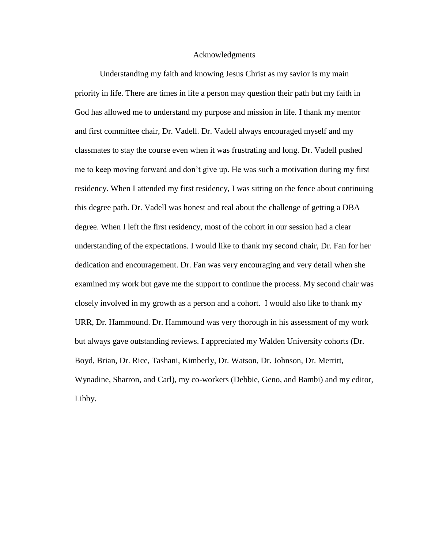#### Acknowledgments

Understanding my faith and knowing Jesus Christ as my savior is my main priority in life. There are times in life a person may question their path but my faith in God has allowed me to understand my purpose and mission in life. I thank my mentor and first committee chair, Dr. Vadell. Dr. Vadell always encouraged myself and my classmates to stay the course even when it was frustrating and long. Dr. Vadell pushed me to keep moving forward and don't give up. He was such a motivation during my first residency. When I attended my first residency, I was sitting on the fence about continuing this degree path. Dr. Vadell was honest and real about the challenge of getting a DBA degree. When I left the first residency, most of the cohort in our session had a clear understanding of the expectations. I would like to thank my second chair, Dr. Fan for her dedication and encouragement. Dr. Fan was very encouraging and very detail when she examined my work but gave me the support to continue the process. My second chair was closely involved in my growth as a person and a cohort. I would also like to thank my URR, Dr. Hammound. Dr. Hammound was very thorough in his assessment of my work but always gave outstanding reviews. I appreciated my Walden University cohorts (Dr. Boyd, Brian, Dr. Rice, Tashani, Kimberly, Dr. Watson, Dr. Johnson, Dr. Merritt, Wynadine, Sharron, and Carl), my co-workers (Debbie, Geno, and Bambi) and my editor, Libby.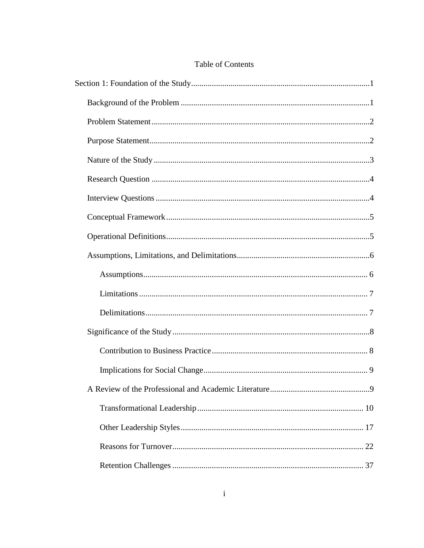# Table of Contents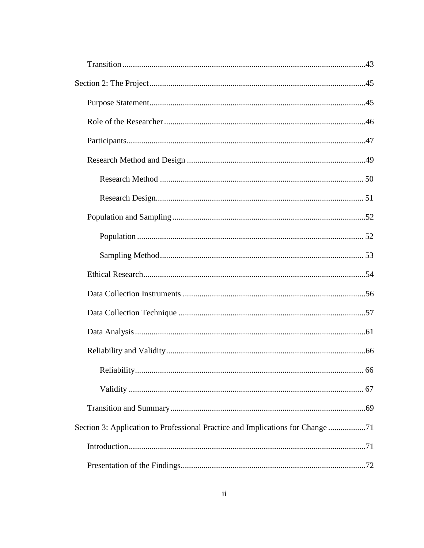| Section 3: Application to Professional Practice and Implications for Change71 |  |
|-------------------------------------------------------------------------------|--|
|                                                                               |  |
|                                                                               |  |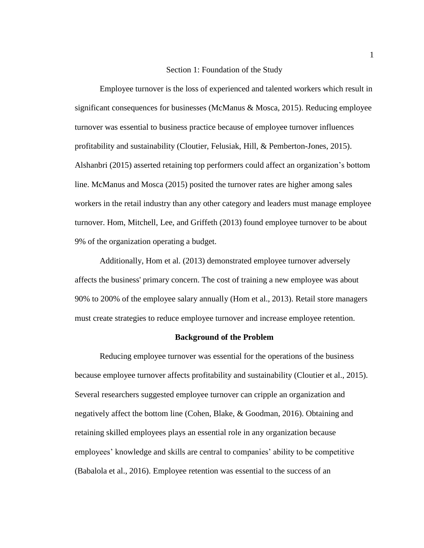# Section 1: Foundation of the Study

<span id="page-10-0"></span>Employee turnover is the loss of experienced and talented workers which result in significant consequences for businesses (McManus & Mosca, 2015). Reducing employee turnover was essential to business practice because of employee turnover influences profitability and sustainability (Cloutier, Felusiak, Hill, & Pemberton-Jones, 2015). Alshanbri (2015) asserted retaining top performers could affect an organization's bottom line. McManus and Mosca (2015) posited the turnover rates are higher among sales workers in the retail industry than any other category and leaders must manage employee turnover. Hom, Mitchell, Lee, and Griffeth (2013) found employee turnover to be about 9% of the organization operating a budget.

Additionally, Hom et al. (2013) demonstrated employee turnover adversely affects the business' primary concern. The cost of training a new employee was about 90% to 200% of the employee salary annually (Hom et al., 2013). Retail store managers must create strategies to reduce employee turnover and increase employee retention.

# **Background of the Problem**

<span id="page-10-1"></span>Reducing employee turnover was essential for the operations of the business because employee turnover affects profitability and sustainability (Cloutier et al., 2015). Several researchers suggested employee turnover can cripple an organization and negatively affect the bottom line (Cohen, Blake, & Goodman, 2016). Obtaining and retaining skilled employees plays an essential role in any organization because employees' knowledge and skills are central to companies' ability to be competitive (Babalola et al., 2016). Employee retention was essential to the success of an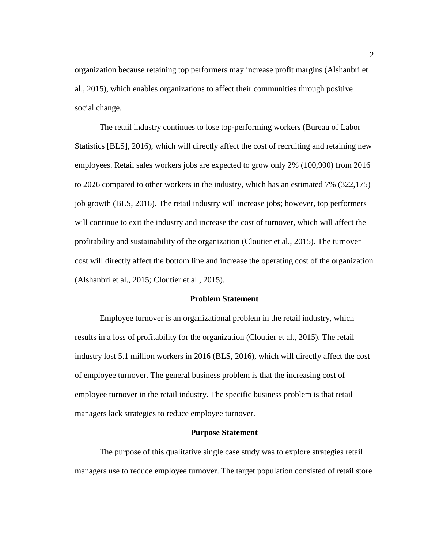organization because retaining top performers may increase profit margins (Alshanbri et al., 2015), which enables organizations to affect their communities through positive social change.

The retail industry continues to lose top-performing workers (Bureau of Labor Statistics [BLS], 2016), which will directly affect the cost of recruiting and retaining new employees. Retail sales workers jobs are expected to grow only 2% (100,900) from 2016 to 2026 compared to other workers in the industry, which has an estimated 7% (322,175) job growth (BLS, 2016). The retail industry will increase jobs; however, top performers will continue to exit the industry and increase the cost of turnover, which will affect the profitability and sustainability of the organization (Cloutier et al., 2015). The turnover cost will directly affect the bottom line and increase the operating cost of the organization (Alshanbri et al., 2015; Cloutier et al., 2015).

# **Problem Statement**

<span id="page-11-0"></span>Employee turnover is an organizational problem in the retail industry, which results in a loss of profitability for the organization (Cloutier et al., 2015). The retail industry lost 5.1 million workers in 2016 (BLS, 2016), which will directly affect the cost of employee turnover. The general business problem is that the increasing cost of employee turnover in the retail industry. The specific business problem is that retail managers lack strategies to reduce employee turnover.

#### **Purpose Statement**

<span id="page-11-1"></span>The purpose of this qualitative single case study was to explore strategies retail managers use to reduce employee turnover. The target population consisted of retail store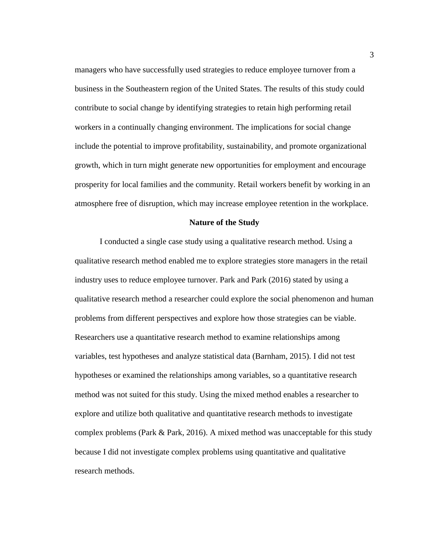managers who have successfully used strategies to reduce employee turnover from a business in the Southeastern region of the United States. The results of this study could contribute to social change by identifying strategies to retain high performing retail workers in a continually changing environment. The implications for social change include the potential to improve profitability, sustainability, and promote organizational growth, which in turn might generate new opportunities for employment and encourage prosperity for local families and the community. Retail workers benefit by working in an atmosphere free of disruption, which may increase employee retention in the workplace.

#### **Nature of the Study**

<span id="page-12-0"></span>I conducted a single case study using a qualitative research method. Using a qualitative research method enabled me to explore strategies store managers in the retail industry uses to reduce employee turnover. Park and Park (2016) stated by using a qualitative research method a researcher could explore the social phenomenon and human problems from different perspectives and explore how those strategies can be viable. Researchers use a quantitative research method to examine relationships among variables, test hypotheses and analyze statistical data (Barnham, 2015). I did not test hypotheses or examined the relationships among variables, so a quantitative research method was not suited for this study. Using the mixed method enables a researcher to explore and utilize both qualitative and quantitative research methods to investigate complex problems (Park  $\&$  Park, 2016). A mixed method was unacceptable for this study because I did not investigate complex problems using quantitative and qualitative research methods.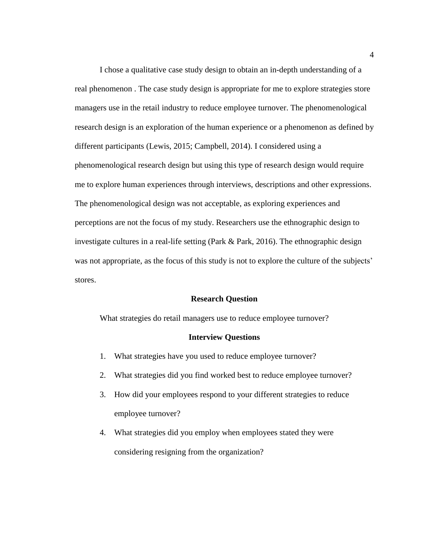I chose a qualitative case study design to obtain an in-depth understanding of a real phenomenon . The case study design is appropriate for me to explore strategies store managers use in the retail industry to reduce employee turnover. The phenomenological research design is an exploration of the human experience or a phenomenon as defined by different participants (Lewis, 2015; Campbell, 2014). I considered using a phenomenological research design but using this type of research design would require me to explore human experiences through interviews, descriptions and other expressions. The phenomenological design was not acceptable, as exploring experiences and perceptions are not the focus of my study. Researchers use the ethnographic design to investigate cultures in a real-life setting (Park & Park, 2016). The ethnographic design was not appropriate, as the focus of this study is not to explore the culture of the subjects' stores.

#### **Research Question**

<span id="page-13-1"></span><span id="page-13-0"></span>What strategies do retail managers use to reduce employee turnover?

#### **Interview Questions**

- 1. What strategies have you used to reduce employee turnover?
- 2. What strategies did you find worked best to reduce employee turnover?
- 3. How did your employees respond to your different strategies to reduce employee turnover?
- 4. What strategies did you employ when employees stated they were considering resigning from the organization?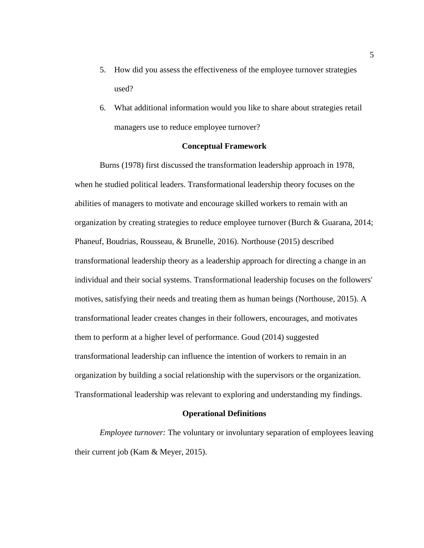- 5. How did you assess the effectiveness of the employee turnover strategies used?
- 6. What additional information would you like to share about strategies retail managers use to reduce employee turnover?

# **Conceptual Framework**

<span id="page-14-0"></span>Burns (1978) first discussed the transformation leadership approach in 1978, when he studied political leaders. Transformational leadership theory focuses on the abilities of managers to motivate and encourage skilled workers to remain with an organization by creating strategies to reduce employee turnover (Burch & Guarana, 2014; Phaneuf, Boudrias, Rousseau, & Brunelle, 2016). Northouse (2015) described transformational leadership theory as a leadership approach for directing a change in an individual and their social systems. Transformational leadership focuses on the followers' motives, satisfying their needs and treating them as human beings (Northouse, 2015). A transformational leader creates changes in their followers, encourages, and motivates them to perform at a higher level of performance. Goud (2014) suggested transformational leadership can influence the intention of workers to remain in an organization by building a social relationship with the supervisors or the organization. Transformational leadership was relevant to exploring and understanding my findings.

## **Operational Definitions**

<span id="page-14-1"></span>*Employee turnover:* The voluntary or involuntary separation of employees leaving their current job (Kam & Meyer, 2015).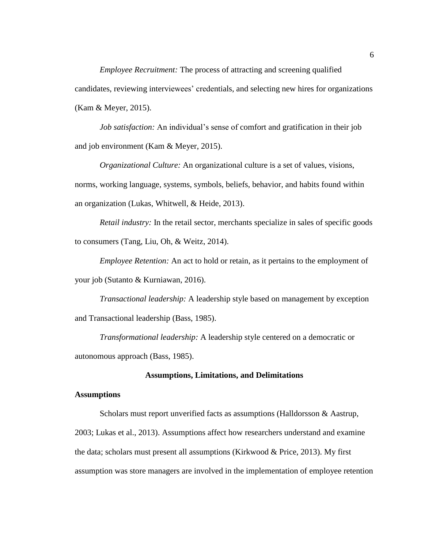*Employee Recruitment:* The process of attracting and screening qualified candidates, reviewing interviewees' credentials, and selecting new hires for organizations (Kam & Meyer, 2015).

*Job satisfaction:* An individual's sense of comfort and gratification in their job and job environment (Kam & Meyer, 2015).

*Organizational Culture:* An organizational culture is a set of values, visions, norms, working language, systems, symbols, beliefs, behavior, and habits found within an organization (Lukas, Whitwell, & Heide, 2013).

*Retail industry:* In the retail sector, merchants specialize in sales of specific goods to consumers (Tang, Liu, Oh, & Weitz, 2014).

*Employee Retention:* An act to hold or retain, as it pertains to the employment of your job (Sutanto & Kurniawan, 2016).

*Transactional leadership:* A leadership style based on management by exception and Transactional leadership (Bass, 1985).

*Transformational leadership:* A leadership style centered on a democratic or autonomous approach (Bass, 1985).

#### **Assumptions, Limitations, and Delimitations**

# <span id="page-15-1"></span><span id="page-15-0"></span>**Assumptions**

Scholars must report unverified facts as assumptions (Halldorsson & Aastrup, 2003; Lukas et al., 2013). Assumptions affect how researchers understand and examine the data; scholars must present all assumptions (Kirkwood & Price, 2013). My first assumption was store managers are involved in the implementation of employee retention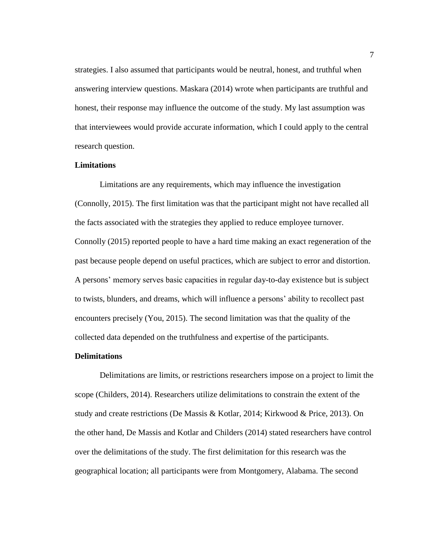strategies. I also assumed that participants would be neutral, honest, and truthful when answering interview questions. Maskara (2014) wrote when participants are truthful and honest, their response may influence the outcome of the study. My last assumption was that interviewees would provide accurate information, which I could apply to the central research question.

# <span id="page-16-0"></span>**Limitations**

Limitations are any requirements, which may influence the investigation (Connolly, 2015). The first limitation was that the participant might not have recalled all the facts associated with the strategies they applied to reduce employee turnover. Connolly (2015) reported people to have a hard time making an exact regeneration of the past because people depend on useful practices, which are subject to error and distortion. A persons' memory serves basic capacities in regular day-to-day existence but is subject to twists, blunders, and dreams, which will influence a persons' ability to recollect past encounters precisely (You, 2015). The second limitation was that the quality of the collected data depended on the truthfulness and expertise of the participants.

#### <span id="page-16-1"></span>**Delimitations**

Delimitations are limits, or restrictions researchers impose on a project to limit the scope (Childers, 2014). Researchers utilize delimitations to constrain the extent of the study and create restrictions (De Massis & Kotlar, 2014; Kirkwood & Price, 2013). On the other hand, De Massis and Kotlar and Childers (2014) stated researchers have control over the delimitations of the study. The first delimitation for this research was the geographical location; all participants were from Montgomery, Alabama. The second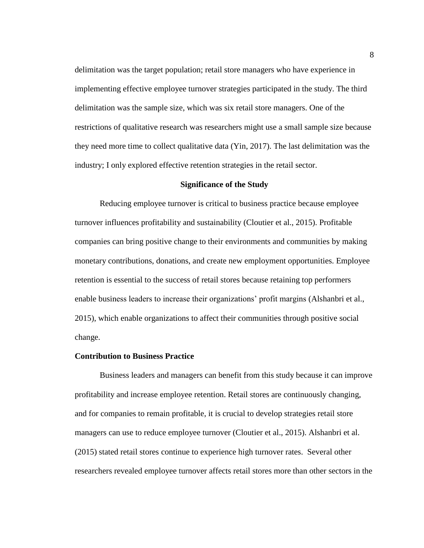delimitation was the target population; retail store managers who have experience in implementing effective employee turnover strategies participated in the study. The third delimitation was the sample size, which was six retail store managers. One of the restrictions of qualitative research was researchers might use a small sample size because they need more time to collect qualitative data (Yin, 2017). The last delimitation was the industry; I only explored effective retention strategies in the retail sector.

#### **Significance of the Study**

<span id="page-17-0"></span>Reducing employee turnover is critical to business practice because employee turnover influences profitability and sustainability (Cloutier et al., 2015). Profitable companies can bring positive change to their environments and communities by making monetary contributions, donations, and create new employment opportunities. Employee retention is essential to the success of retail stores because retaining top performers enable business leaders to increase their organizations' profit margins (Alshanbri et al., 2015), which enable organizations to affect their communities through positive social change.

# <span id="page-17-1"></span>**Contribution to Business Practice**

Business leaders and managers can benefit from this study because it can improve profitability and increase employee retention. Retail stores are continuously changing, and for companies to remain profitable, it is crucial to develop strategies retail store managers can use to reduce employee turnover (Cloutier et al., 2015). Alshanbri et al. (2015) stated retail stores continue to experience high turnover rates. Several other researchers revealed employee turnover affects retail stores more than other sectors in the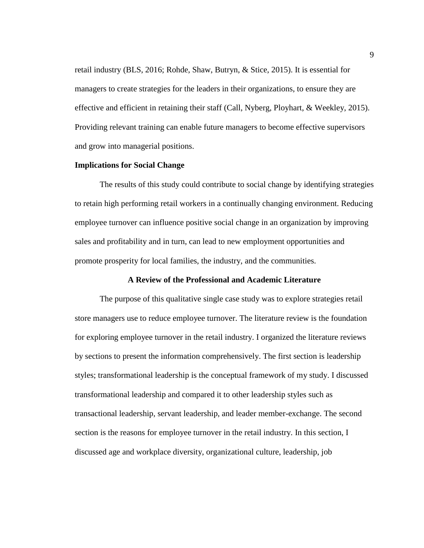retail industry (BLS, 2016; Rohde, Shaw, Butryn, & Stice, 2015). It is essential for managers to create strategies for the leaders in their organizations, to ensure they are effective and efficient in retaining their staff (Call, Nyberg, Ployhart, & Weekley, 2015). Providing relevant training can enable future managers to become effective supervisors and grow into managerial positions.

# <span id="page-18-0"></span>**Implications for Social Change**

The results of this study could contribute to social change by identifying strategies to retain high performing retail workers in a continually changing environment. Reducing employee turnover can influence positive social change in an organization by improving sales and profitability and in turn, can lead to new employment opportunities and promote prosperity for local families, the industry, and the communities.

# **A Review of the Professional and Academic Literature**

<span id="page-18-1"></span>The purpose of this qualitative single case study was to explore strategies retail store managers use to reduce employee turnover. The literature review is the foundation for exploring employee turnover in the retail industry. I organized the literature reviews by sections to present the information comprehensively. The first section is leadership styles; transformational leadership is the conceptual framework of my study. I discussed transformational leadership and compared it to other leadership styles such as transactional leadership, servant leadership, and leader member-exchange. The second section is the reasons for employee turnover in the retail industry. In this section, I discussed age and workplace diversity, organizational culture, leadership, job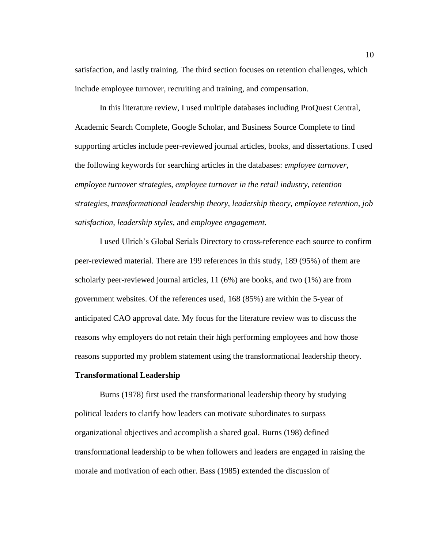satisfaction, and lastly training. The third section focuses on retention challenges, which include employee turnover, recruiting and training, and compensation.

In this literature review, I used multiple databases including ProQuest Central, Academic Search Complete, Google Scholar, and Business Source Complete to find supporting articles include peer-reviewed journal articles, books, and dissertations. I used the following keywords for searching articles in the databases: *employee turnover, employee turnover strategies, employee turnover in the retail industry, retention strategies, transformational leadership theory, leadership theory, employee retention, job satisfaction, leadership styles,* and *employee engagement.*

I used Ulrich's Global Serials Directory to cross-reference each source to confirm peer-reviewed material. There are 199 references in this study, 189 (95%) of them are scholarly peer-reviewed journal articles, 11 (6%) are books, and two (1%) are from government websites. Of the references used, 168 (85%) are within the 5-year of anticipated CAO approval date. My focus for the literature review was to discuss the reasons why employers do not retain their high performing employees and how those reasons supported my problem statement using the transformational leadership theory.

#### <span id="page-19-0"></span>**Transformational Leadership**

Burns (1978) first used the transformational leadership theory by studying political leaders to clarify how leaders can motivate subordinates to surpass organizational objectives and accomplish a shared goal. Burns (198) defined transformational leadership to be when followers and leaders are engaged in raising the morale and motivation of each other. Bass (1985) extended the discussion of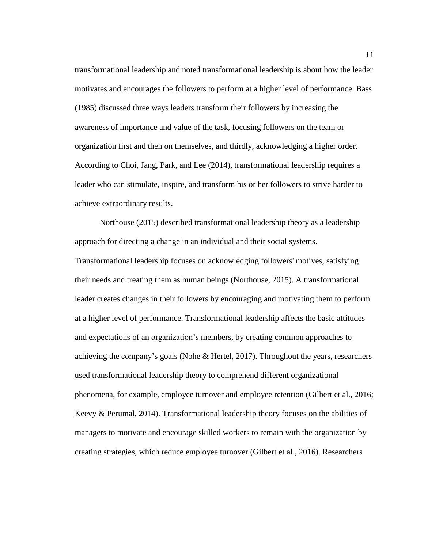transformational leadership and noted transformational leadership is about how the leader motivates and encourages the followers to perform at a higher level of performance. Bass (1985) discussed three ways leaders transform their followers by increasing the awareness of importance and value of the task, focusing followers on the team or organization first and then on themselves, and thirdly, acknowledging a higher order. According to Choi, Jang, Park, and Lee (2014), transformational leadership requires a leader who can stimulate, inspire, and transform his or her followers to strive harder to achieve extraordinary results.

Northouse (2015) described transformational leadership theory as a leadership approach for directing a change in an individual and their social systems. Transformational leadership focuses on acknowledging followers' motives, satisfying their needs and treating them as human beings (Northouse, 2015). A transformational leader creates changes in their followers by encouraging and motivating them to perform at a higher level of performance. Transformational leadership affects the basic attitudes and expectations of an organization's members, by creating common approaches to achieving the company's goals (Nohe & Hertel, 2017). Throughout the years, researchers used transformational leadership theory to comprehend different organizational phenomena, for example, employee turnover and employee retention (Gilbert et al., 2016; Keevy & Perumal, 2014). Transformational leadership theory focuses on the abilities of managers to motivate and encourage skilled workers to remain with the organization by creating strategies, which reduce employee turnover (Gilbert et al., 2016). Researchers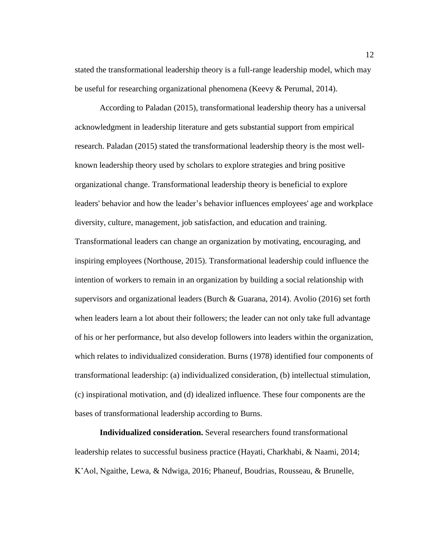stated the transformational leadership theory is a full-range leadership model, which may be useful for researching organizational phenomena (Keevy & Perumal, 2014).

According to Paladan (2015), transformational leadership theory has a universal acknowledgment in leadership literature and gets substantial support from empirical research. Paladan (2015) stated the transformational leadership theory is the most wellknown leadership theory used by scholars to explore strategies and bring positive organizational change. Transformational leadership theory is beneficial to explore leaders' behavior and how the leader's behavior influences employees' age and workplace diversity, culture, management, job satisfaction, and education and training. Transformational leaders can change an organization by motivating, encouraging, and inspiring employees (Northouse, 2015). Transformational leadership could influence the intention of workers to remain in an organization by building a social relationship with supervisors and organizational leaders (Burch & Guarana, 2014). Avolio (2016) set forth when leaders learn a lot about their followers; the leader can not only take full advantage of his or her performance, but also develop followers into leaders within the organization, which relates to individualized consideration. Burns (1978) identified four components of transformational leadership: (a) individualized consideration, (b) intellectual stimulation, (c) inspirational motivation, and (d) idealized influence. These four components are the bases of transformational leadership according to Burns.

**Individualized consideration.** Several researchers found transformational leadership relates to successful business practice (Hayati, Charkhabi, & Naami, 2014; K'Aol, Ngaithe, Lewa, & Ndwiga, 2016; Phaneuf, Boudrias, Rousseau, & Brunelle,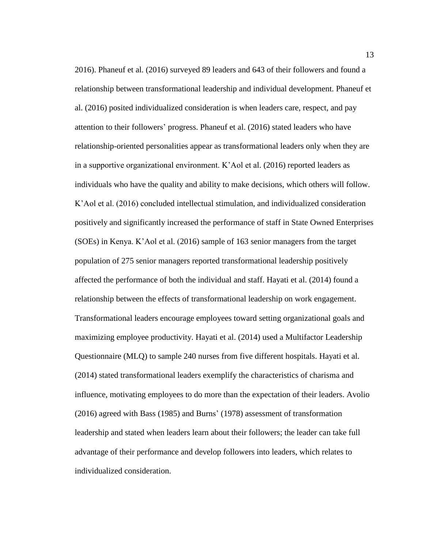2016). Phaneuf et al. (2016) surveyed 89 leaders and 643 of their followers and found a relationship between transformational leadership and individual development. Phaneuf et al. (2016) posited individualized consideration is when leaders care, respect, and pay attention to their followers' progress. Phaneuf et al. (2016) stated leaders who have relationship-oriented personalities appear as transformational leaders only when they are in a supportive organizational environment. K'Aol et al. (2016) reported leaders as individuals who have the quality and ability to make decisions, which others will follow. K'Aol et al. (2016) concluded intellectual stimulation, and individualized consideration positively and significantly increased the performance of staff in State Owned Enterprises (SOEs) in Kenya. K'Aol et al. (2016) sample of 163 senior managers from the target population of 275 senior managers reported transformational leadership positively affected the performance of both the individual and staff. Hayati et al. (2014) found a relationship between the effects of transformational leadership on work engagement. Transformational leaders encourage employees toward setting organizational goals and maximizing employee productivity. Hayati et al. (2014) used a Multifactor Leadership Questionnaire (MLQ) to sample 240 nurses from five different hospitals. Hayati et al. (2014) stated transformational leaders exemplify the characteristics of charisma and influence, motivating employees to do more than the expectation of their leaders. Avolio (2016) agreed with Bass (1985) and Burns' (1978) assessment of transformation leadership and stated when leaders learn about their followers; the leader can take full advantage of their performance and develop followers into leaders, which relates to individualized consideration.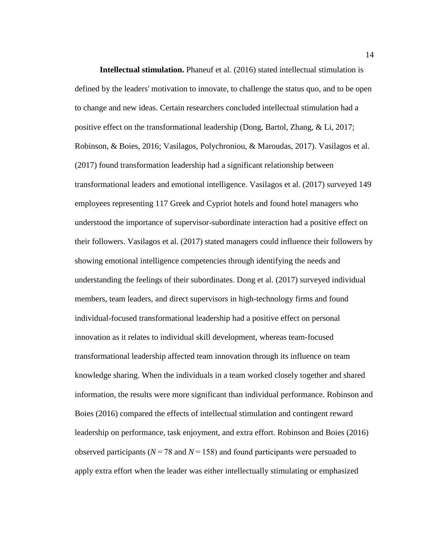**Intellectual stimulation.** Phaneuf et al. (2016) stated intellectual stimulation is defined by the leaders' motivation to innovate, to challenge the status quo, and to be open to change and new ideas. Certain researchers concluded intellectual stimulation had a positive effect on the transformational leadership (Dong, Bartol, Zhang, & Li, 2017; Robinson, & Boies, 2016; Vasilagos, Polychroniou, & Maroudas, 2017). Vasilagos et al. (2017) found transformation leadership had a significant relationship between transformational leaders and emotional intelligence. Vasilagos et al. (2017) surveyed 149 employees representing 117 Greek and Cypriot hotels and found hotel managers who understood the importance of supervisor-subordinate interaction had a positive effect on their followers. Vasilagos et al. (2017) stated managers could influence their followers by showing emotional intelligence competencies through identifying the needs and understanding the feelings of their subordinates. Dong et al. (2017) surveyed individual members, team leaders, and direct supervisors in high-technology firms and found individual-focused transformational leadership had a positive effect on personal innovation as it relates to individual skill development, whereas team-focused transformational leadership affected team innovation through its influence on team knowledge sharing. When the individuals in a team worked closely together and shared information, the results were more significant than individual performance. Robinson and Boies (2016) compared the effects of intellectual stimulation and contingent reward leadership on performance, task enjoyment, and extra effort. Robinson and Boies (2016) observed participants ( $N = 78$  and  $N = 158$ ) and found participants were persuaded to apply extra effort when the leader was either intellectually stimulating or emphasized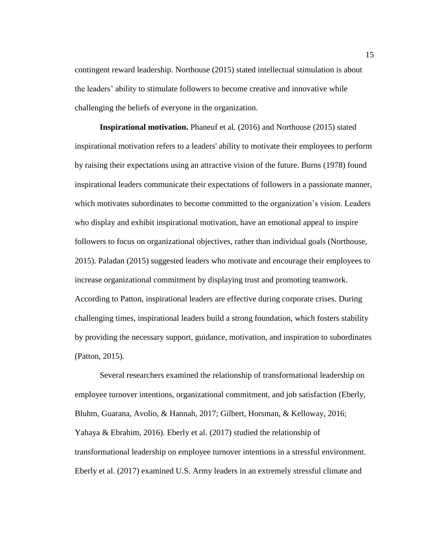contingent reward leadership. Northouse (2015) stated intellectual stimulation is about the leaders' ability to stimulate followers to become creative and innovative while challenging the beliefs of everyone in the organization.

**Inspirational motivation.** Phaneuf et al. (2016) and Northouse (2015) stated inspirational motivation refers to a leaders' ability to motivate their employees to perform by raising their expectations using an attractive vision of the future. Burns (1978) found inspirational leaders communicate their expectations of followers in a passionate manner, which motivates subordinates to become committed to the organization's vision. Leaders who display and exhibit inspirational motivation, have an emotional appeal to inspire followers to focus on organizational objectives, rather than individual goals (Northouse, 2015). Paladan (2015) suggested leaders who motivate and encourage their employees to increase organizational commitment by displaying trust and promoting teamwork. According to Patton, inspirational leaders are effective during corporate crises. During challenging times, inspirational leaders build a strong foundation, which fosters stability by providing the necessary support, guidance, motivation, and inspiration to subordinates (Patton, 2015).

Several researchers examined the relationship of transformational leadership on employee turnover intentions, organizational commitment, and job satisfaction (Eberly, Bluhm, Guarana, Avolio, & Hannah, 2017; Gilbert, Horsman, & Kelloway, 2016; Yahaya & Ebrahim, 2016). Eberly et al. (2017) studied the relationship of transformational leadership on employee turnover intentions in a stressful environment. Eberly et al. (2017) examined U.S. Army leaders in an extremely stressful climate and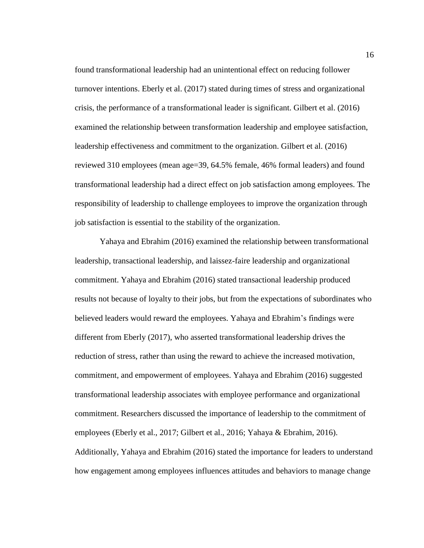found transformational leadership had an unintentional effect on reducing follower turnover intentions. Eberly et al. (2017) stated during times of stress and organizational crisis, the performance of a transformational leader is significant. Gilbert et al. (2016) examined the relationship between transformation leadership and employee satisfaction, leadership effectiveness and commitment to the organization. Gilbert et al. (2016) reviewed 310 employees (mean age=39, 64.5% female, 46% formal leaders) and found transformational leadership had a direct effect on job satisfaction among employees. The responsibility of leadership to challenge employees to improve the organization through job satisfaction is essential to the stability of the organization.

Yahaya and Ebrahim (2016) examined the relationship between transformational leadership, transactional leadership, and laissez-faire leadership and organizational commitment. Yahaya and Ebrahim (2016) stated transactional leadership produced results not because of loyalty to their jobs, but from the expectations of subordinates who believed leaders would reward the employees. Yahaya and Ebrahim's findings were different from Eberly (2017), who asserted transformational leadership drives the reduction of stress, rather than using the reward to achieve the increased motivation, commitment, and empowerment of employees. Yahaya and Ebrahim (2016) suggested transformational leadership associates with employee performance and organizational commitment. Researchers discussed the importance of leadership to the commitment of employees (Eberly et al., 2017; Gilbert et al., 2016; Yahaya & Ebrahim, 2016). Additionally, Yahaya and Ebrahim (2016) stated the importance for leaders to understand how engagement among employees influences attitudes and behaviors to manage change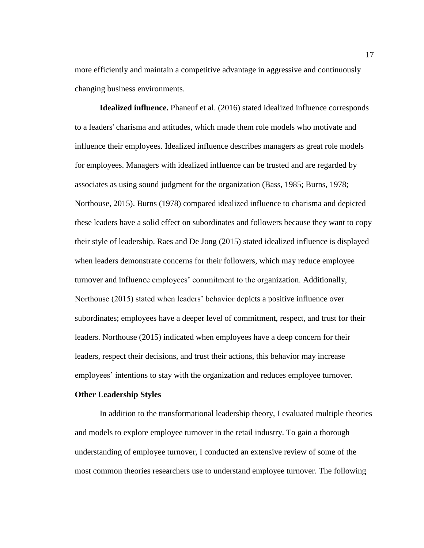more efficiently and maintain a competitive advantage in aggressive and continuously changing business environments.

**Idealized influence.** Phaneuf et al. (2016) stated idealized influence corresponds to a leaders' charisma and attitudes, which made them role models who motivate and influence their employees. Idealized influence describes managers as great role models for employees. Managers with idealized influence can be trusted and are regarded by associates as using sound judgment for the organization (Bass, 1985; Burns, 1978; Northouse, 2015). Burns (1978) compared idealized influence to charisma and depicted these leaders have a solid effect on subordinates and followers because they want to copy their style of leadership. Raes and De Jong (2015) stated idealized influence is displayed when leaders demonstrate concerns for their followers, which may reduce employee turnover and influence employees' commitment to the organization. Additionally, Northouse (2015) stated when leaders' behavior depicts a positive influence over subordinates; employees have a deeper level of commitment, respect, and trust for their leaders. Northouse (2015) indicated when employees have a deep concern for their leaders, respect their decisions, and trust their actions, this behavior may increase employees' intentions to stay with the organization and reduces employee turnover.

#### <span id="page-26-0"></span>**Other Leadership Styles**

In addition to the transformational leadership theory, I evaluated multiple theories and models to explore employee turnover in the retail industry. To gain a thorough understanding of employee turnover, I conducted an extensive review of some of the most common theories researchers use to understand employee turnover. The following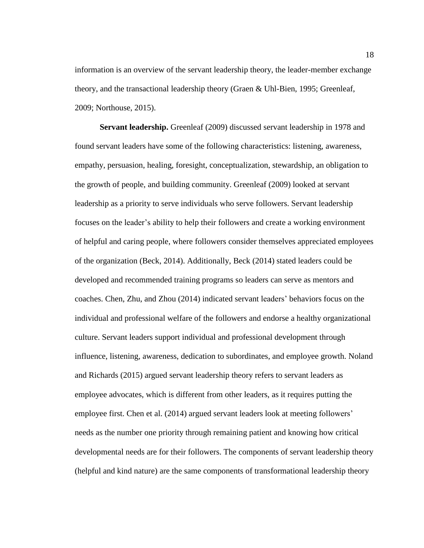information is an overview of the servant leadership theory, the leader-member exchange theory, and the transactional leadership theory (Graen & Uhl-Bien, 1995; Greenleaf, 2009; Northouse, 2015).

**Servant leadership.** Greenleaf (2009) discussed servant leadership in 1978 and found servant leaders have some of the following characteristics: listening, awareness, empathy, persuasion, healing, foresight, conceptualization, stewardship, an obligation to the growth of people, and building community. Greenleaf (2009) looked at servant leadership as a priority to serve individuals who serve followers. Servant leadership focuses on the leader's ability to help their followers and create a working environment of helpful and caring people, where followers consider themselves appreciated employees of the organization (Beck, 2014). Additionally, Beck (2014) stated leaders could be developed and recommended training programs so leaders can serve as mentors and coaches. Chen, Zhu, and Zhou (2014) indicated servant leaders' behaviors focus on the individual and professional welfare of the followers and endorse a healthy organizational culture. Servant leaders support individual and professional development through influence, listening, awareness, dedication to subordinates, and employee growth. Noland and Richards (2015) argued servant leadership theory refers to servant leaders as employee advocates, which is different from other leaders, as it requires putting the employee first. Chen et al. (2014) argued servant leaders look at meeting followers' needs as the number one priority through remaining patient and knowing how critical developmental needs are for their followers. The components of servant leadership theory (helpful and kind nature) are the same components of transformational leadership theory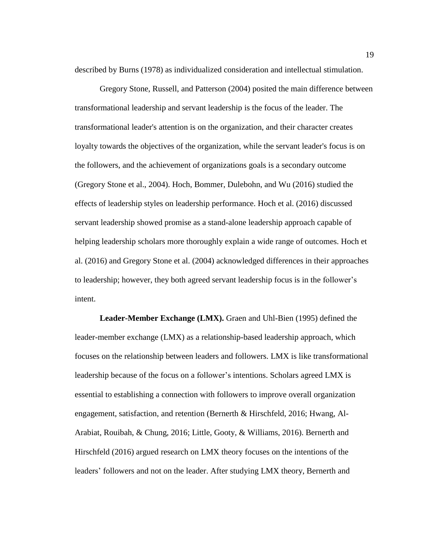described by Burns (1978) as individualized consideration and intellectual stimulation.

Gregory Stone, Russell, and Patterson (2004) posited the main difference between transformational leadership and servant leadership is the focus of the leader. The transformational leader's attention is on the organization, and their character creates loyalty towards the objectives of the organization, while the servant leader's focus is on the followers, and the achievement of organizations goals is a secondary outcome (Gregory Stone et al., 2004). Hoch, Bommer, Dulebohn, and Wu (2016) studied the effects of leadership styles on leadership performance. Hoch et al. (2016) discussed servant leadership showed promise as a stand-alone leadership approach capable of helping leadership scholars more thoroughly explain a wide range of outcomes. Hoch et al. (2016) and Gregory Stone et al. (2004) acknowledged differences in their approaches to leadership; however, they both agreed servant leadership focus is in the follower's intent.

**Leader-Member Exchange (LMX).** Graen and Uhl-Bien (1995) defined the leader-member exchange (LMX) as a relationship-based leadership approach, which focuses on the relationship between leaders and followers. LMX is like transformational leadership because of the focus on a follower's intentions. Scholars agreed LMX is essential to establishing a connection with followers to improve overall organization engagement, satisfaction, and retention (Bernerth & Hirschfeld, 2016; Hwang, Al-Arabiat, Rouibah, & Chung, 2016; Little, Gooty, & Williams, 2016). Bernerth and Hirschfeld (2016) argued research on LMX theory focuses on the intentions of the leaders' followers and not on the leader. After studying LMX theory, Bernerth and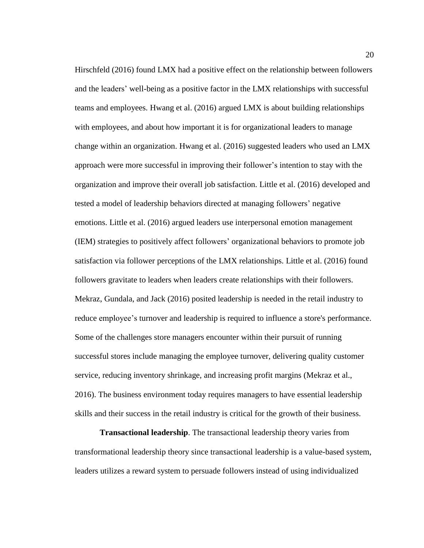Hirschfeld (2016) found LMX had a positive effect on the relationship between followers and the leaders' well-being as a positive factor in the LMX relationships with successful teams and employees. Hwang et al. (2016) argued LMX is about building relationships with employees, and about how important it is for organizational leaders to manage change within an organization. Hwang et al. (2016) suggested leaders who used an LMX approach were more successful in improving their follower's intention to stay with the organization and improve their overall job satisfaction. Little et al. (2016) developed and tested a model of leadership behaviors directed at managing followers' negative emotions. Little et al. (2016) argued leaders use interpersonal emotion management (IEM) strategies to positively affect followers' organizational behaviors to promote job satisfaction via follower perceptions of the LMX relationships. Little et al. (2016) found followers gravitate to leaders when leaders create relationships with their followers. Mekraz, Gundala, and Jack (2016) posited leadership is needed in the retail industry to reduce employee's turnover and leadership is required to influence a store's performance. Some of the challenges store managers encounter within their pursuit of running successful stores include managing the employee turnover, delivering quality customer service, reducing inventory shrinkage, and increasing profit margins (Mekraz et al., 2016). The business environment today requires managers to have essential leadership skills and their success in the retail industry is critical for the growth of their business.

**Transactional leadership**. The transactional leadership theory varies from transformational leadership theory since transactional leadership is a value-based system, leaders utilizes a reward system to persuade followers instead of using individualized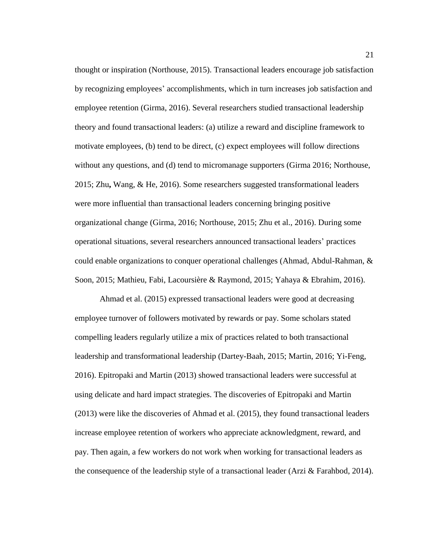thought or inspiration (Northouse, 2015). Transactional leaders encourage job satisfaction by recognizing employees' accomplishments, which in turn increases job satisfaction and employee retention (Girma, 2016). Several researchers studied transactional leadership theory and found transactional leaders: (a) utilize a reward and discipline framework to motivate employees, (b) tend to be direct, (c) expect employees will follow directions without any questions, and (d) tend to micromanage supporters (Girma 2016; Northouse, 2015; Zhu**,** Wang, & He, 2016). Some researchers suggested transformational leaders were more influential than transactional leaders concerning bringing positive organizational change (Girma, 2016; Northouse, 2015; Zhu et al., 2016). During some operational situations, several researchers announced transactional leaders' practices could enable organizations to conquer operational challenges (Ahmad, Abdul-Rahman, & Soon, 2015; Mathieu, Fabi, Lacoursière & Raymond, 2015; Yahaya & Ebrahim, 2016).

Ahmad et al. (2015) expressed transactional leaders were good at decreasing employee turnover of followers motivated by rewards or pay. Some scholars stated compelling leaders regularly utilize a mix of practices related to both transactional leadership and transformational leadership (Dartey-Baah, 2015; Martin, 2016; Yi-Feng, 2016). Epitropaki and Martin (2013) showed transactional leaders were successful at using delicate and hard impact strategies. The discoveries of Epitropaki and Martin (2013) were like the discoveries of Ahmad et al. (2015), they found transactional leaders increase employee retention of workers who appreciate acknowledgment, reward, and pay. Then again, a few workers do not work when working for transactional leaders as the consequence of the leadership style of a transactional leader (Arzi & Farahbod, 2014).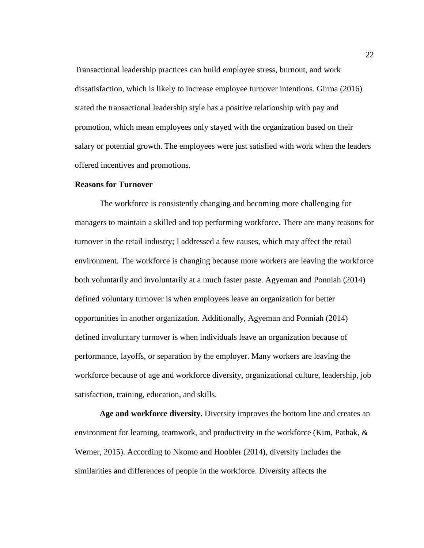Transactional leadership practices can build employee stress, burnout, and work dissatisfaction, which is likely to increase employee turnover intentions. Girma (2016) stated the transactional leadership style has a positive relationship with pay and promotion, which mean employees only stayed with the organization based on their salary or potential growth. The employees were just satisfied with work when the leaders offered incentives and promotions.

# <span id="page-31-0"></span>**Reasons for Turnover**

The workforce is consistently changing and becoming more challenging for managers to maintain a skilled and top performing workforce. There are many reasons for turnover in the retail industry; I addressed a few causes, which may affect the retail environment. The workforce is changing because more workers are leaving the workforce both voluntarily and involuntarily at a much faster paste. Agyeman and Ponniah (2014) defined voluntary turnover is when employees leave an organization for better opportunities in another organization. Additionally, Agyeman and Ponniah (2014) defined involuntary turnover is when individuals leave an organization because of performance, layoffs, or separation by the employer. Many workers are leaving the workforce because of age and workforce diversity, organizational culture, leadership, job satisfaction, training, education, and skills.

**Age and workforce diversity.** Diversity improves the bottom line and creates an environment for learning, teamwork, and productivity in the workforce (Kim, Pathak, & Werner, 2015). According to Nkomo and Hoobler (2014), diversity includes the similarities and differences of people in the workforce. Diversity affects the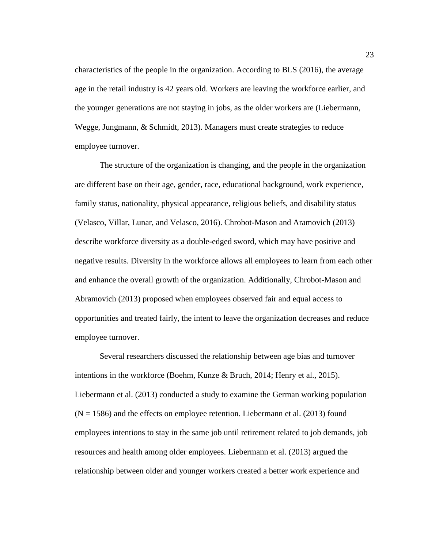characteristics of the people in the organization. According to BLS (2016), the average age in the retail industry is 42 years old. Workers are leaving the workforce earlier, and the younger generations are not staying in jobs, as the older workers are (Liebermann, Wegge, Jungmann, & Schmidt, 2013). Managers must create strategies to reduce employee turnover.

The structure of the organization is changing, and the people in the organization are different base on their age, gender, race, educational background, work experience, family status, nationality, physical appearance, religious beliefs, and disability status (Velasco, Villar, Lunar, and Velasco, 2016). Chrobot-Mason and Aramovich (2013) describe workforce diversity as a double-edged sword, which may have positive and negative results. Diversity in the workforce allows all employees to learn from each other and enhance the overall growth of the organization. Additionally, Chrobot-Mason and Abramovich (2013) proposed when employees observed fair and equal access to opportunities and treated fairly, the intent to leave the organization decreases and reduce employee turnover.

Several researchers discussed the relationship between age bias and turnover intentions in the workforce (Boehm, Kunze & Bruch, 2014; Henry et al., 2015). Liebermann et al. (2013) conducted a study to examine the German working population  $(N = 1586)$  and the effects on employee retention. Liebermann et al. (2013) found employees intentions to stay in the same job until retirement related to job demands, job resources and health among older employees. Liebermann et al. (2013) argued the relationship between older and younger workers created a better work experience and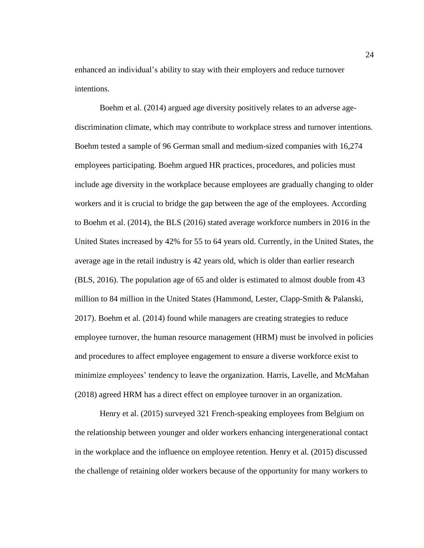enhanced an individual's ability to stay with their employers and reduce turnover intentions.

Boehm et al. (2014) argued age diversity positively relates to an adverse agediscrimination climate, which may contribute to workplace stress and turnover intentions. Boehm tested a sample of 96 German small and medium-sized companies with 16,274 employees participating. Boehm argued HR practices, procedures, and policies must include age diversity in the workplace because employees are gradually changing to older workers and it is crucial to bridge the gap between the age of the employees. According to Boehm et al. (2014), the BLS (2016) stated average workforce numbers in 2016 in the United States increased by 42% for 55 to 64 years old. Currently, in the United States, the average age in the retail industry is 42 years old, which is older than earlier research (BLS, 2016). The population age of 65 and older is estimated to almost double from 43 million to 84 million in the United States (Hammond, Lester, Clapp-Smith & Palanski, 2017). Boehm et al. (2014) found while managers are creating strategies to reduce employee turnover, the human resource management (HRM) must be involved in policies and procedures to affect employee engagement to ensure a diverse workforce exist to minimize employees' tendency to leave the organization. Harris, Lavelle, and McMahan (2018) agreed HRM has a direct effect on employee turnover in an organization.

Henry et al. (2015) surveyed 321 French-speaking employees from Belgium on the relationship between younger and older workers enhancing intergenerational contact in the workplace and the influence on employee retention. Henry et al. (2015) discussed the challenge of retaining older workers because of the opportunity for many workers to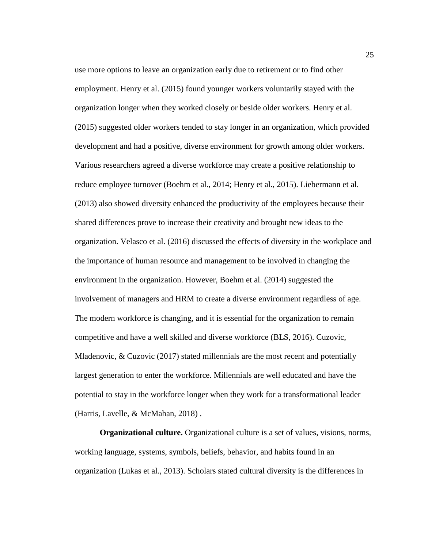use more options to leave an organization early due to retirement or to find other employment. Henry et al. (2015) found younger workers voluntarily stayed with the organization longer when they worked closely or beside older workers. Henry et al. (2015) suggested older workers tended to stay longer in an organization, which provided development and had a positive, diverse environment for growth among older workers. Various researchers agreed a diverse workforce may create a positive relationship to reduce employee turnover (Boehm et al., 2014; Henry et al., 2015). Liebermann et al. (2013) also showed diversity enhanced the productivity of the employees because their shared differences prove to increase their creativity and brought new ideas to the organization. Velasco et al. (2016) discussed the effects of diversity in the workplace and the importance of human resource and management to be involved in changing the environment in the organization. However, Boehm et al. (2014) suggested the involvement of managers and HRM to create a diverse environment regardless of age. The modern workforce is changing, and it is essential for the organization to remain competitive and have a well skilled and diverse workforce (BLS, 2016). Cuzovic, Mladenovic, & Cuzovic (2017) stated millennials are the most recent and potentially largest generation to enter the workforce. Millennials are well educated and have the potential to stay in the workforce longer when they work for a transformational leader (Harris, Lavelle, & McMahan, 2018) .

**Organizational culture.** Organizational culture is a set of values, visions, norms, working language, systems, symbols, beliefs, behavior, and habits found in an organization (Lukas et al., 2013). Scholars stated cultural diversity is the differences in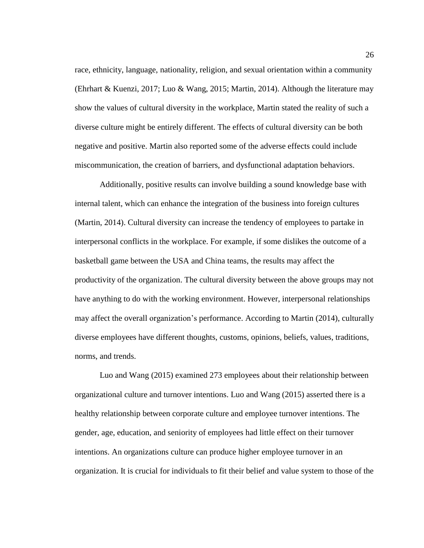race, ethnicity, language, nationality, religion, and sexual orientation within a community (Ehrhart & Kuenzi, 2017; Luo & Wang, 2015; Martin, 2014). Although the literature may show the values of cultural diversity in the workplace, Martin stated the reality of such a diverse culture might be entirely different. The effects of cultural diversity can be both negative and positive. Martin also reported some of the adverse effects could include miscommunication, the creation of barriers, and dysfunctional adaptation behaviors.

Additionally, positive results can involve building a sound knowledge base with internal talent, which can enhance the integration of the business into foreign cultures (Martin, 2014). Cultural diversity can increase the tendency of employees to partake in interpersonal conflicts in the workplace. For example, if some dislikes the outcome of a basketball game between the USA and China teams, the results may affect the productivity of the organization. The cultural diversity between the above groups may not have anything to do with the working environment. However, interpersonal relationships may affect the overall organization's performance. According to Martin (2014), culturally diverse employees have different thoughts, customs, opinions, beliefs, values, traditions, norms, and trends.

Luo and Wang (2015) examined 273 employees about their relationship between organizational culture and turnover intentions. Luo and Wang (2015) asserted there is a healthy relationship between corporate culture and employee turnover intentions. The gender, age, education, and seniority of employees had little effect on their turnover intentions. An organizations culture can produce higher employee turnover in an organization. It is crucial for individuals to fit their belief and value system to those of the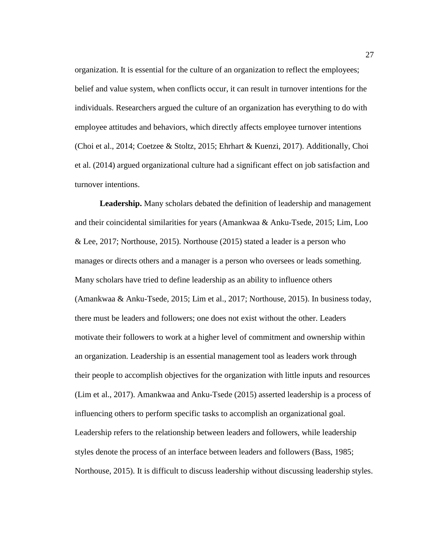organization. It is essential for the culture of an organization to reflect the employees; belief and value system, when conflicts occur, it can result in turnover intentions for the individuals. Researchers argued the culture of an organization has everything to do with employee attitudes and behaviors, which directly affects employee turnover intentions (Choi et al., 2014; Coetzee & Stoltz, 2015; Ehrhart & Kuenzi, 2017). Additionally, Choi et al. (2014) argued organizational culture had a significant effect on job satisfaction and turnover intentions.

**Leadership.** Many scholars debated the definition of leadership and management and their coincidental similarities for years (Amankwaa & Anku-Tsede, 2015; Lim, Loo & Lee, 2017; Northouse, 2015). Northouse (2015) stated a leader is a person who manages or directs others and a manager is a person who oversees or leads something. Many scholars have tried to define leadership as an ability to influence others (Amankwaa & Anku-Tsede, 2015; Lim et al., 2017; Northouse, 2015). In business today, there must be leaders and followers; one does not exist without the other. Leaders motivate their followers to work at a higher level of commitment and ownership within an organization. Leadership is an essential management tool as leaders work through their people to accomplish objectives for the organization with little inputs and resources (Lim et al., 2017). Amankwaa and Anku-Tsede (2015) asserted leadership is a process of influencing others to perform specific tasks to accomplish an organizational goal. Leadership refers to the relationship between leaders and followers, while leadership styles denote the process of an interface between leaders and followers (Bass, 1985; Northouse, 2015). It is difficult to discuss leadership without discussing leadership styles.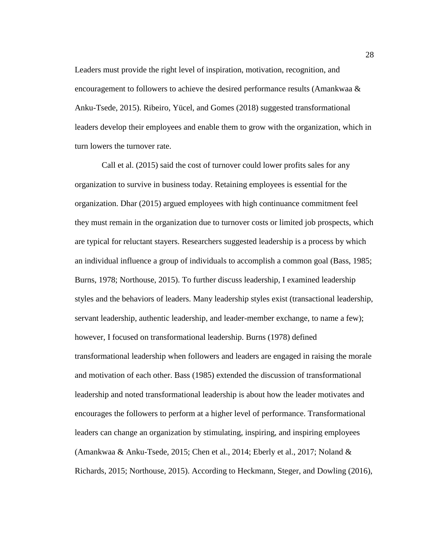Leaders must provide the right level of inspiration, motivation, recognition, and encouragement to followers to achieve the desired performance results (Amankwaa  $\&$ Anku-Tsede, 2015). Ribeiro, Yücel, and Gomes (2018) suggested transformational leaders develop their employees and enable them to grow with the organization, which in turn lowers the turnover rate.

Call et al. (2015) said the cost of turnover could lower profits sales for any organization to survive in business today. Retaining employees is essential for the organization. Dhar (2015) argued employees with high continuance commitment feel they must remain in the organization due to turnover costs or limited job prospects, which are typical for reluctant stayers. Researchers suggested leadership is a process by which an individual influence a group of individuals to accomplish a common goal (Bass, 1985; Burns, 1978; Northouse, 2015). To further discuss leadership, I examined leadership styles and the behaviors of leaders. Many leadership styles exist (transactional leadership, servant leadership, authentic leadership, and leader-member exchange, to name a few); however, I focused on transformational leadership. Burns (1978) defined transformational leadership when followers and leaders are engaged in raising the morale and motivation of each other. Bass (1985) extended the discussion of transformational leadership and noted transformational leadership is about how the leader motivates and encourages the followers to perform at a higher level of performance. Transformational leaders can change an organization by stimulating, inspiring, and inspiring employees (Amankwaa & Anku-Tsede, 2015; Chen et al., 2014; Eberly et al., 2017; Noland & Richards, 2015; Northouse, 2015). According to Heckmann, Steger, and Dowling (2016),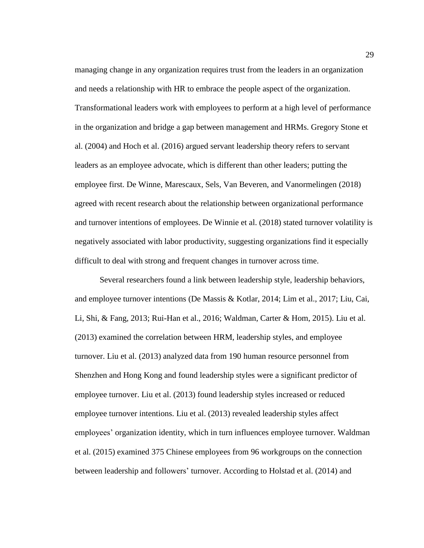managing change in any organization requires trust from the leaders in an organization and needs a relationship with HR to embrace the people aspect of the organization. Transformational leaders work with employees to perform at a high level of performance in the organization and bridge a gap between management and HRMs. Gregory Stone et al. (2004) and Hoch et al. (2016) argued servant leadership theory refers to servant leaders as an employee advocate, which is different than other leaders; putting the employee first. De Winne, Marescaux, Sels, Van Beveren, and Vanormelingen (2018) agreed with recent research about the relationship between organizational performance and turnover intentions of employees. De Winnie et al. (2018) stated turnover volatility is negatively associated with labor productivity, suggesting organizations find it especially difficult to deal with strong and frequent changes in turnover across time.

Several researchers found a link between leadership style, leadership behaviors, and employee turnover intentions (De Massis & Kotlar, 2014; Lim et al., 2017; Liu, Cai, Li, Shi, & Fang, 2013; Rui-Han et al., 2016; Waldman, Carter & Hom, 2015). Liu et al. (2013) examined the correlation between HRM, leadership styles, and employee turnover. Liu et al. (2013) analyzed data from 190 human resource personnel from Shenzhen and Hong Kong and found leadership styles were a significant predictor of employee turnover. Liu et al. (2013) found leadership styles increased or reduced employee turnover intentions. Liu et al. (2013) revealed leadership styles affect employees' organization identity, which in turn influences employee turnover. Waldman et al. (2015) examined 375 Chinese employees from 96 workgroups on the connection between leadership and followers' turnover. According to Holstad et al. (2014) and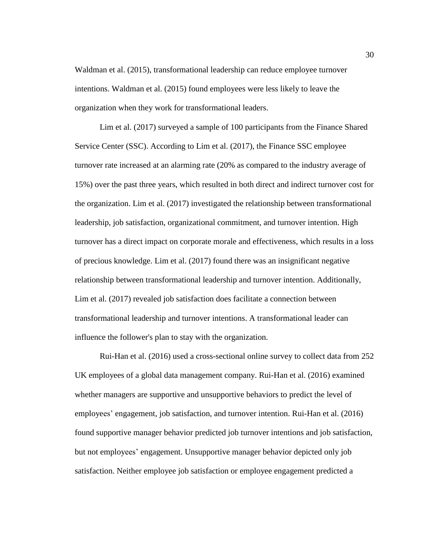Waldman et al. (2015), transformational leadership can reduce employee turnover intentions. Waldman et al. (2015) found employees were less likely to leave the organization when they work for transformational leaders.

Lim et al. (2017) surveyed a sample of 100 participants from the Finance Shared Service Center (SSC). According to Lim et al. (2017), the Finance SSC employee turnover rate increased at an alarming rate (20% as compared to the industry average of 15%) over the past three years, which resulted in both direct and indirect turnover cost for the organization. Lim et al. (2017) investigated the relationship between transformational leadership, job satisfaction, organizational commitment, and turnover intention. High turnover has a direct impact on corporate morale and effectiveness, which results in a loss of precious knowledge. Lim et al. (2017) found there was an insignificant negative relationship between transformational leadership and turnover intention. Additionally, Lim et al. (2017) revealed job satisfaction does facilitate a connection between transformational leadership and turnover intentions. A transformational leader can influence the follower's plan to stay with the organization.

Rui-Han et al. (2016) used a cross-sectional online survey to collect data from 252 UK employees of a global data management company. Rui-Han et al. (2016) examined whether managers are supportive and unsupportive behaviors to predict the level of employees' engagement, job satisfaction, and turnover intention. Rui-Han et al. (2016) found supportive manager behavior predicted job turnover intentions and job satisfaction, but not employees' engagement. Unsupportive manager behavior depicted only job satisfaction. Neither employee job satisfaction or employee engagement predicted a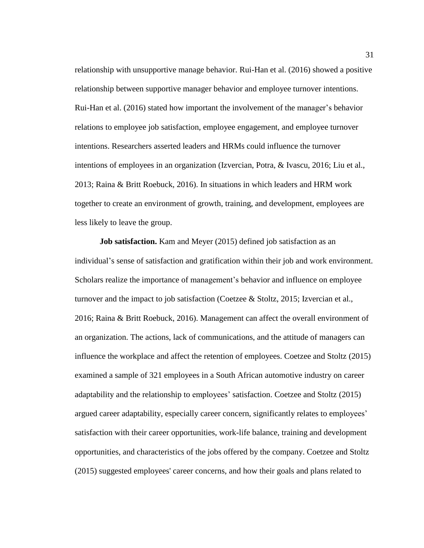relationship with unsupportive manage behavior. Rui-Han et al. (2016) showed a positive relationship between supportive manager behavior and employee turnover intentions. Rui-Han et al. (2016) stated how important the involvement of the manager's behavior relations to employee job satisfaction, employee engagement, and employee turnover intentions. Researchers asserted leaders and HRMs could influence the turnover intentions of employees in an organization (Izvercian, Potra, & Ivascu, 2016; Liu et al., 2013; Raina & Britt Roebuck, 2016). In situations in which leaders and HRM work together to create an environment of growth, training, and development, employees are less likely to leave the group.

**Job satisfaction.** Kam and Meyer (2015) defined job satisfaction as an individual's sense of satisfaction and gratification within their job and work environment. Scholars realize the importance of management's behavior and influence on employee turnover and the impact to job satisfaction (Coetzee & Stoltz, 2015; Izvercian et al., 2016; Raina & Britt Roebuck, 2016). Management can affect the overall environment of an organization. The actions, lack of communications, and the attitude of managers can influence the workplace and affect the retention of employees. Coetzee and Stoltz (2015) examined a sample of 321 employees in a South African automotive industry on career adaptability and the relationship to employees' satisfaction. Coetzee and Stoltz (2015) argued career adaptability, especially career concern, significantly relates to employees' satisfaction with their career opportunities, work-life balance, training and development opportunities, and characteristics of the jobs offered by the company. Coetzee and Stoltz (2015) suggested employees' career concerns, and how their goals and plans related to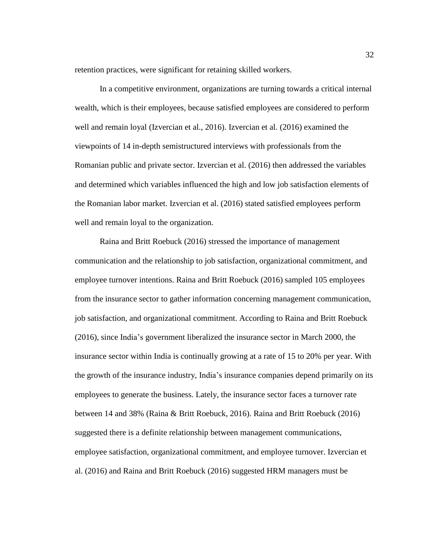retention practices, were significant for retaining skilled workers.

In a competitive environment, organizations are turning towards a critical internal wealth, which is their employees, because satisfied employees are considered to perform well and remain loyal (Izvercian et al., 2016). Izvercian et al. (2016) examined the viewpoints of 14 in-depth semistructured interviews with professionals from the Romanian public and private sector. Izvercian et al. (2016) then addressed the variables and determined which variables influenced the high and low job satisfaction elements of the Romanian labor market. Izvercian et al. (2016) stated satisfied employees perform well and remain loyal to the organization.

Raina and Britt Roebuck (2016) stressed the importance of management communication and the relationship to job satisfaction, organizational commitment, and employee turnover intentions. Raina and Britt Roebuck (2016) sampled 105 employees from the insurance sector to gather information concerning management communication, job satisfaction, and organizational commitment. According to Raina and Britt Roebuck (2016), since India's government liberalized the insurance sector in March 2000, the insurance sector within India is continually growing at a rate of 15 to 20% per year. With the growth of the insurance industry, India's insurance companies depend primarily on its employees to generate the business. Lately, the insurance sector faces a turnover rate between 14 and 38% (Raina & Britt Roebuck, 2016). Raina and Britt Roebuck (2016) suggested there is a definite relationship between management communications, employee satisfaction, organizational commitment, and employee turnover. Izvercian et al. (2016) and Raina and Britt Roebuck (2016) suggested HRM managers must be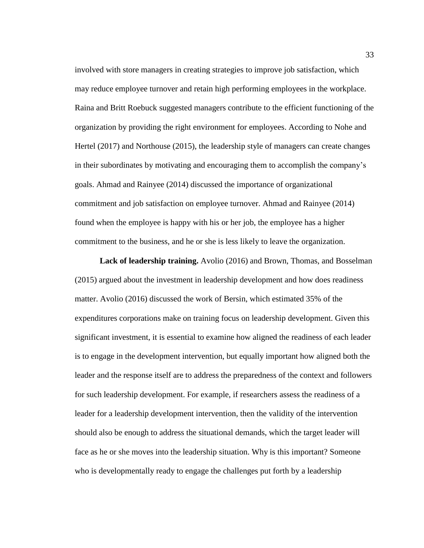involved with store managers in creating strategies to improve job satisfaction, which may reduce employee turnover and retain high performing employees in the workplace. Raina and Britt Roebuck suggested managers contribute to the efficient functioning of the organization by providing the right environment for employees. According to Nohe and Hertel (2017) and Northouse (2015), the leadership style of managers can create changes in their subordinates by motivating and encouraging them to accomplish the company's goals. Ahmad and Rainyee (2014) discussed the importance of organizational commitment and job satisfaction on employee turnover. Ahmad and Rainyee (2014) found when the employee is happy with his or her job, the employee has a higher commitment to the business, and he or she is less likely to leave the organization.

**Lack of leadership training.** Avolio (2016) and Brown, Thomas, and Bosselman (2015) argued about the investment in leadership development and how does readiness matter. Avolio (2016) discussed the work of Bersin, which estimated 35% of the expenditures corporations make on training focus on leadership development. Given this significant investment, it is essential to examine how aligned the readiness of each leader is to engage in the development intervention, but equally important how aligned both the leader and the response itself are to address the preparedness of the context and followers for such leadership development. For example, if researchers assess the readiness of a leader for a leadership development intervention, then the validity of the intervention should also be enough to address the situational demands, which the target leader will face as he or she moves into the leadership situation. Why is this important? Someone who is developmentally ready to engage the challenges put forth by a leadership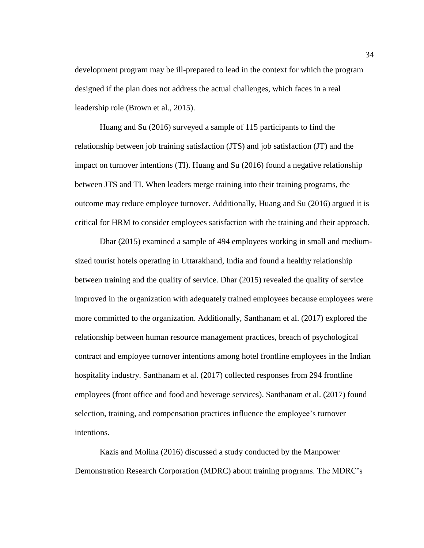development program may be ill-prepared to lead in the context for which the program designed if the plan does not address the actual challenges, which faces in a real leadership role (Brown et al., 2015).

Huang and Su (2016) surveyed a sample of 115 participants to find the relationship between job training satisfaction (JTS) and job satisfaction (JT) and the impact on turnover intentions (TI). Huang and Su (2016) found a negative relationship between JTS and TI. When leaders merge training into their training programs, the outcome may reduce employee turnover. Additionally, Huang and Su (2016) argued it is critical for HRM to consider employees satisfaction with the training and their approach.

Dhar (2015) examined a sample of 494 employees working in small and mediumsized tourist hotels operating in Uttarakhand, India and found a healthy relationship between training and the quality of service. Dhar (2015) revealed the quality of service improved in the organization with adequately trained employees because employees were more committed to the organization. Additionally, Santhanam et al. (2017) explored the relationship between human resource management practices, breach of psychological contract and employee turnover intentions among hotel frontline employees in the Indian hospitality industry. Santhanam et al. (2017) collected responses from 294 frontline employees (front office and food and beverage services). Santhanam et al. (2017) found selection, training, and compensation practices influence the employee's turnover intentions.

Kazis and Molina (2016) discussed a study conducted by the Manpower Demonstration Research Corporation (MDRC) about training programs. The MDRC's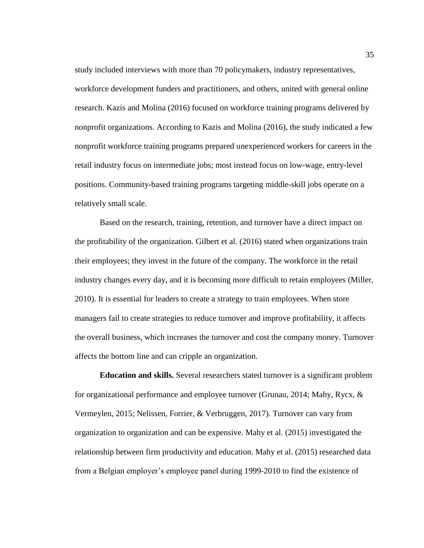study included interviews with more than 70 policymakers, industry representatives, workforce development funders and practitioners, and others, united with general online research. Kazis and Molina (2016) focused on workforce training programs delivered by nonprofit organizations. According to Kazis and Molina (2016), the study indicated a few nonprofit workforce training programs prepared unexperienced workers for careers in the retail industry focus on intermediate jobs; most instead focus on low-wage, entry-level positions. Community-based training programs targeting middle-skill jobs operate on a relatively small scale.

Based on the research, training, retention, and turnover have a direct impact on the profitability of the organization. Gilbert et al. (2016) stated when organizations train their employees; they invest in the future of the company. The workforce in the retail industry changes every day, and it is becoming more difficult to retain employees (Miller, 2010). It is essential for leaders to create a strategy to train employees. When store managers fail to create strategies to reduce turnover and improve profitability, it affects the overall business, which increases the turnover and cost the company money. Turnover affects the bottom line and can cripple an organization.

**Education and skills.** Several researchers stated turnover is a significant problem for organizational performance and employee turnover (Grunau, 2014; Mahy, Rycx, & Vermeylen, 2015; Nelissen, Forrier, & Verbruggen, 2017). Turnover can vary from organization to organization and can be expensive. Mahy et al. (2015) investigated the relationship between firm productivity and education. Mahy et al. (2015) researched data from a Belgian employer's employee panel during 1999-2010 to find the existence of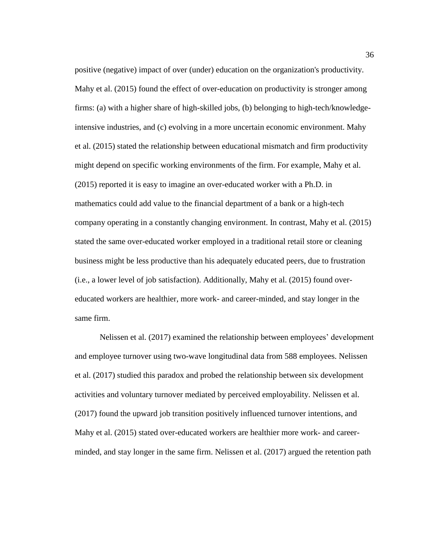positive (negative) impact of over (under) education on the organization's productivity. Mahy et al. (2015) found the effect of over-education on productivity is stronger among firms: (a) with a higher share of high-skilled jobs, (b) belonging to high-tech/knowledgeintensive industries, and (c) evolving in a more uncertain economic environment. Mahy et al. (2015) stated the relationship between educational mismatch and firm productivity might depend on specific working environments of the firm. For example, Mahy et al. (2015) reported it is easy to imagine an over-educated worker with a Ph.D. in mathematics could add value to the financial department of a bank or a high-tech company operating in a constantly changing environment. In contrast, Mahy et al. (2015) stated the same over-educated worker employed in a traditional retail store or cleaning business might be less productive than his adequately educated peers, due to frustration (i.e., a lower level of job satisfaction). Additionally, Mahy et al. (2015) found overeducated workers are healthier, more work- and career-minded, and stay longer in the same firm.

Nelissen et al. (2017) examined the relationship between employees' development and employee turnover using two-wave longitudinal data from 588 employees. Nelissen et al. (2017) studied this paradox and probed the relationship between six development activities and voluntary turnover mediated by perceived employability. Nelissen et al. (2017) found the upward job transition positively influenced turnover intentions, and Mahy et al. (2015) stated over-educated workers are healthier more work- and careerminded, and stay longer in the same firm. Nelissen et al. (2017) argued the retention path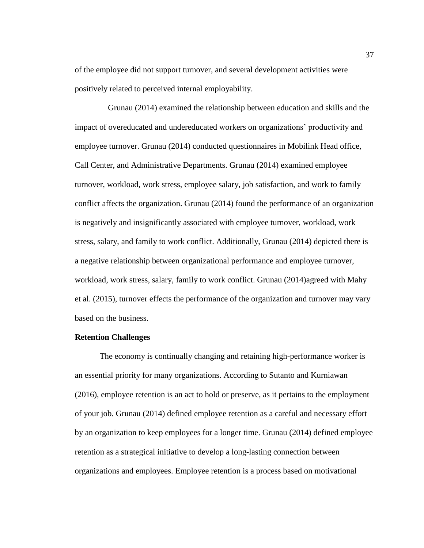of the employee did not support turnover, and several development activities were positively related to perceived internal employability.

 Grunau (2014) examined the relationship between education and skills and the impact of overeducated and undereducated workers on organizations' productivity and employee turnover. Grunau (2014) conducted questionnaires in Mobilink Head office, Call Center, and Administrative Departments. Grunau (2014) examined employee turnover, workload, work stress, employee salary, job satisfaction, and work to family conflict affects the organization. Grunau (2014) found the performance of an organization is negatively and insignificantly associated with employee turnover, workload, work stress, salary, and family to work conflict. Additionally, Grunau (2014) depicted there is a negative relationship between organizational performance and employee turnover, workload, work stress, salary, family to work conflict. Grunau (2014)agreed with Mahy et al. (2015), turnover effects the performance of the organization and turnover may vary based on the business.

## **Retention Challenges**

The economy is continually changing and retaining high-performance worker is an essential priority for many organizations. According to Sutanto and Kurniawan (2016), employee retention is an act to hold or preserve, as it pertains to the employment of your job. Grunau (2014) defined employee retention as a careful and necessary effort by an organization to keep employees for a longer time. Grunau (2014) defined employee retention as a strategical initiative to develop a long-lasting connection between organizations and employees. Employee retention is a process based on motivational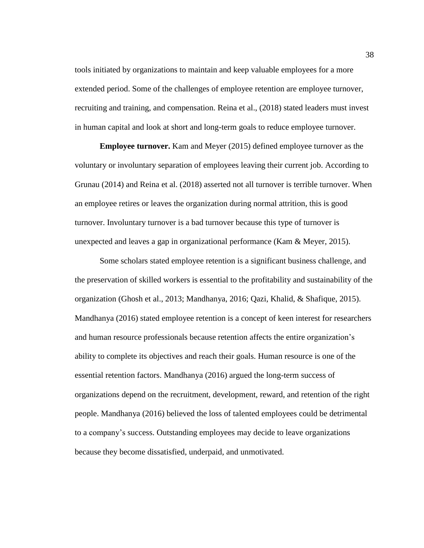tools initiated by organizations to maintain and keep valuable employees for a more extended period. Some of the challenges of employee retention are employee turnover, recruiting and training, and compensation. Reina et al., (2018) stated leaders must invest in human capital and look at short and long-term goals to reduce employee turnover.

**Employee turnover.** Kam and Meyer (2015) defined employee turnover as the voluntary or involuntary separation of employees leaving their current job. According to Grunau (2014) and Reina et al. (2018) asserted not all turnover is terrible turnover. When an employee retires or leaves the organization during normal attrition, this is good turnover. Involuntary turnover is a bad turnover because this type of turnover is unexpected and leaves a gap in organizational performance (Kam & Meyer, 2015).

Some scholars stated employee retention is a significant business challenge, and the preservation of skilled workers is essential to the profitability and sustainability of the organization (Ghosh et al., 2013; Mandhanya, 2016; Qazi, Khalid, & Shafique, 2015). Mandhanya (2016) stated employee retention is a concept of keen interest for researchers and human resource professionals because retention affects the entire organization's ability to complete its objectives and reach their goals. Human resource is one of the essential retention factors. Mandhanya (2016) argued the long-term success of organizations depend on the recruitment, development, reward, and retention of the right people. Mandhanya (2016) believed the loss of talented employees could be detrimental to a company's success. Outstanding employees may decide to leave organizations because they become dissatisfied, underpaid, and unmotivated.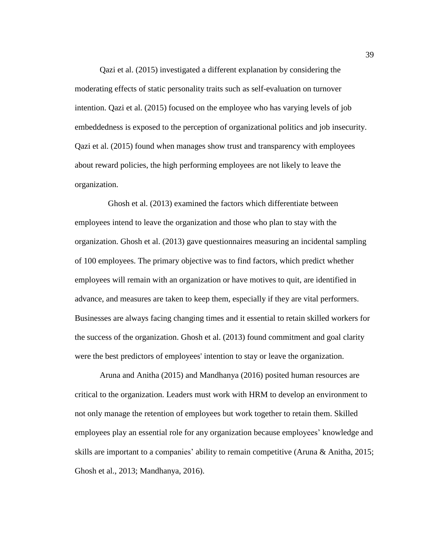Qazi et al. (2015) investigated a different explanation by considering the moderating effects of static personality traits such as self-evaluation on turnover intention. Qazi et al. (2015) focused on the employee who has varying levels of job embeddedness is exposed to the perception of organizational politics and job insecurity. Qazi et al. (2015) found when manages show trust and transparency with employees about reward policies, the high performing employees are not likely to leave the organization.

 Ghosh et al. (2013) examined the factors which differentiate between employees intend to leave the organization and those who plan to stay with the organization. Ghosh et al. (2013) gave questionnaires measuring an incidental sampling of 100 employees. The primary objective was to find factors, which predict whether employees will remain with an organization or have motives to quit, are identified in advance, and measures are taken to keep them, especially if they are vital performers. Businesses are always facing changing times and it essential to retain skilled workers for the success of the organization. Ghosh et al. (2013) found commitment and goal clarity were the best predictors of employees' intention to stay or leave the organization.

Aruna and Anitha (2015) and Mandhanya (2016) posited human resources are critical to the organization. Leaders must work with HRM to develop an environment to not only manage the retention of employees but work together to retain them. Skilled employees play an essential role for any organization because employees' knowledge and skills are important to a companies' ability to remain competitive (Aruna & Anitha, 2015; Ghosh et al., 2013; Mandhanya, 2016).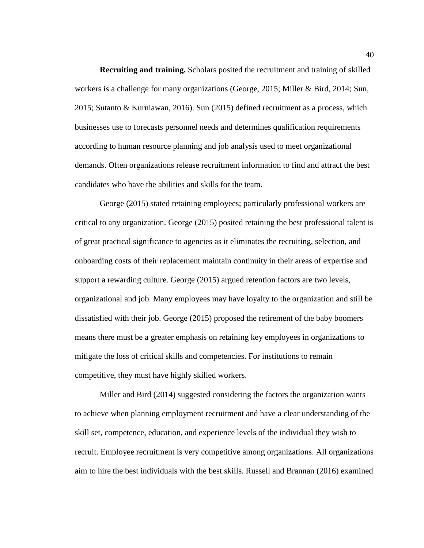**Recruiting and training.** Scholars posited the recruitment and training of skilled workers is a challenge for many organizations (George, 2015; Miller & Bird, 2014; Sun, 2015; Sutanto & Kurniawan, 2016). Sun (2015) defined recruitment as a process, which businesses use to forecasts personnel needs and determines qualification requirements according to human resource planning and job analysis used to meet organizational demands. Often organizations release recruitment information to find and attract the best candidates who have the abilities and skills for the team.

George (2015) stated retaining employees; particularly professional workers are critical to any organization. George (2015) posited retaining the best professional talent is of great practical significance to agencies as it eliminates the recruiting, selection, and onboarding costs of their replacement maintain continuity in their areas of expertise and support a rewarding culture. George (2015) argued retention factors are two levels, organizational and job. Many employees may have loyalty to the organization and still be dissatisfied with their job. George (2015) proposed the retirement of the baby boomers means there must be a greater emphasis on retaining key employees in organizations to mitigate the loss of critical skills and competencies. For institutions to remain competitive, they must have highly skilled workers.

Miller and Bird (2014) suggested considering the factors the organization wants to achieve when planning employment recruitment and have a clear understanding of the skill set, competence, education, and experience levels of the individual they wish to recruit. Employee recruitment is very competitive among organizations. All organizations aim to hire the best individuals with the best skills. Russell and Brannan (2016) examined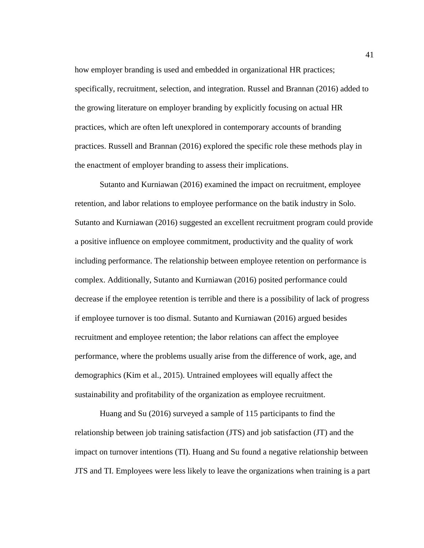how employer branding is used and embedded in organizational HR practices; specifically, recruitment, selection, and integration. Russel and Brannan (2016) added to the growing literature on employer branding by explicitly focusing on actual HR practices, which are often left unexplored in contemporary accounts of branding practices. Russell and Brannan (2016) explored the specific role these methods play in the enactment of employer branding to assess their implications.

Sutanto and Kurniawan (2016) examined the impact on recruitment, employee retention, and labor relations to employee performance on the batik industry in Solo. Sutanto and Kurniawan (2016) suggested an excellent recruitment program could provide a positive influence on employee commitment, productivity and the quality of work including performance. The relationship between employee retention on performance is complex. Additionally, Sutanto and Kurniawan (2016) posited performance could decrease if the employee retention is terrible and there is a possibility of lack of progress if employee turnover is too dismal. Sutanto and Kurniawan (2016) argued besides recruitment and employee retention; the labor relations can affect the employee performance, where the problems usually arise from the difference of work, age, and demographics (Kim et al., 2015). Untrained employees will equally affect the sustainability and profitability of the organization as employee recruitment.

Huang and Su (2016) surveyed a sample of 115 participants to find the relationship between job training satisfaction (JTS) and job satisfaction (JT) and the impact on turnover intentions (TI). Huang and Su found a negative relationship between JTS and TI. Employees were less likely to leave the organizations when training is a part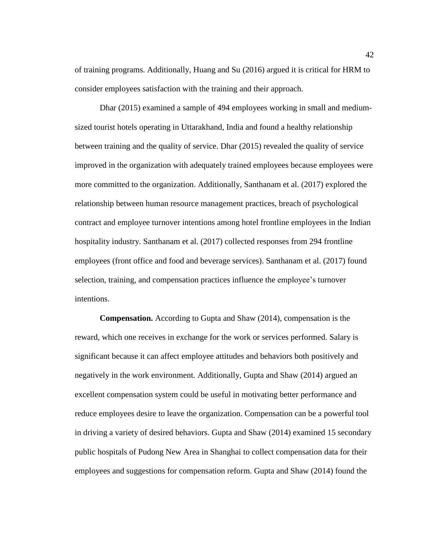of training programs. Additionally, Huang and Su (2016) argued it is critical for HRM to consider employees satisfaction with the training and their approach.

Dhar (2015) examined a sample of 494 employees working in small and mediumsized tourist hotels operating in Uttarakhand, India and found a healthy relationship between training and the quality of service. Dhar (2015) revealed the quality of service improved in the organization with adequately trained employees because employees were more committed to the organization. Additionally, Santhanam et al. (2017) explored the relationship between human resource management practices, breach of psychological contract and employee turnover intentions among hotel frontline employees in the Indian hospitality industry. Santhanam et al. (2017) collected responses from 294 frontline employees (front office and food and beverage services). Santhanam et al. (2017) found selection, training, and compensation practices influence the employee's turnover intentions.

**Compensation.** According to Gupta and Shaw (2014), compensation is the reward, which one receives in exchange for the work or services performed. Salary is significant because it can affect employee attitudes and behaviors both positively and negatively in the work environment. Additionally, Gupta and Shaw (2014) argued an excellent compensation system could be useful in motivating better performance and reduce employees desire to leave the organization. Compensation can be a powerful tool in driving a variety of desired behaviors. Gupta and Shaw (2014) examined 15 secondary public hospitals of Pudong New Area in Shanghai to collect compensation data for their employees and suggestions for compensation reform. Gupta and Shaw (2014) found the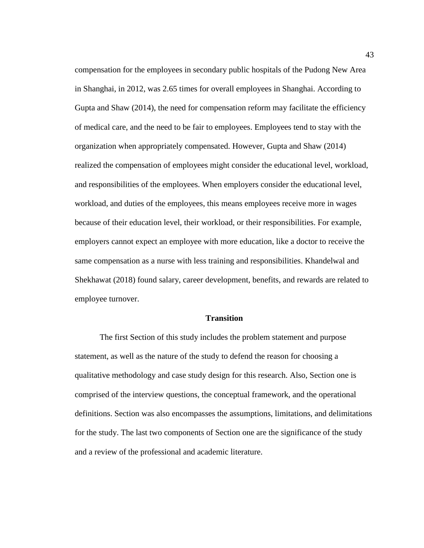compensation for the employees in secondary public hospitals of the Pudong New Area in Shanghai, in 2012, was 2.65 times for overall employees in Shanghai. According to Gupta and Shaw (2014), the need for compensation reform may facilitate the efficiency of medical care, and the need to be fair to employees. Employees tend to stay with the organization when appropriately compensated. However, Gupta and Shaw (2014) realized the compensation of employees might consider the educational level, workload, and responsibilities of the employees. When employers consider the educational level, workload, and duties of the employees, this means employees receive more in wages because of their education level, their workload, or their responsibilities. For example, employers cannot expect an employee with more education, like a doctor to receive the same compensation as a nurse with less training and responsibilities. Khandelwal and Shekhawat (2018) found salary, career development, benefits, and rewards are related to employee turnover.

#### **Transition**

The first Section of this study includes the problem statement and purpose statement, as well as the nature of the study to defend the reason for choosing a qualitative methodology and case study design for this research. Also, Section one is comprised of the interview questions, the conceptual framework, and the operational definitions. Section was also encompasses the assumptions, limitations, and delimitations for the study. The last two components of Section one are the significance of the study and a review of the professional and academic literature.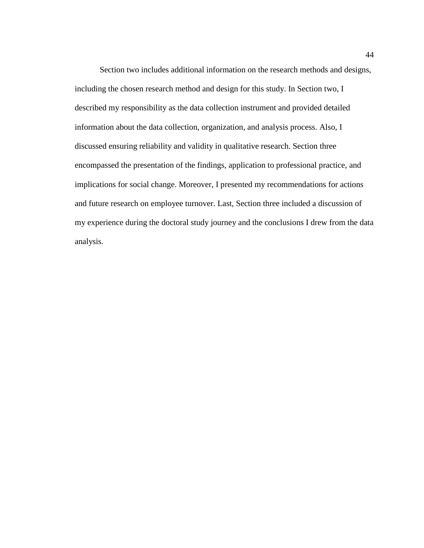Section two includes additional information on the research methods and designs, including the chosen research method and design for this study. In Section two, I described my responsibility as the data collection instrument and provided detailed information about the data collection, organization, and analysis process. Also, I discussed ensuring reliability and validity in qualitative research. Section three encompassed the presentation of the findings, application to professional practice, and implications for social change. Moreover, I presented my recommendations for actions and future research on employee turnover. Last, Section three included a discussion of my experience during the doctoral study journey and the conclusions I drew from the data analysis.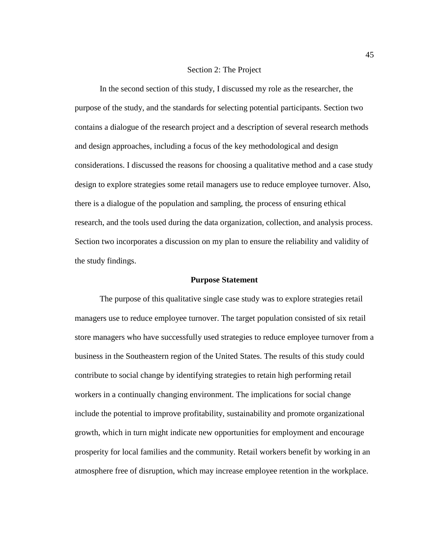# Section 2: The Project

In the second section of this study, I discussed my role as the researcher, the purpose of the study, and the standards for selecting potential participants. Section two contains a dialogue of the research project and a description of several research methods and design approaches, including a focus of the key methodological and design considerations. I discussed the reasons for choosing a qualitative method and a case study design to explore strategies some retail managers use to reduce employee turnover. Also, there is a dialogue of the population and sampling, the process of ensuring ethical research, and the tools used during the data organization, collection, and analysis process. Section two incorporates a discussion on my plan to ensure the reliability and validity of the study findings.

#### **Purpose Statement**

The purpose of this qualitative single case study was to explore strategies retail managers use to reduce employee turnover. The target population consisted of six retail store managers who have successfully used strategies to reduce employee turnover from a business in the Southeastern region of the United States. The results of this study could contribute to social change by identifying strategies to retain high performing retail workers in a continually changing environment. The implications for social change include the potential to improve profitability, sustainability and promote organizational growth, which in turn might indicate new opportunities for employment and encourage prosperity for local families and the community. Retail workers benefit by working in an atmosphere free of disruption, which may increase employee retention in the workplace.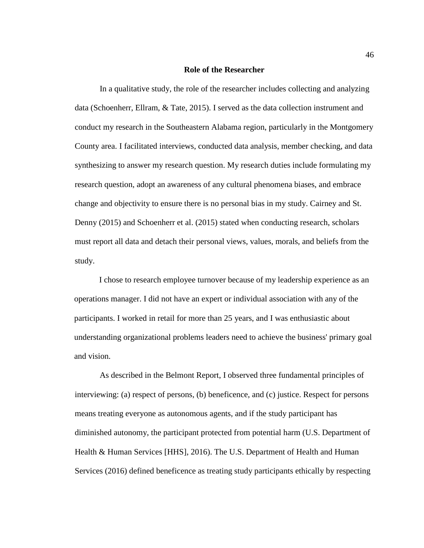#### **Role of the Researcher**

In a qualitative study, the role of the researcher includes collecting and analyzing data (Schoenherr, Ellram, & Tate, 2015). I served as the data collection instrument and conduct my research in the Southeastern Alabama region, particularly in the Montgomery County area. I facilitated interviews, conducted data analysis, member checking, and data synthesizing to answer my research question. My research duties include formulating my research question, adopt an awareness of any cultural phenomena biases, and embrace change and objectivity to ensure there is no personal bias in my study. Cairney and St. Denny (2015) and Schoenherr et al. (2015) stated when conducting research, scholars must report all data and detach their personal views, values, morals, and beliefs from the study.

I chose to research employee turnover because of my leadership experience as an operations manager. I did not have an expert or individual association with any of the participants. I worked in retail for more than 25 years, and I was enthusiastic about understanding organizational problems leaders need to achieve the business' primary goal and vision.

As described in the Belmont Report, I observed three fundamental principles of interviewing: (a) respect of persons, (b) beneficence, and (c) justice. Respect for persons means treating everyone as autonomous agents, and if the study participant has diminished autonomy, the participant protected from potential harm (U.S. Department of Health & Human Services [HHS], 2016). The U.S. Department of Health and Human Services (2016) defined beneficence as treating study participants ethically by respecting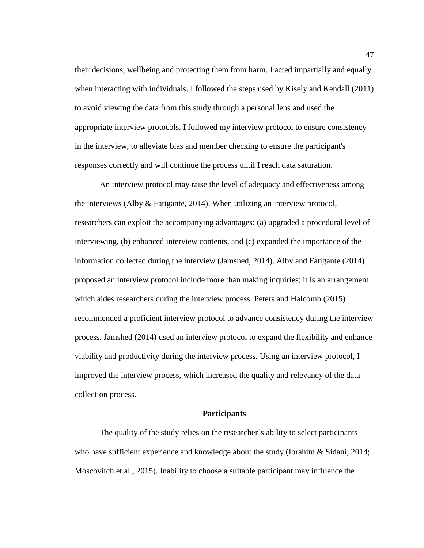their decisions, wellbeing and protecting them from harm. I acted impartially and equally when interacting with individuals. I followed the steps used by Kisely and Kendall (2011) to avoid viewing the data from this study through a personal lens and used the appropriate interview protocols. I followed my interview protocol to ensure consistency in the interview, to alleviate bias and member checking to ensure the participant's responses correctly and will continue the process until I reach data saturation.

An interview protocol may raise the level of adequacy and effectiveness among the interviews (Alby & Fatigante, 2014). When utilizing an interview protocol, researchers can exploit the accompanying advantages: (a) upgraded a procedural level of interviewing, (b) enhanced interview contents, and (c) expanded the importance of the information collected during the interview (Jamshed, 2014). Alby and Fatigante (2014) proposed an interview protocol include more than making inquiries; it is an arrangement which aides researchers during the interview process. Peters and Halcomb (2015) recommended a proficient interview protocol to advance consistency during the interview process. Jamshed (2014) used an interview protocol to expand the flexibility and enhance viability and productivity during the interview process. Using an interview protocol, I improved the interview process, which increased the quality and relevancy of the data collection process.

# **Participants**

The quality of the study relies on the researcher's ability to select participants who have sufficient experience and knowledge about the study (Ibrahim & Sidani, 2014; Moscovitch et al., 2015). Inability to choose a suitable participant may influence the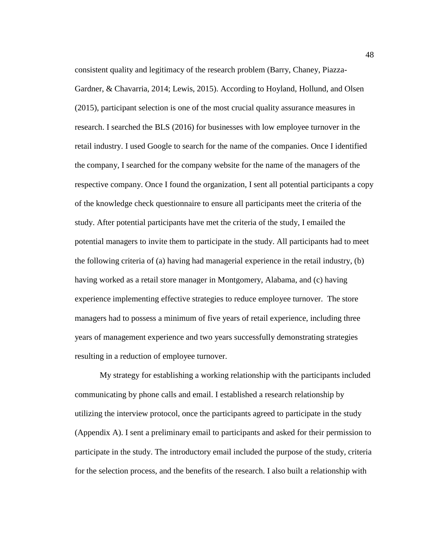consistent quality and legitimacy of the research problem (Barry, Chaney, Piazza-Gardner, & Chavarria, 2014; Lewis, 2015). According to Hoyland, Hollund, and Olsen (2015), participant selection is one of the most crucial quality assurance measures in research. I searched the BLS (2016) for businesses with low employee turnover in the retail industry. I used Google to search for the name of the companies. Once I identified the company, I searched for the company website for the name of the managers of the respective company. Once I found the organization, I sent all potential participants a copy of the knowledge check questionnaire to ensure all participants meet the criteria of the study. After potential participants have met the criteria of the study, I emailed the potential managers to invite them to participate in the study. All participants had to meet the following criteria of (a) having had managerial experience in the retail industry, (b) having worked as a retail store manager in Montgomery, Alabama, and (c) having experience implementing effective strategies to reduce employee turnover. The store managers had to possess a minimum of five years of retail experience, including three years of management experience and two years successfully demonstrating strategies resulting in a reduction of employee turnover.

My strategy for establishing a working relationship with the participants included communicating by phone calls and email. I established a research relationship by utilizing the interview protocol, once the participants agreed to participate in the study (Appendix A). I sent a preliminary email to participants and asked for their permission to participate in the study. The introductory email included the purpose of the study, criteria for the selection process, and the benefits of the research. I also built a relationship with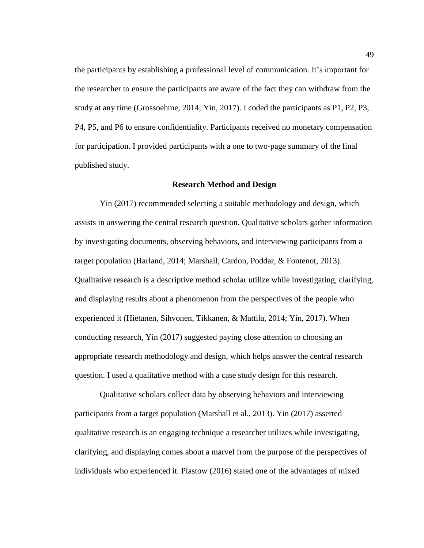the participants by establishing a professional level of communication. It's important for the researcher to ensure the participants are aware of the fact they can withdraw from the study at any time (Grossoehme, 2014; Yin, 2017). I coded the participants as P1, P2, P3, P4, P5, and P6 to ensure confidentiality. Participants received no monetary compensation for participation. I provided participants with a one to two-page summary of the final published study.

### **Research Method and Design**

Yin (2017) recommended selecting a suitable methodology and design, which assists in answering the central research question. Qualitative scholars gather information by investigating documents, observing behaviors, and interviewing participants from a target population (Harland, 2014; Marshall, Cardon, Poddar, & Fontenot, 2013). Qualitative research is a descriptive method scholar utilize while investigating, clarifying, and displaying results about a phenomenon from the perspectives of the people who experienced it (Hietanen, Sihvonen, Tikkanen, & Mattila, 2014; Yin, 2017). When conducting research, Yin (2017) suggested paying close attention to choosing an appropriate research methodology and design, which helps answer the central research question. I used a qualitative method with a case study design for this research.

Qualitative scholars collect data by observing behaviors and interviewing participants from a target population (Marshall et al., 2013). Yin (2017) asserted qualitative research is an engaging technique a researcher utilizes while investigating, clarifying, and displaying comes about a marvel from the purpose of the perspectives of individuals who experienced it. Plastow (2016) stated one of the advantages of mixed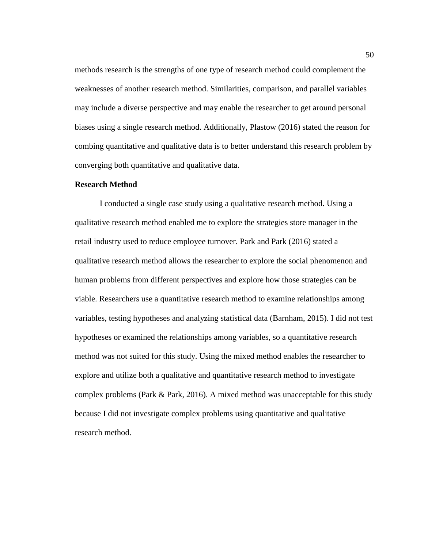methods research is the strengths of one type of research method could complement the weaknesses of another research method. Similarities, comparison, and parallel variables may include a diverse perspective and may enable the researcher to get around personal biases using a single research method. Additionally, Plastow (2016) stated the reason for combing quantitative and qualitative data is to better understand this research problem by converging both quantitative and qualitative data.

### **Research Method**

I conducted a single case study using a qualitative research method. Using a qualitative research method enabled me to explore the strategies store manager in the retail industry used to reduce employee turnover. Park and Park (2016) stated a qualitative research method allows the researcher to explore the social phenomenon and human problems from different perspectives and explore how those strategies can be viable. Researchers use a quantitative research method to examine relationships among variables, testing hypotheses and analyzing statistical data (Barnham, 2015). I did not test hypotheses or examined the relationships among variables, so a quantitative research method was not suited for this study. Using the mixed method enables the researcher to explore and utilize both a qualitative and quantitative research method to investigate complex problems (Park  $\&$  Park, 2016). A mixed method was unacceptable for this study because I did not investigate complex problems using quantitative and qualitative research method.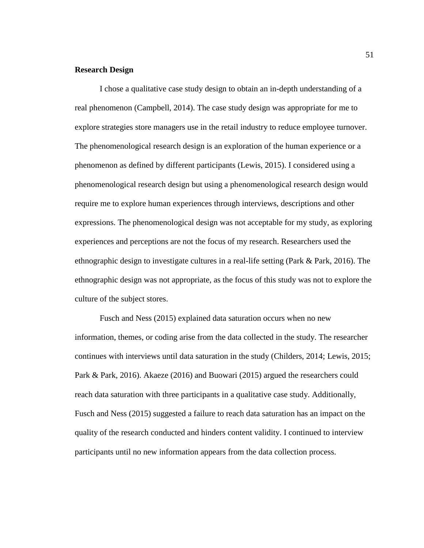# **Research Design**

I chose a qualitative case study design to obtain an in-depth understanding of a real phenomenon (Campbell, 2014). The case study design was appropriate for me to explore strategies store managers use in the retail industry to reduce employee turnover. The phenomenological research design is an exploration of the human experience or a phenomenon as defined by different participants (Lewis, 2015). I considered using a phenomenological research design but using a phenomenological research design would require me to explore human experiences through interviews, descriptions and other expressions. The phenomenological design was not acceptable for my study, as exploring experiences and perceptions are not the focus of my research. Researchers used the ethnographic design to investigate cultures in a real-life setting (Park & Park, 2016). The ethnographic design was not appropriate, as the focus of this study was not to explore the culture of the subject stores.

Fusch and Ness (2015) explained data saturation occurs when no new information, themes, or coding arise from the data collected in the study. The researcher continues with interviews until data saturation in the study (Childers, 2014; Lewis, 2015; Park & Park, 2016). Akaeze (2016) and Buowari (2015) argued the researchers could reach data saturation with three participants in a qualitative case study. Additionally, Fusch and Ness (2015) suggested a failure to reach data saturation has an impact on the quality of the research conducted and hinders content validity. I continued to interview participants until no new information appears from the data collection process.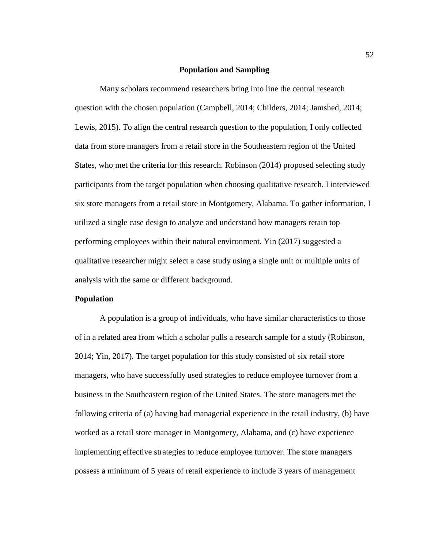# **Population and Sampling**

Many scholars recommend researchers bring into line the central research question with the chosen population (Campbell, 2014; Childers, 2014; Jamshed, 2014; Lewis, 2015). To align the central research question to the population, I only collected data from store managers from a retail store in the Southeastern region of the United States, who met the criteria for this research. Robinson (2014) proposed selecting study participants from the target population when choosing qualitative research. I interviewed six store managers from a retail store in Montgomery, Alabama. To gather information, I utilized a single case design to analyze and understand how managers retain top performing employees within their natural environment. Yin (2017) suggested a qualitative researcher might select a case study using a single unit or multiple units of analysis with the same or different background.

# **Population**

A population is a group of individuals, who have similar characteristics to those of in a related area from which a scholar pulls a research sample for a study (Robinson, 2014; Yin, 2017). The target population for this study consisted of six retail store managers, who have successfully used strategies to reduce employee turnover from a business in the Southeastern region of the United States. The store managers met the following criteria of (a) having had managerial experience in the retail industry, (b) have worked as a retail store manager in Montgomery, Alabama, and (c) have experience implementing effective strategies to reduce employee turnover. The store managers possess a minimum of 5 years of retail experience to include 3 years of management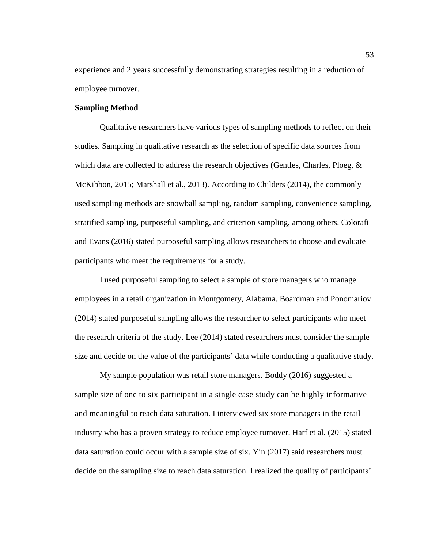experience and 2 years successfully demonstrating strategies resulting in a reduction of employee turnover.

### **Sampling Method**

Qualitative researchers have various types of sampling methods to reflect on their studies. Sampling in qualitative research as the selection of specific data sources from which data are collected to address the research objectives (Gentles, Charles, Ploeg,  $\&$ McKibbon, 2015; Marshall et al., 2013). According to Childers (2014), the commonly used sampling methods are snowball sampling, random sampling, convenience sampling, stratified sampling, purposeful sampling, and criterion sampling, among others. Colorafi and Evans (2016) stated purposeful sampling allows researchers to choose and evaluate participants who meet the requirements for a study.

I used purposeful sampling to select a sample of store managers who manage employees in a retail organization in Montgomery, Alabama. Boardman and Ponomariov (2014) stated purposeful sampling allows the researcher to select participants who meet the research criteria of the study. Lee (2014) stated researchers must consider the sample size and decide on the value of the participants' data while conducting a qualitative study.

My sample population was retail store managers. Boddy (2016) suggested a sample size of one to six participant in a single case study can be highly informative and meaningful to reach data saturation. I interviewed six store managers in the retail industry who has a proven strategy to reduce employee turnover. Harf et al. (2015) stated data saturation could occur with a sample size of six. Yin (2017) said researchers must decide on the sampling size to reach data saturation. I realized the quality of participants'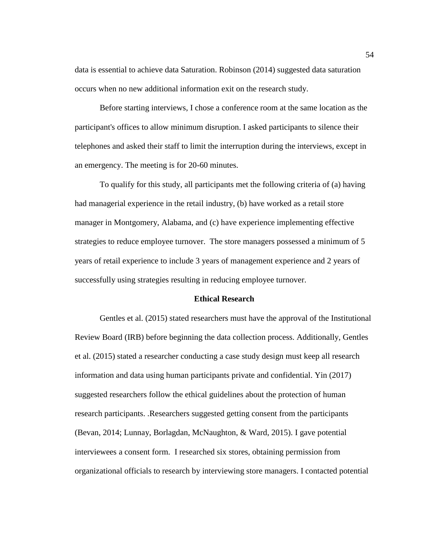data is essential to achieve data Saturation. Robinson (2014) suggested data saturation occurs when no new additional information exit on the research study.

Before starting interviews, I chose a conference room at the same location as the participant's offices to allow minimum disruption. I asked participants to silence their telephones and asked their staff to limit the interruption during the interviews, except in an emergency. The meeting is for 20-60 minutes.

To qualify for this study, all participants met the following criteria of (a) having had managerial experience in the retail industry, (b) have worked as a retail store manager in Montgomery, Alabama, and (c) have experience implementing effective strategies to reduce employee turnover. The store managers possessed a minimum of 5 years of retail experience to include 3 years of management experience and 2 years of successfully using strategies resulting in reducing employee turnover.

# **Ethical Research**

Gentles et al. (2015) stated researchers must have the approval of the Institutional Review Board (IRB) before beginning the data collection process. Additionally, Gentles et al. (2015) stated a researcher conducting a case study design must keep all research information and data using human participants private and confidential. Yin (2017) suggested researchers follow the ethical guidelines about the protection of human research participants. .Researchers suggested getting consent from the participants (Bevan, 2014; Lunnay, Borlagdan, McNaughton, & Ward, 2015). I gave potential interviewees a consent form. I researched six stores, obtaining permission from organizational officials to research by interviewing store managers. I contacted potential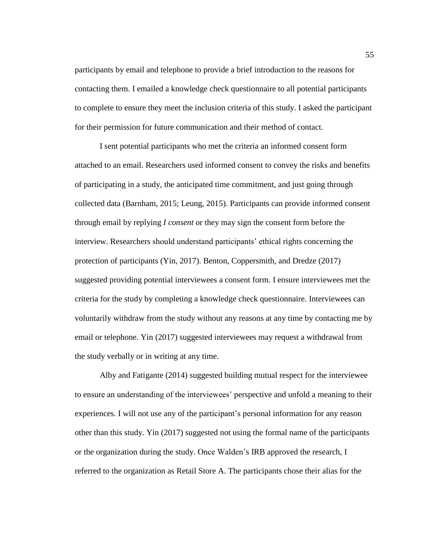participants by email and telephone to provide a brief introduction to the reasons for contacting them. I emailed a knowledge check questionnaire to all potential participants to complete to ensure they meet the inclusion criteria of this study. I asked the participant for their permission for future communication and their method of contact.

I sent potential participants who met the criteria an informed consent form attached to an email. Researchers used informed consent to convey the risks and benefits of participating in a study, the anticipated time commitment, and just going through collected data (Barnham, 2015; Leung, 2015). Participants can provide informed consent through email by replying *I consent* or they may sign the consent form before the interview. Researchers should understand participants' ethical rights concerning the protection of participants (Yin, 2017). Benton, Coppersmith, and Dredze (2017) suggested providing potential interviewees a consent form. I ensure interviewees met the criteria for the study by completing a knowledge check questionnaire. Interviewees can voluntarily withdraw from the study without any reasons at any time by contacting me by email or telephone. Yin (2017) suggested interviewees may request a withdrawal from the study verbally or in writing at any time.

Alby and Fatigante (2014) suggested building mutual respect for the interviewee to ensure an understanding of the interviewees' perspective and unfold a meaning to their experiences. I will not use any of the participant's personal information for any reason other than this study. Yin (2017) suggested not using the formal name of the participants or the organization during the study. Once Walden's IRB approved the research, I referred to the organization as Retail Store A. The participants chose their alias for the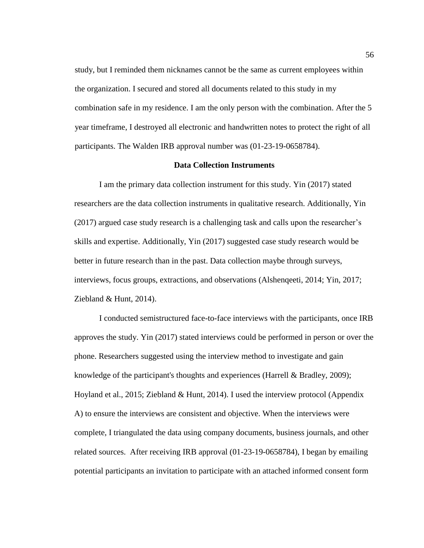study, but I reminded them nicknames cannot be the same as current employees within the organization. I secured and stored all documents related to this study in my combination safe in my residence. I am the only person with the combination. After the 5 year timeframe, I destroyed all electronic and handwritten notes to protect the right of all participants. The Walden IRB approval number was (01-23-19-0658784).

# **Data Collection Instruments**

I am the primary data collection instrument for this study. Yin (2017) stated researchers are the data collection instruments in qualitative research. Additionally, Yin (2017) argued case study research is a challenging task and calls upon the researcher's skills and expertise. Additionally, Yin (2017) suggested case study research would be better in future research than in the past. Data collection maybe through surveys, interviews, focus groups, extractions, and observations (Alshenqeeti, 2014; Yin, 2017; Ziebland & Hunt, 2014).

I conducted semistructured face-to-face interviews with the participants, once IRB approves the study. Yin (2017) stated interviews could be performed in person or over the phone. Researchers suggested using the interview method to investigate and gain knowledge of the participant's thoughts and experiences (Harrell & Bradley, 2009); Hoyland et al., 2015; Ziebland & Hunt, 2014). I used the interview protocol (Appendix A) to ensure the interviews are consistent and objective. When the interviews were complete, I triangulated the data using company documents, business journals, and other related sources. After receiving IRB approval (01-23-19-0658784), I began by emailing potential participants an invitation to participate with an attached informed consent form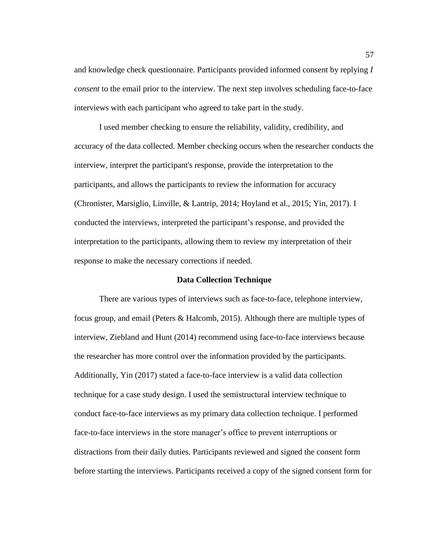and knowledge check questionnaire. Participants provided informed consent by replying *I consent* to the email prior to the interview. The next step involves scheduling face-to-face interviews with each participant who agreed to take part in the study.

I used member checking to ensure the reliability, validity, credibility, and accuracy of the data collected. Member checking occurs when the researcher conducts the interview, interpret the participant's response, provide the interpretation to the participants, and allows the participants to review the information for accuracy (Chronister, Marsiglio, Linville, & Lantrip, 2014; Hoyland et al., 2015; Yin, 2017). I conducted the interviews, interpreted the participant's response, and provided the interpretation to the participants, allowing them to review my interpretation of their response to make the necessary corrections if needed.

# **Data Collection Technique**

There are various types of interviews such as face-to-face, telephone interview, focus group, and email (Peters & Halcomb, 2015). Although there are multiple types of interview, Ziebland and Hunt (2014) recommend using face-to-face interviews because the researcher has more control over the information provided by the participants. Additionally, Yin (2017) stated a face-to-face interview is a valid data collection technique for a case study design. I used the semistructural interview technique to conduct face-to-face interviews as my primary data collection technique. I performed face-to-face interviews in the store manager's office to prevent interruptions or distractions from their daily duties. Participants reviewed and signed the consent form before starting the interviews. Participants received a copy of the signed consent form for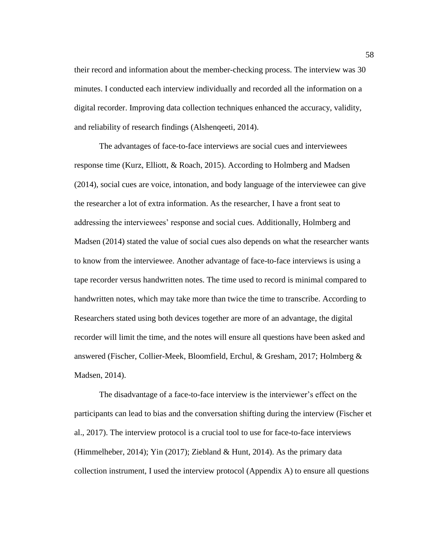their record and information about the member-checking process. The interview was 30 minutes. I conducted each interview individually and recorded all the information on a digital recorder. Improving data collection techniques enhanced the accuracy, validity, and reliability of research findings (Alshenqeeti, 2014).

The advantages of face-to-face interviews are social cues and interviewees response time (Kurz, Elliott, & Roach, 2015). According to Holmberg and Madsen (2014), social cues are voice, intonation, and body language of the interviewee can give the researcher a lot of extra information. As the researcher, I have a front seat to addressing the interviewees' response and social cues. Additionally, Holmberg and Madsen (2014) stated the value of social cues also depends on what the researcher wants to know from the interviewee. Another advantage of face-to-face interviews is using a tape recorder versus handwritten notes. The time used to record is minimal compared to handwritten notes, which may take more than twice the time to transcribe. According to Researchers stated using both devices together are more of an advantage, the digital recorder will limit the time, and the notes will ensure all questions have been asked and answered (Fischer, Collier-Meek, Bloomfield, Erchul, & Gresham, 2017; Holmberg & Madsen, 2014).

The disadvantage of a face-to-face interview is the interviewer's effect on the participants can lead to bias and the conversation shifting during the interview (Fischer et al., 2017). The interview protocol is a crucial tool to use for face-to-face interviews (Himmelheber, 2014); Yin (2017); Ziebland & Hunt, 2014). As the primary data collection instrument, I used the interview protocol (Appendix A) to ensure all questions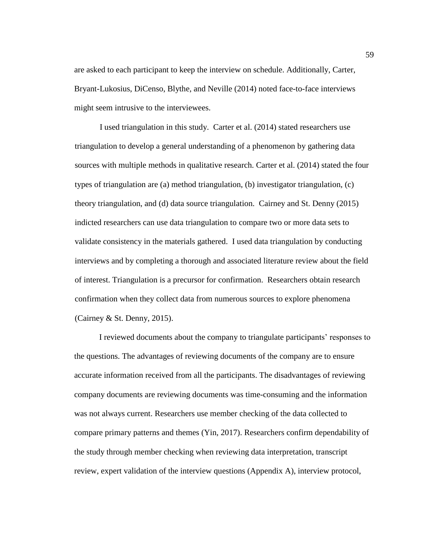are asked to each participant to keep the interview on schedule. Additionally, Carter, Bryant-Lukosius, DiCenso, Blythe, and Neville (2014) noted face-to-face interviews might seem intrusive to the interviewees.

I used triangulation in this study. Carter et al. (2014) stated researchers use triangulation to develop a general understanding of a phenomenon by gathering data sources with multiple methods in qualitative research. Carter et al. (2014) stated the four types of triangulation are (a) method triangulation, (b) investigator triangulation, (c) theory triangulation, and (d) data source triangulation. Cairney and St. Denny (2015) indicted researchers can use data triangulation to compare two or more data sets to validate consistency in the materials gathered. I used data triangulation by conducting interviews and by completing a thorough and associated literature review about the field of interest. Triangulation is a precursor for confirmation. Researchers obtain research confirmation when they collect data from numerous sources to explore phenomena (Cairney & St. Denny, 2015).

I reviewed documents about the company to triangulate participants' responses to the questions. The advantages of reviewing documents of the company are to ensure accurate information received from all the participants. The disadvantages of reviewing company documents are reviewing documents was time-consuming and the information was not always current. Researchers use member checking of the data collected to compare primary patterns and themes (Yin, 2017). Researchers confirm dependability of the study through member checking when reviewing data interpretation, transcript review, expert validation of the interview questions (Appendix A), interview protocol,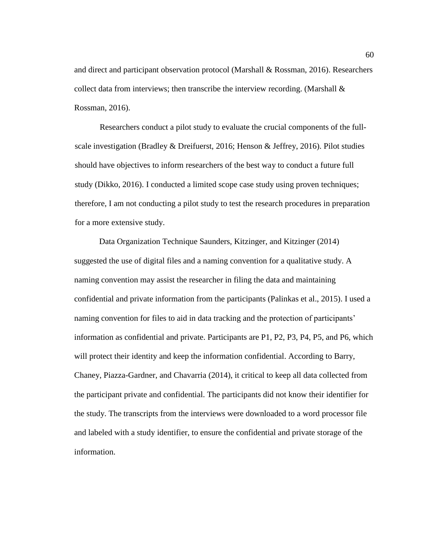and direct and participant observation protocol (Marshall & Rossman, 2016). Researchers collect data from interviews; then transcribe the interview recording. (Marshall  $\&$ Rossman, 2016).

Researchers conduct a pilot study to evaluate the crucial components of the fullscale investigation (Bradley & Dreifuerst, 2016; Henson & Jeffrey, 2016). Pilot studies should have objectives to inform researchers of the best way to conduct a future full study (Dikko, 2016). I conducted a limited scope case study using proven techniques; therefore, I am not conducting a pilot study to test the research procedures in preparation for a more extensive study.

Data Organization Technique Saunders, Kitzinger, and Kitzinger (2014) suggested the use of digital files and a naming convention for a qualitative study. A naming convention may assist the researcher in filing the data and maintaining confidential and private information from the participants (Palinkas et al., 2015). I used a naming convention for files to aid in data tracking and the protection of participants' information as confidential and private. Participants are P1, P2, P3, P4, P5, and P6, which will protect their identity and keep the information confidential. According to Barry, Chaney, Piazza-Gardner, and Chavarria (2014), it critical to keep all data collected from the participant private and confidential. The participants did not know their identifier for the study. The transcripts from the interviews were downloaded to a word processor file and labeled with a study identifier, to ensure the confidential and private storage of the information.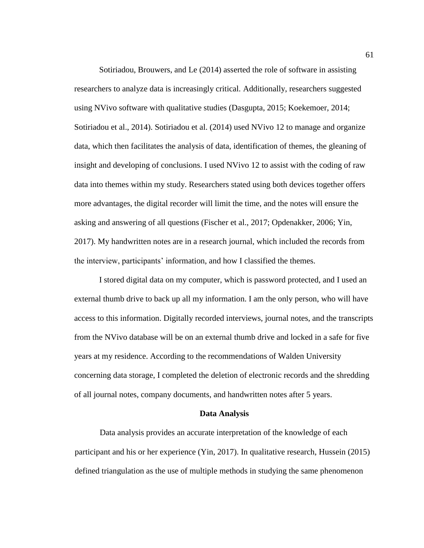Sotiriadou, Brouwers, and Le (2014) asserted the role of software in assisting researchers to analyze data is increasingly critical. Additionally, researchers suggested using NVivo software with qualitative studies (Dasgupta, 2015; Koekemoer, 2014; Sotiriadou et al., 2014). Sotiriadou et al. (2014) used NVivo 12 to manage and organize data, which then facilitates the analysis of data, identification of themes, the gleaning of insight and developing of conclusions. I used NVivo 12 to assist with the coding of raw data into themes within my study. Researchers stated using both devices together offers more advantages, the digital recorder will limit the time, and the notes will ensure the asking and answering of all questions (Fischer et al., 2017; Opdenakker, 2006; Yin, 2017). My handwritten notes are in a research journal, which included the records from the interview, participants' information, and how I classified the themes.

I stored digital data on my computer, which is password protected, and I used an external thumb drive to back up all my information. I am the only person, who will have access to this information. Digitally recorded interviews, journal notes, and the transcripts from the NVivo database will be on an external thumb drive and locked in a safe for five years at my residence. According to the recommendations of Walden University concerning data storage, I completed the deletion of electronic records and the shredding of all journal notes, company documents, and handwritten notes after 5 years.

#### **Data Analysis**

Data analysis provides an accurate interpretation of the knowledge of each participant and his or her experience (Yin, 2017). In qualitative research, Hussein (2015) defined triangulation as the use of multiple methods in studying the same phenomenon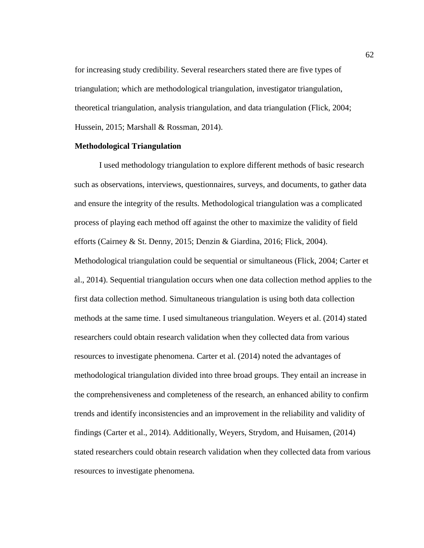for increasing study credibility. Several researchers stated there are five types of triangulation; which are methodological triangulation, investigator triangulation, theoretical triangulation, analysis triangulation, and data triangulation (Flick, 2004; Hussein, 2015; Marshall & Rossman, 2014).

#### **Methodological Triangulation**

I used methodology triangulation to explore different methods of basic research such as observations, interviews, questionnaires, surveys, and documents, to gather data and ensure the integrity of the results. Methodological triangulation was a complicated process of playing each method off against the other to maximize the validity of field efforts (Cairney & St. Denny, 2015; Denzin & Giardina, 2016; Flick, 2004). Methodological triangulation could be sequential or simultaneous (Flick, 2004; Carter et al., 2014). Sequential triangulation occurs when one data collection method applies to the first data collection method. Simultaneous triangulation is using both data collection methods at the same time. I used simultaneous triangulation. Weyers et al. (2014) stated researchers could obtain research validation when they collected data from various resources to investigate phenomena. Carter et al. (2014) noted the advantages of methodological triangulation divided into three broad groups. They entail an increase in the comprehensiveness and completeness of the research, an enhanced ability to confirm trends and identify inconsistencies and an improvement in the reliability and validity of findings (Carter et al., 2014). Additionally, Weyers, Strydom, and Huisamen, (2014) stated researchers could obtain research validation when they collected data from various resources to investigate phenomena.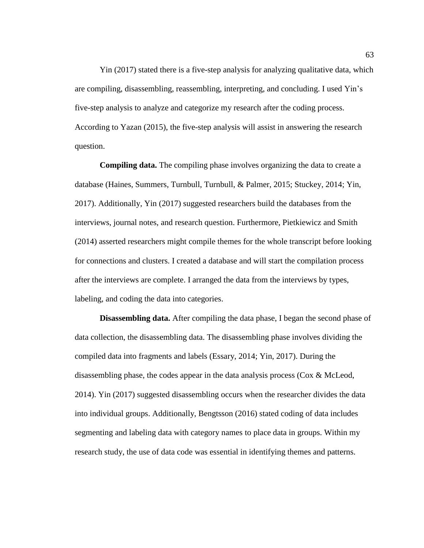Yin (2017) stated there is a five-step analysis for analyzing qualitative data, which are compiling, disassembling, reassembling, interpreting, and concluding. I used Yin's five-step analysis to analyze and categorize my research after the coding process. According to Yazan (2015), the five-step analysis will assist in answering the research question.

**Compiling data.** The compiling phase involves organizing the data to create a database (Haines, Summers, Turnbull, Turnbull, & Palmer, 2015; Stuckey, 2014; Yin, 2017). Additionally, Yin (2017) suggested researchers build the databases from the interviews, journal notes, and research question. Furthermore, Pietkiewicz and Smith (2014) asserted researchers might compile themes for the whole transcript before looking for connections and clusters. I created a database and will start the compilation process after the interviews are complete. I arranged the data from the interviews by types, labeling, and coding the data into categories.

**Disassembling data.** After compiling the data phase, I began the second phase of data collection, the disassembling data. The disassembling phase involves dividing the compiled data into fragments and labels (Essary, 2014; Yin, 2017). During the disassembling phase, the codes appear in the data analysis process ( $\cos \& \text{McLeod}$ , 2014). Yin (2017) suggested disassembling occurs when the researcher divides the data into individual groups. Additionally, Bengtsson (2016) stated coding of data includes segmenting and labeling data with category names to place data in groups. Within my research study, the use of data code was essential in identifying themes and patterns.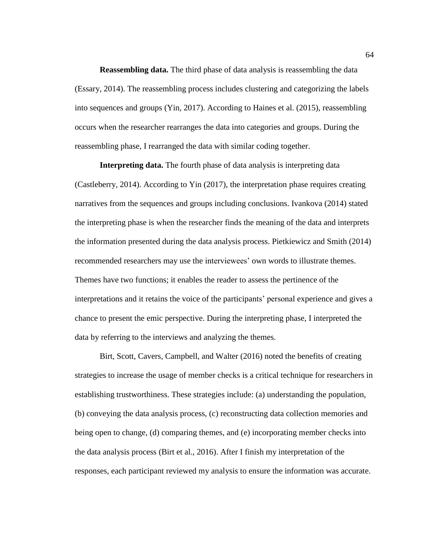**Reassembling data.** The third phase of data analysis is reassembling the data (Essary, 2014). The reassembling process includes clustering and categorizing the labels into sequences and groups (Yin, 2017). According to Haines et al. (2015), reassembling occurs when the researcher rearranges the data into categories and groups. During the reassembling phase, I rearranged the data with similar coding together.

**Interpreting data.** The fourth phase of data analysis is interpreting data (Castleberry, 2014). According to Yin (2017), the interpretation phase requires creating narratives from the sequences and groups including conclusions. Ivankova (2014) stated the interpreting phase is when the researcher finds the meaning of the data and interprets the information presented during the data analysis process. Pietkiewicz and Smith (2014) recommended researchers may use the interviewees' own words to illustrate themes. Themes have two functions; it enables the reader to assess the pertinence of the interpretations and it retains the voice of the participants' personal experience and gives a chance to present the emic perspective. During the interpreting phase, I interpreted the data by referring to the interviews and analyzing the themes.

Birt, Scott, Cavers, Campbell, and Walter (2016) noted the benefits of creating strategies to increase the usage of member checks is a critical technique for researchers in establishing trustworthiness. These strategies include: (a) understanding the population, (b) conveying the data analysis process, (c) reconstructing data collection memories and being open to change, (d) comparing themes, and (e) incorporating member checks into the data analysis process (Birt et al., 2016). After I finish my interpretation of the responses, each participant reviewed my analysis to ensure the information was accurate.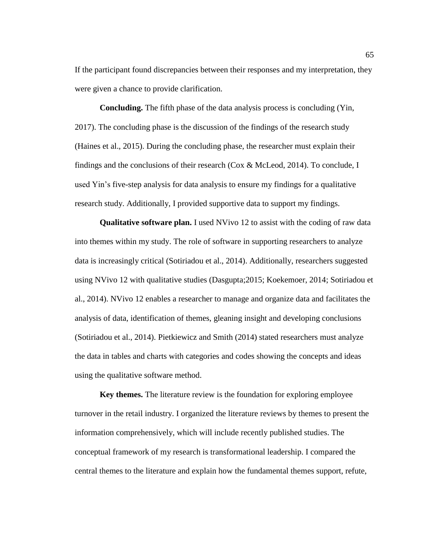If the participant found discrepancies between their responses and my interpretation, they were given a chance to provide clarification.

**Concluding.** The fifth phase of the data analysis process is concluding (Yin, 2017). The concluding phase is the discussion of the findings of the research study (Haines et al., 2015). During the concluding phase, the researcher must explain their findings and the conclusions of their research (Cox & McLeod, 2014). To conclude, I used Yin's five-step analysis for data analysis to ensure my findings for a qualitative research study. Additionally, I provided supportive data to support my findings.

**Qualitative software plan.** I used NVivo 12 to assist with the coding of raw data into themes within my study. The role of software in supporting researchers to analyze data is increasingly critical (Sotiriadou et al., 2014). Additionally, researchers suggested using NVivo 12 with qualitative studies (Dasgupta;2015; Koekemoer, 2014; Sotiriadou et al., 2014). NVivo 12 enables a researcher to manage and organize data and facilitates the analysis of data, identification of themes, gleaning insight and developing conclusions (Sotiriadou et al., 2014). Pietkiewicz and Smith (2014) stated researchers must analyze the data in tables and charts with categories and codes showing the concepts and ideas using the qualitative software method.

**Key themes.** The literature review is the foundation for exploring employee turnover in the retail industry. I organized the literature reviews by themes to present the information comprehensively, which will include recently published studies. The conceptual framework of my research is transformational leadership. I compared the central themes to the literature and explain how the fundamental themes support, refute,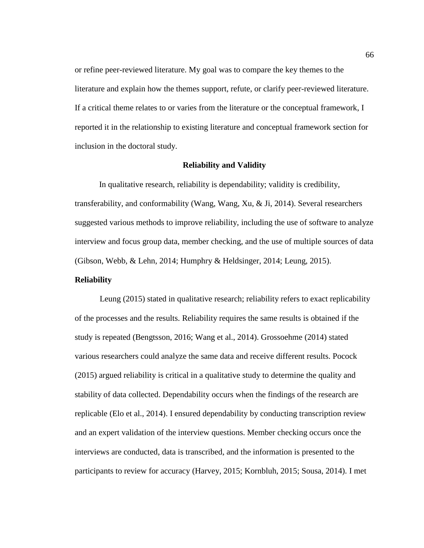or refine peer-reviewed literature. My goal was to compare the key themes to the literature and explain how the themes support, refute, or clarify peer-reviewed literature. If a critical theme relates to or varies from the literature or the conceptual framework, I reported it in the relationship to existing literature and conceptual framework section for inclusion in the doctoral study.

# **Reliability and Validity**

In qualitative research, reliability is dependability; validity is credibility, transferability, and conformability (Wang, Wang, Xu, & Ji, 2014). Several researchers suggested various methods to improve reliability, including the use of software to analyze interview and focus group data, member checking, and the use of multiple sources of data (Gibson, Webb, & Lehn, 2014; Humphry & Heldsinger, 2014; Leung, 2015).

# **Reliability**

Leung (2015) stated in qualitative research; reliability refers to exact replicability of the processes and the results. Reliability requires the same results is obtained if the study is repeated (Bengtsson, 2016; Wang et al., 2014). Grossoehme (2014) stated various researchers could analyze the same data and receive different results. Pocock (2015) argued reliability is critical in a qualitative study to determine the quality and stability of data collected. Dependability occurs when the findings of the research are replicable (Elo et al., 2014). I ensured dependability by conducting transcription review and an expert validation of the interview questions. Member checking occurs once the interviews are conducted, data is transcribed, and the information is presented to the participants to review for accuracy (Harvey, 2015; Kornbluh, 2015; Sousa, 2014). I met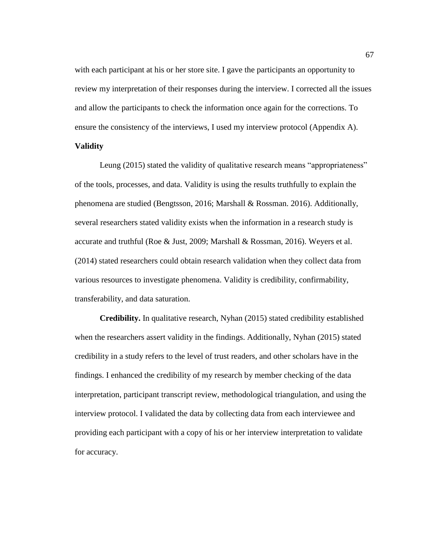with each participant at his or her store site. I gave the participants an opportunity to review my interpretation of their responses during the interview. I corrected all the issues and allow the participants to check the information once again for the corrections. To ensure the consistency of the interviews, I used my interview protocol (Appendix A).

# **Validity**

Leung (2015) stated the validity of qualitative research means "appropriateness" of the tools, processes, and data. Validity is using the results truthfully to explain the phenomena are studied (Bengtsson, 2016; Marshall & Rossman. 2016). Additionally, several researchers stated validity exists when the information in a research study is accurate and truthful (Roe & Just, 2009; Marshall & Rossman, 2016). Weyers et al. (2014) stated researchers could obtain research validation when they collect data from various resources to investigate phenomena. Validity is credibility, confirmability, transferability, and data saturation.

**Credibility.** In qualitative research, Nyhan (2015) stated credibility established when the researchers assert validity in the findings. Additionally, Nyhan (2015) stated credibility in a study refers to the level of trust readers, and other scholars have in the findings. I enhanced the credibility of my research by member checking of the data interpretation, participant transcript review, methodological triangulation, and using the interview protocol. I validated the data by collecting data from each interviewee and providing each participant with a copy of his or her interview interpretation to validate for accuracy.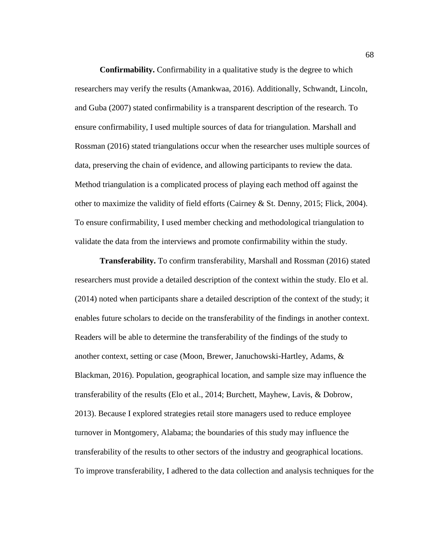**Confirmability.** Confirmability in a qualitative study is the degree to which researchers may verify the results (Amankwaa, 2016). Additionally, Schwandt, Lincoln, and Guba (2007) stated confirmability is a transparent description of the research. To ensure confirmability, I used multiple sources of data for triangulation. Marshall and Rossman (2016) stated triangulations occur when the researcher uses multiple sources of data, preserving the chain of evidence, and allowing participants to review the data. Method triangulation is a complicated process of playing each method off against the other to maximize the validity of field efforts (Cairney & St. Denny, 2015; Flick, 2004). To ensure confirmability, I used member checking and methodological triangulation to validate the data from the interviews and promote confirmability within the study.

**Transferability.** To confirm transferability, Marshall and Rossman (2016) stated researchers must provide a detailed description of the context within the study. Elo et al. (2014) noted when participants share a detailed description of the context of the study; it enables future scholars to decide on the transferability of the findings in another context. Readers will be able to determine the transferability of the findings of the study to another context, setting or case (Moon, Brewer, Januchowski-Hartley, Adams, & Blackman, 2016). Population, geographical location, and sample size may influence the transferability of the results (Elo et al., 2014; Burchett, Mayhew, Lavis, & Dobrow, 2013). Because I explored strategies retail store managers used to reduce employee turnover in Montgomery, Alabama; the boundaries of this study may influence the transferability of the results to other sectors of the industry and geographical locations. To improve transferability, I adhered to the data collection and analysis techniques for the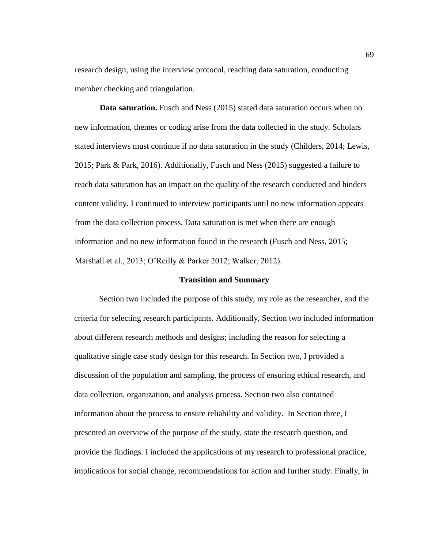research design, using the interview protocol, reaching data saturation, conducting member checking and triangulation.

**Data saturation.** Fusch and Ness (2015) stated data saturation occurs when no new information, themes or coding arise from the data collected in the study. Scholars stated interviews must continue if no data saturation in the study (Childers, 2014; Lewis, 2015; Park & Park, 2016). Additionally, Fusch and Ness (2015) suggested a failure to reach data saturation has an impact on the quality of the research conducted and hinders content validity. I continued to interview participants until no new information appears from the data collection process. Data saturation is met when there are enough information and no new information found in the research (Fusch and Ness, 2015; Marshall et al., 2013; O'Reilly & Parker 2012; Walker, 2012).

### **Transition and Summary**

Section two included the purpose of this study, my role as the researcher, and the criteria for selecting research participants. Additionally, Section two included information about different research methods and designs; including the reason for selecting a qualitative single case study design for this research. In Section two, I provided a discussion of the population and sampling, the process of ensuring ethical research, and data collection, organization, and analysis process. Section two also contained information about the process to ensure reliability and validity. In Section three, I presented an overview of the purpose of the study, state the research question, and provide the findings. I included the applications of my research to professional practice, implications for social change, recommendations for action and further study. Finally, in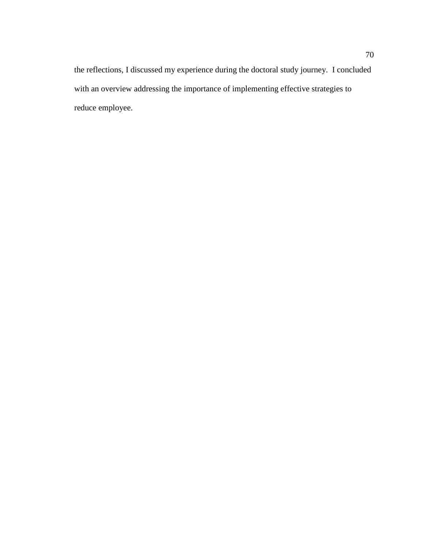the reflections, I discussed my experience during the doctoral study journey. I concluded with an overview addressing the importance of implementing effective strategies to reduce employee.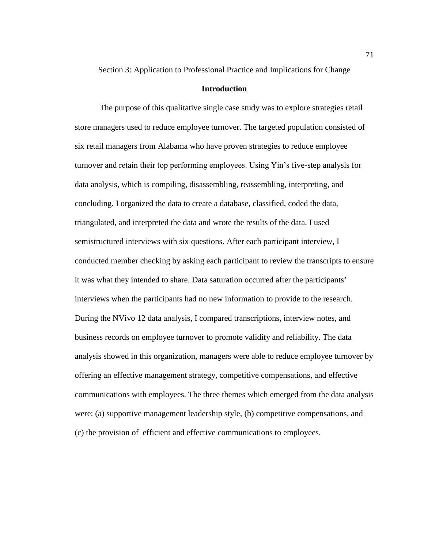Section 3: Application to Professional Practice and Implications for Change

# **Introduction**

The purpose of this qualitative single case study was to explore strategies retail store managers used to reduce employee turnover. The targeted population consisted of six retail managers from Alabama who have proven strategies to reduce employee turnover and retain their top performing employees. Using Yin's five-step analysis for data analysis, which is compiling, disassembling, reassembling, interpreting, and concluding. I organized the data to create a database, classified, coded the data, triangulated, and interpreted the data and wrote the results of the data. I used semistructured interviews with six questions. After each participant interview, I conducted member checking by asking each participant to review the transcripts to ensure it was what they intended to share. Data saturation occurred after the participants' interviews when the participants had no new information to provide to the research. During the NVivo 12 data analysis, I compared transcriptions, interview notes, and business records on employee turnover to promote validity and reliability. The data analysis showed in this organization, managers were able to reduce employee turnover by offering an effective management strategy, competitive compensations, and effective communications with employees. The three themes which emerged from the data analysis were: (a) supportive management leadership style, (b) competitive compensations, and (c) the provision of efficient and effective communications to employees.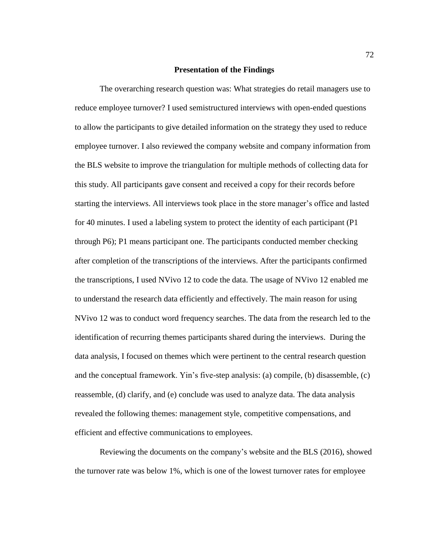### **Presentation of the Findings**

The overarching research question was: What strategies do retail managers use to reduce employee turnover? I used semistructured interviews with open-ended questions to allow the participants to give detailed information on the strategy they used to reduce employee turnover. I also reviewed the company website and company information from the BLS website to improve the triangulation for multiple methods of collecting data for this study. All participants gave consent and received a copy for their records before starting the interviews. All interviews took place in the store manager's office and lasted for 40 minutes. I used a labeling system to protect the identity of each participant (P1 through P6); P1 means participant one. The participants conducted member checking after completion of the transcriptions of the interviews. After the participants confirmed the transcriptions, I used NVivo 12 to code the data. The usage of NVivo 12 enabled me to understand the research data efficiently and effectively. The main reason for using NVivo 12 was to conduct word frequency searches. The data from the research led to the identification of recurring themes participants shared during the interviews. During the data analysis, I focused on themes which were pertinent to the central research question and the conceptual framework. Yin's five-step analysis: (a) compile, (b) disassemble, (c) reassemble, (d) clarify, and (e) conclude was used to analyze data. The data analysis revealed the following themes: management style, competitive compensations, and efficient and effective communications to employees.

Reviewing the documents on the company's website and the BLS (2016), showed the turnover rate was below 1%, which is one of the lowest turnover rates for employee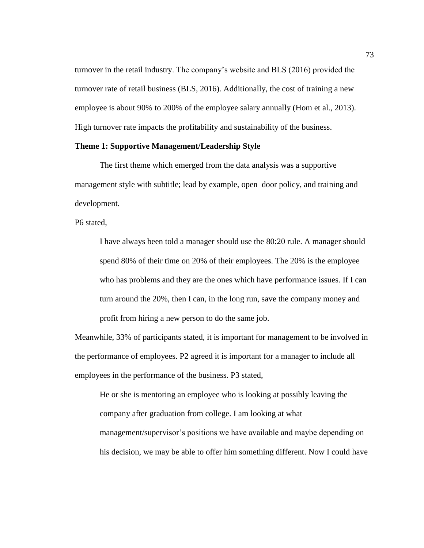turnover in the retail industry. The company's website and BLS (2016) provided the turnover rate of retail business (BLS, 2016). Additionally, the cost of training a new employee is about 90% to 200% of the employee salary annually (Hom et al., 2013). High turnover rate impacts the profitability and sustainability of the business.

# **Theme 1: Supportive Management/Leadership Style**

The first theme which emerged from the data analysis was a supportive management style with subtitle; lead by example, open–door policy, and training and development.

P6 stated,

I have always been told a manager should use the 80:20 rule. A manager should spend 80% of their time on 20% of their employees. The 20% is the employee who has problems and they are the ones which have performance issues. If I can turn around the 20%, then I can, in the long run, save the company money and profit from hiring a new person to do the same job.

Meanwhile, 33% of participants stated, it is important for management to be involved in the performance of employees. P2 agreed it is important for a manager to include all employees in the performance of the business. P3 stated,

He or she is mentoring an employee who is looking at possibly leaving the company after graduation from college. I am looking at what management/supervisor's positions we have available and maybe depending on his decision, we may be able to offer him something different. Now I could have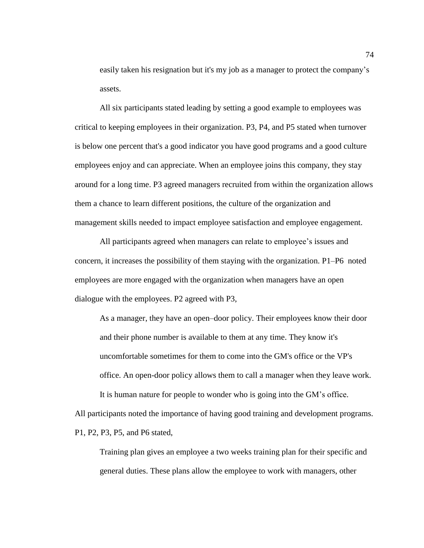easily taken his resignation but it's my job as a manager to protect the company's assets.

All six participants stated leading by setting a good example to employees was critical to keeping employees in their organization. P3, P4, and P5 stated when turnover is below one percent that's a good indicator you have good programs and a good culture employees enjoy and can appreciate. When an employee joins this company, they stay around for a long time. P3 agreed managers recruited from within the organization allows them a chance to learn different positions, the culture of the organization and management skills needed to impact employee satisfaction and employee engagement.

All participants agreed when managers can relate to employee's issues and concern, it increases the possibility of them staying with the organization. P1–P6 noted employees are more engaged with the organization when managers have an open dialogue with the employees. P2 agreed with P3,

As a manager, they have an open–door policy. Their employees know their door and their phone number is available to them at any time. They know it's uncomfortable sometimes for them to come into the GM's office or the VP's office. An open-door policy allows them to call a manager when they leave work. It is human nature for people to wonder who is going into the GM's office.

All participants noted the importance of having good training and development programs. P1, P2, P3, P5, and P6 stated,

Training plan gives an employee a two weeks training plan for their specific and general duties. These plans allow the employee to work with managers, other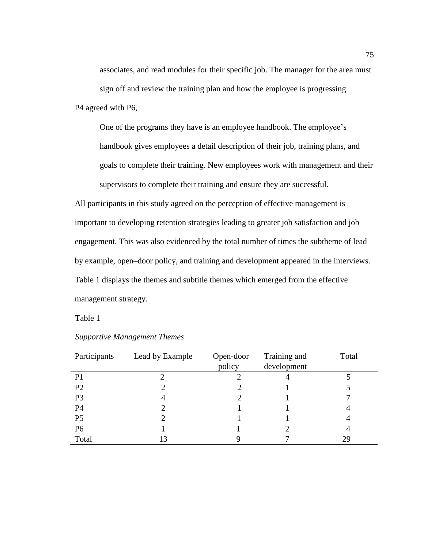associates, and read modules for their specific job. The manager for the area must sign off and review the training plan and how the employee is progressing.

P4 agreed with P6,

One of the programs they have is an employee handbook. The employee's handbook gives employees a detail description of their job, training plans, and goals to complete their training. New employees work with management and their supervisors to complete their training and ensure they are successful.

All participants in this study agreed on the perception of effective management is important to developing retention strategies leading to greater job satisfaction and job engagement. This was also evidenced by the total number of times the subtheme of lead by example, open–door policy, and training and development appeared in the interviews. Table 1 displays the themes and subtitle themes which emerged from the effective management strategy.

Table 1

| Participants   | Lead by Example | Open-door | Training and | Total |
|----------------|-----------------|-----------|--------------|-------|
|                |                 | policy    | development  |       |
| P <sub>1</sub> |                 |           |              |       |
| P <sub>2</sub> |                 |           |              |       |
| P <sub>3</sub> | 4               |           |              |       |
| P4             |                 |           |              |       |
| P <sub>5</sub> |                 |           |              |       |
| P <sub>6</sub> |                 |           |              |       |
| Total          | 13              |           |              | 29    |

# *Supportive Management Themes*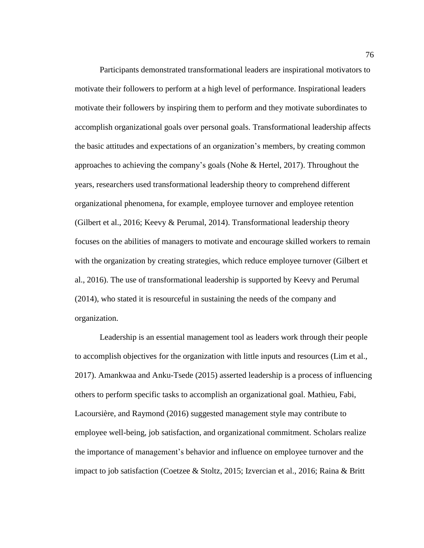Participants demonstrated transformational leaders are inspirational motivators to motivate their followers to perform at a high level of performance. Inspirational leaders motivate their followers by inspiring them to perform and they motivate subordinates to accomplish organizational goals over personal goals. Transformational leadership affects the basic attitudes and expectations of an organization's members, by creating common approaches to achieving the company's goals (Nohe & Hertel, 2017). Throughout the years, researchers used transformational leadership theory to comprehend different organizational phenomena, for example, employee turnover and employee retention (Gilbert et al., 2016; Keevy & Perumal, 2014). Transformational leadership theory focuses on the abilities of managers to motivate and encourage skilled workers to remain with the organization by creating strategies, which reduce employee turnover (Gilbert et al., 2016). The use of transformational leadership is supported by Keevy and Perumal (2014), who stated it is resourceful in sustaining the needs of the company and organization.

Leadership is an essential management tool as leaders work through their people to accomplish objectives for the organization with little inputs and resources (Lim et al., 2017). Amankwaa and Anku-Tsede (2015) asserted leadership is a process of influencing others to perform specific tasks to accomplish an organizational goal. Mathieu, Fabi, Lacoursière, and Raymond (2016) suggested management style may contribute to employee well-being, job satisfaction, and organizational commitment. Scholars realize the importance of management's behavior and influence on employee turnover and the impact to job satisfaction (Coetzee & Stoltz, 2015; Izvercian et al., 2016; Raina & Britt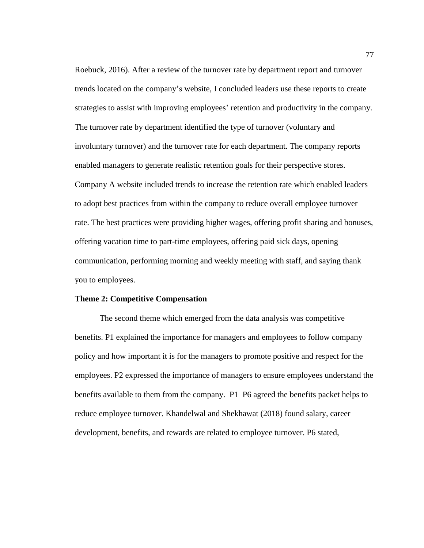Roebuck, 2016). After a review of the turnover rate by department report and turnover trends located on the company's website, I concluded leaders use these reports to create strategies to assist with improving employees' retention and productivity in the company. The turnover rate by department identified the type of turnover (voluntary and involuntary turnover) and the turnover rate for each department. The company reports enabled managers to generate realistic retention goals for their perspective stores. Company A website included trends to increase the retention rate which enabled leaders to adopt best practices from within the company to reduce overall employee turnover rate. The best practices were providing higher wages, offering profit sharing and bonuses, offering vacation time to part-time employees, offering paid sick days, opening communication, performing morning and weekly meeting with staff, and saying thank you to employees.

### **Theme 2: Competitive Compensation**

The second theme which emerged from the data analysis was competitive benefits. P1 explained the importance for managers and employees to follow company policy and how important it is for the managers to promote positive and respect for the employees. P2 expressed the importance of managers to ensure employees understand the benefits available to them from the company. P1–P6 agreed the benefits packet helps to reduce employee turnover. Khandelwal and Shekhawat (2018) found salary, career development, benefits, and rewards are related to employee turnover. P6 stated,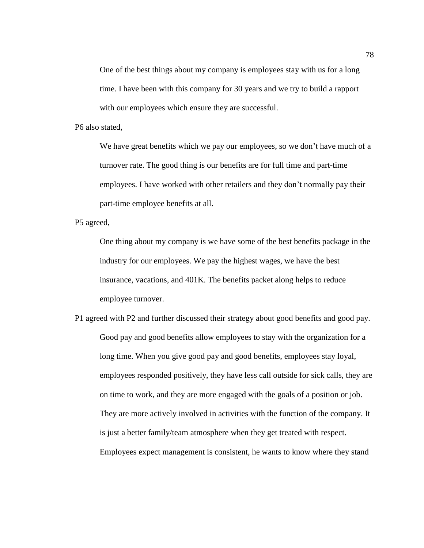One of the best things about my company is employees stay with us for a long time. I have been with this company for 30 years and we try to build a rapport with our employees which ensure they are successful.

P6 also stated,

We have great benefits which we pay our employees, so we don't have much of a turnover rate. The good thing is our benefits are for full time and part-time employees. I have worked with other retailers and they don't normally pay their part-time employee benefits at all.

P5 agreed,

One thing about my company is we have some of the best benefits package in the industry for our employees. We pay the highest wages, we have the best insurance, vacations, and 401K. The benefits packet along helps to reduce employee turnover.

P1 agreed with P2 and further discussed their strategy about good benefits and good pay. Good pay and good benefits allow employees to stay with the organization for a long time. When you give good pay and good benefits, employees stay loyal, employees responded positively, they have less call outside for sick calls, they are on time to work, and they are more engaged with the goals of a position or job. They are more actively involved in activities with the function of the company. It is just a better family/team atmosphere when they get treated with respect. Employees expect management is consistent, he wants to know where they stand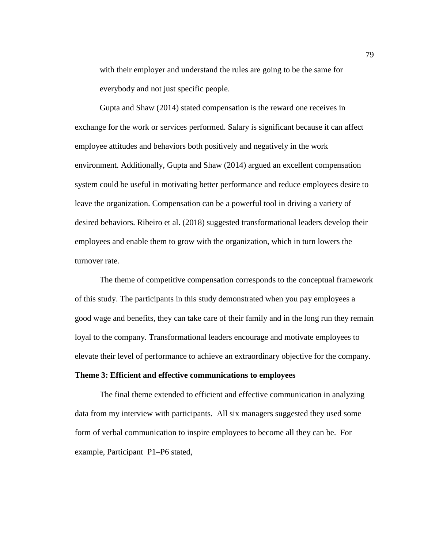with their employer and understand the rules are going to be the same for everybody and not just specific people.

Gupta and Shaw (2014) stated compensation is the reward one receives in exchange for the work or services performed. Salary is significant because it can affect employee attitudes and behaviors both positively and negatively in the work environment. Additionally, Gupta and Shaw (2014) argued an excellent compensation system could be useful in motivating better performance and reduce employees desire to leave the organization. Compensation can be a powerful tool in driving a variety of desired behaviors. Ribeiro et al. (2018) suggested transformational leaders develop their employees and enable them to grow with the organization, which in turn lowers the turnover rate.

The theme of competitive compensation corresponds to the conceptual framework of this study. The participants in this study demonstrated when you pay employees a good wage and benefits, they can take care of their family and in the long run they remain loyal to the company. Transformational leaders encourage and motivate employees to elevate their level of performance to achieve an extraordinary objective for the company.

# **Theme 3: Efficient and effective communications to employees**

The final theme extended to efficient and effective communication in analyzing data from my interview with participants. All six managers suggested they used some form of verbal communication to inspire employees to become all they can be. For example, Participant P1–P6 stated,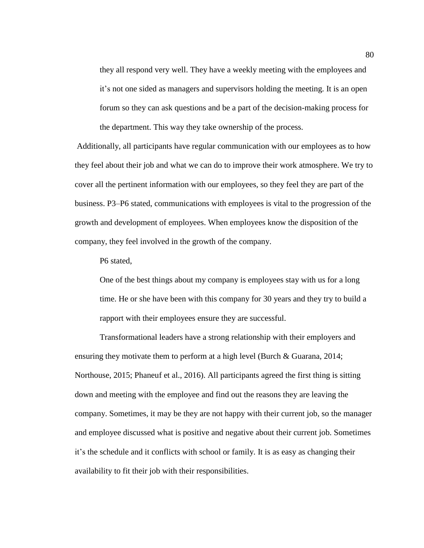they all respond very well. They have a weekly meeting with the employees and it's not one sided as managers and supervisors holding the meeting. It is an open forum so they can ask questions and be a part of the decision-making process for the department. This way they take ownership of the process.

Additionally, all participants have regular communication with our employees as to how they feel about their job and what we can do to improve their work atmosphere. We try to cover all the pertinent information with our employees, so they feel they are part of the business. P3–P6 stated, communications with employees is vital to the progression of the growth and development of employees. When employees know the disposition of the company, they feel involved in the growth of the company.

P6 stated,

One of the best things about my company is employees stay with us for a long time. He or she have been with this company for 30 years and they try to build a rapport with their employees ensure they are successful.

Transformational leaders have a strong relationship with their employers and ensuring they motivate them to perform at a high level (Burch & Guarana, 2014; Northouse, 2015; Phaneuf et al., 2016). All participants agreed the first thing is sitting down and meeting with the employee and find out the reasons they are leaving the company. Sometimes, it may be they are not happy with their current job, so the manager and employee discussed what is positive and negative about their current job. Sometimes it's the schedule and it conflicts with school or family. It is as easy as changing their availability to fit their job with their responsibilities.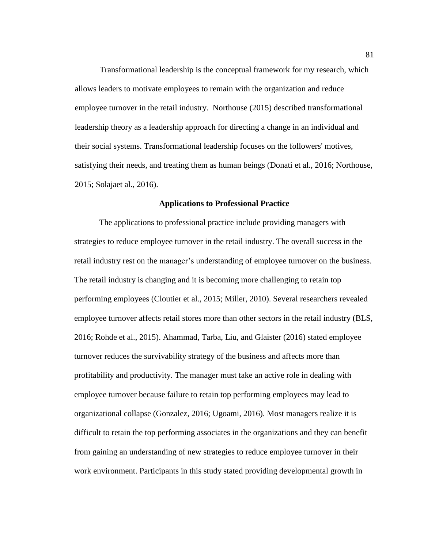Transformational leadership is the conceptual framework for my research, which allows leaders to motivate employees to remain with the organization and reduce employee turnover in the retail industry. Northouse (2015) described transformational leadership theory as a leadership approach for directing a change in an individual and their social systems. Transformational leadership focuses on the followers' motives, satisfying their needs, and treating them as human beings (Donati et al., 2016; Northouse, 2015; Solajaet al., 2016).

#### **Applications to Professional Practice**

The applications to professional practice include providing managers with strategies to reduce employee turnover in the retail industry. The overall success in the retail industry rest on the manager's understanding of employee turnover on the business. The retail industry is changing and it is becoming more challenging to retain top performing employees (Cloutier et al., 2015; Miller, 2010). Several researchers revealed employee turnover affects retail stores more than other sectors in the retail industry (BLS, 2016; Rohde et al., 2015). Ahammad, Tarba, Liu, and Glaister (2016) stated employee turnover reduces the survivability strategy of the business and affects more than profitability and productivity. The manager must take an active role in dealing with employee turnover because failure to retain top performing employees may lead to organizational collapse (Gonzalez, 2016; Ugoami, 2016). Most managers realize it is difficult to retain the top performing associates in the organizations and they can benefit from gaining an understanding of new strategies to reduce employee turnover in their work environment. Participants in this study stated providing developmental growth in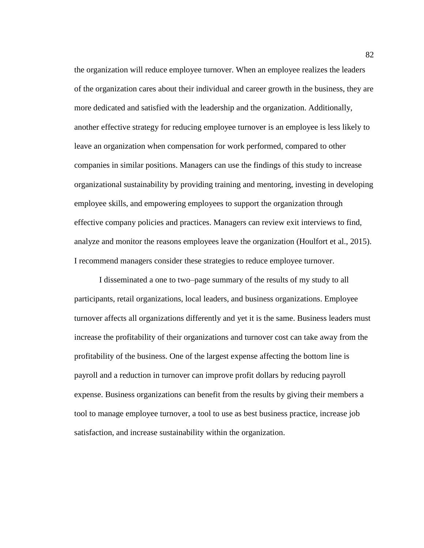the organization will reduce employee turnover. When an employee realizes the leaders of the organization cares about their individual and career growth in the business, they are more dedicated and satisfied with the leadership and the organization. Additionally, another effective strategy for reducing employee turnover is an employee is less likely to leave an organization when compensation for work performed, compared to other companies in similar positions. Managers can use the findings of this study to increase organizational sustainability by providing training and mentoring, investing in developing employee skills, and empowering employees to support the organization through effective company policies and practices. Managers can review exit interviews to find, analyze and monitor the reasons employees leave the organization (Houlfort et al., 2015). I recommend managers consider these strategies to reduce employee turnover.

I disseminated a one to two–page summary of the results of my study to all participants, retail organizations, local leaders, and business organizations. Employee turnover affects all organizations differently and yet it is the same. Business leaders must increase the profitability of their organizations and turnover cost can take away from the profitability of the business. One of the largest expense affecting the bottom line is payroll and a reduction in turnover can improve profit dollars by reducing payroll expense. Business organizations can benefit from the results by giving their members a tool to manage employee turnover, a tool to use as best business practice, increase job satisfaction, and increase sustainability within the organization.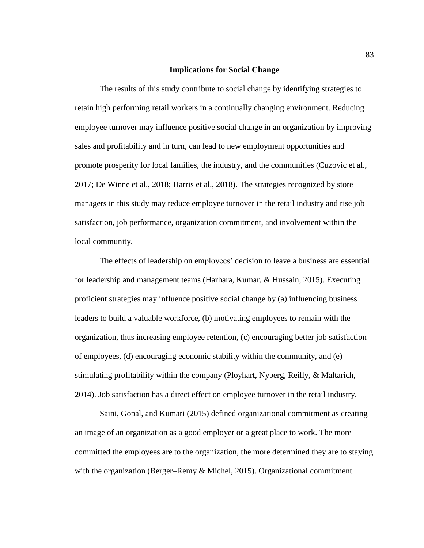### **Implications for Social Change**

The results of this study contribute to social change by identifying strategies to retain high performing retail workers in a continually changing environment. Reducing employee turnover may influence positive social change in an organization by improving sales and profitability and in turn, can lead to new employment opportunities and promote prosperity for local families, the industry, and the communities (Cuzovic et al., 2017; De Winne et al., 2018; Harris et al., 2018). The strategies recognized by store managers in this study may reduce employee turnover in the retail industry and rise job satisfaction, job performance, organization commitment, and involvement within the local community.

The effects of leadership on employees' decision to leave a business are essential for leadership and management teams (Harhara, Kumar, & Hussain, 2015). Executing proficient strategies may influence positive social change by (a) influencing business leaders to build a valuable workforce, (b) motivating employees to remain with the organization, thus increasing employee retention, (c) encouraging better job satisfaction of employees, (d) encouraging economic stability within the community, and (e) stimulating profitability within the company (Ployhart, Nyberg, Reilly, & Maltarich, 2014). Job satisfaction has a direct effect on employee turnover in the retail industry.

Saini, Gopal, and Kumari (2015) defined organizational commitment as creating an image of an organization as a good employer or a great place to work. The more committed the employees are to the organization, the more determined they are to staying with the organization (Berger–Remy & Michel, 2015). Organizational commitment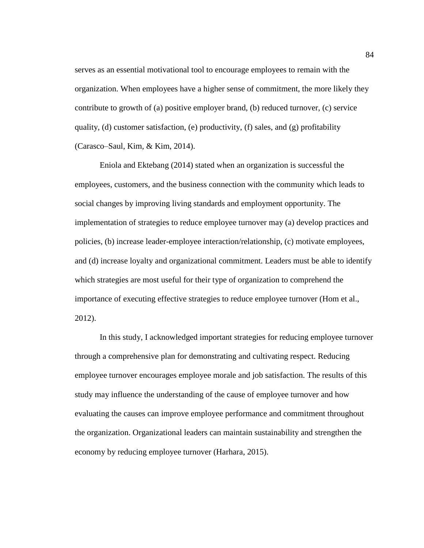serves as an essential motivational tool to encourage employees to remain with the organization. When employees have a higher sense of commitment, the more likely they contribute to growth of (a) positive employer brand, (b) reduced turnover, (c) service quality, (d) customer satisfaction, (e) productivity, (f) sales, and (g) profitability (Carasco–Saul, Kim, & Kim, 2014).

Eniola and Ektebang (2014) stated when an organization is successful the employees, customers, and the business connection with the community which leads to social changes by improving living standards and employment opportunity. The implementation of strategies to reduce employee turnover may (a) develop practices and policies, (b) increase leader-employee interaction/relationship, (c) motivate employees, and (d) increase loyalty and organizational commitment. Leaders must be able to identify which strategies are most useful for their type of organization to comprehend the importance of executing effective strategies to reduce employee turnover (Hom et al., 2012).

In this study, I acknowledged important strategies for reducing employee turnover through a comprehensive plan for demonstrating and cultivating respect. Reducing employee turnover encourages employee morale and job satisfaction. The results of this study may influence the understanding of the cause of employee turnover and how evaluating the causes can improve employee performance and commitment throughout the organization. Organizational leaders can maintain sustainability and strengthen the economy by reducing employee turnover (Harhara, 2015).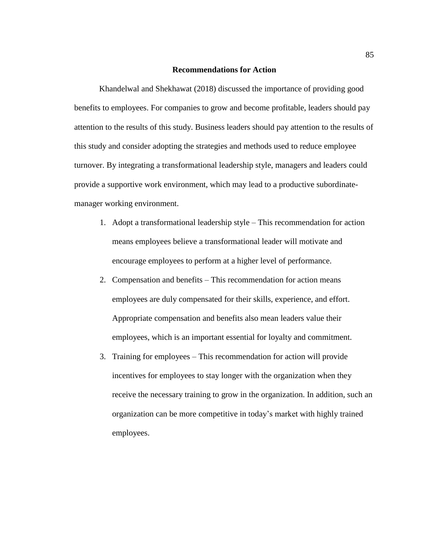# **Recommendations for Action**

Khandelwal and Shekhawat (2018) discussed the importance of providing good benefits to employees. For companies to grow and become profitable, leaders should pay attention to the results of this study. Business leaders should pay attention to the results of this study and consider adopting the strategies and methods used to reduce employee turnover. By integrating a transformational leadership style, managers and leaders could provide a supportive work environment, which may lead to a productive subordinatemanager working environment.

- 1. Adopt a transformational leadership style This recommendation for action means employees believe a transformational leader will motivate and encourage employees to perform at a higher level of performance.
- 2. Compensation and benefits This recommendation for action means employees are duly compensated for their skills, experience, and effort. Appropriate compensation and benefits also mean leaders value their employees, which is an important essential for loyalty and commitment.
- 3. Training for employees This recommendation for action will provide incentives for employees to stay longer with the organization when they receive the necessary training to grow in the organization. In addition, such an organization can be more competitive in today's market with highly trained employees.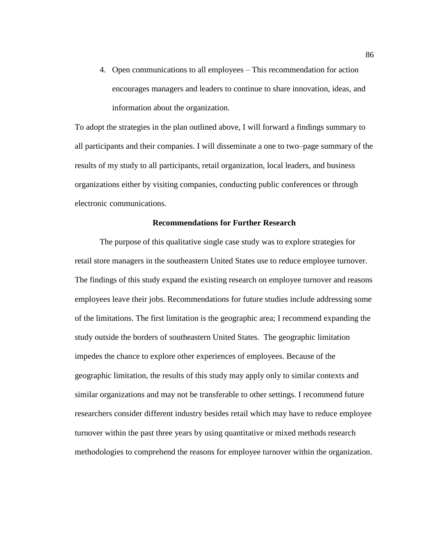4. Open communications to all employees – This recommendation for action encourages managers and leaders to continue to share innovation, ideas, and information about the organization.

To adopt the strategies in the plan outlined above, I will forward a findings summary to all participants and their companies. I will disseminate a one to two–page summary of the results of my study to all participants, retail organization, local leaders, and business organizations either by visiting companies, conducting public conferences or through electronic communications.

# **Recommendations for Further Research**

The purpose of this qualitative single case study was to explore strategies for retail store managers in the southeastern United States use to reduce employee turnover. The findings of this study expand the existing research on employee turnover and reasons employees leave their jobs. Recommendations for future studies include addressing some of the limitations. The first limitation is the geographic area; I recommend expanding the study outside the borders of southeastern United States. The geographic limitation impedes the chance to explore other experiences of employees. Because of the geographic limitation, the results of this study may apply only to similar contexts and similar organizations and may not be transferable to other settings. I recommend future researchers consider different industry besides retail which may have to reduce employee turnover within the past three years by using quantitative or mixed methods research methodologies to comprehend the reasons for employee turnover within the organization.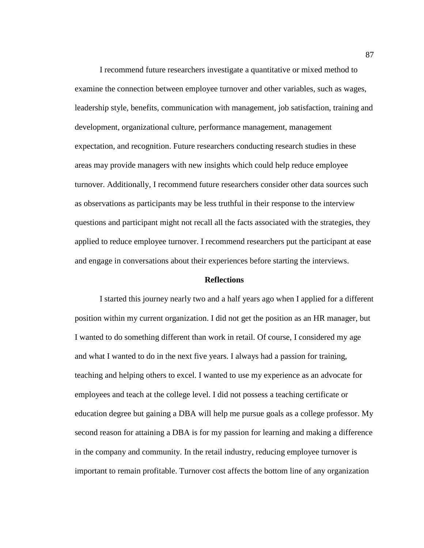I recommend future researchers investigate a quantitative or mixed method to examine the connection between employee turnover and other variables, such as wages, leadership style, benefits, communication with management, job satisfaction, training and development, organizational culture, performance management, management expectation, and recognition. Future researchers conducting research studies in these areas may provide managers with new insights which could help reduce employee turnover. Additionally, I recommend future researchers consider other data sources such as observations as participants may be less truthful in their response to the interview questions and participant might not recall all the facts associated with the strategies, they applied to reduce employee turnover. I recommend researchers put the participant at ease and engage in conversations about their experiences before starting the interviews.

### **Reflections**

I started this journey nearly two and a half years ago when I applied for a different position within my current organization. I did not get the position as an HR manager, but I wanted to do something different than work in retail. Of course, I considered my age and what I wanted to do in the next five years. I always had a passion for training, teaching and helping others to excel. I wanted to use my experience as an advocate for employees and teach at the college level. I did not possess a teaching certificate or education degree but gaining a DBA will help me pursue goals as a college professor. My second reason for attaining a DBA is for my passion for learning and making a difference in the company and community. In the retail industry, reducing employee turnover is important to remain profitable. Turnover cost affects the bottom line of any organization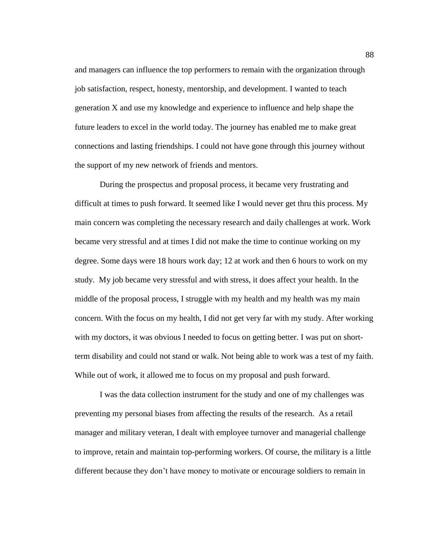and managers can influence the top performers to remain with the organization through job satisfaction, respect, honesty, mentorship, and development. I wanted to teach generation X and use my knowledge and experience to influence and help shape the future leaders to excel in the world today. The journey has enabled me to make great connections and lasting friendships. I could not have gone through this journey without the support of my new network of friends and mentors.

During the prospectus and proposal process, it became very frustrating and difficult at times to push forward. It seemed like I would never get thru this process. My main concern was completing the necessary research and daily challenges at work. Work became very stressful and at times I did not make the time to continue working on my degree. Some days were 18 hours work day; 12 at work and then 6 hours to work on my study. My job became very stressful and with stress, it does affect your health. In the middle of the proposal process, I struggle with my health and my health was my main concern. With the focus on my health, I did not get very far with my study. After working with my doctors, it was obvious I needed to focus on getting better. I was put on shortterm disability and could not stand or walk. Not being able to work was a test of my faith. While out of work, it allowed me to focus on my proposal and push forward.

I was the data collection instrument for the study and one of my challenges was preventing my personal biases from affecting the results of the research. As a retail manager and military veteran, I dealt with employee turnover and managerial challenge to improve, retain and maintain top-performing workers. Of course, the military is a little different because they don't have money to motivate or encourage soldiers to remain in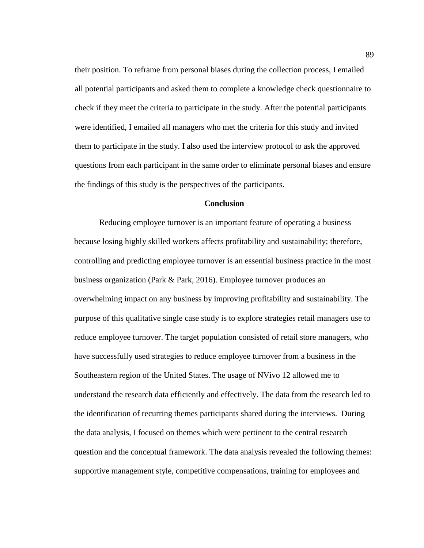their position. To reframe from personal biases during the collection process, I emailed all potential participants and asked them to complete a knowledge check questionnaire to check if they meet the criteria to participate in the study. After the potential participants were identified, I emailed all managers who met the criteria for this study and invited them to participate in the study. I also used the interview protocol to ask the approved questions from each participant in the same order to eliminate personal biases and ensure the findings of this study is the perspectives of the participants.

# **Conclusion**

Reducing employee turnover is an important feature of operating a business because losing highly skilled workers affects profitability and sustainability; therefore, controlling and predicting employee turnover is an essential business practice in the most business organization (Park & Park, 2016). Employee turnover produces an overwhelming impact on any business by improving profitability and sustainability. The purpose of this qualitative single case study is to explore strategies retail managers use to reduce employee turnover. The target population consisted of retail store managers, who have successfully used strategies to reduce employee turnover from a business in the Southeastern region of the United States. The usage of NVivo 12 allowed me to understand the research data efficiently and effectively. The data from the research led to the identification of recurring themes participants shared during the interviews. During the data analysis, I focused on themes which were pertinent to the central research question and the conceptual framework. The data analysis revealed the following themes: supportive management style, competitive compensations, training for employees and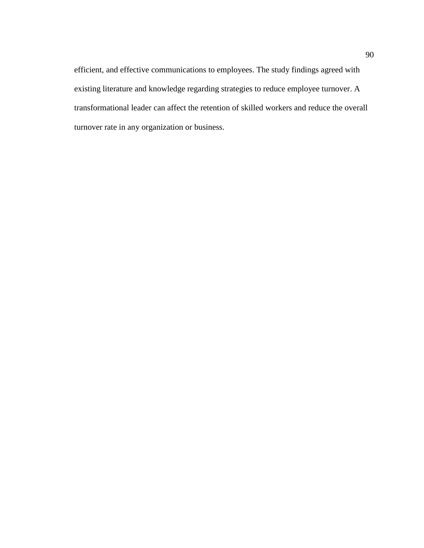efficient, and effective communications to employees. The study findings agreed with existing literature and knowledge regarding strategies to reduce employee turnover. A transformational leader can affect the retention of skilled workers and reduce the overall turnover rate in any organization or business.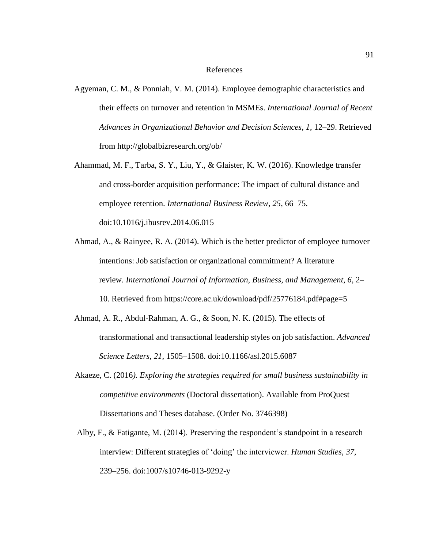### References

- Agyeman, C. M., & Ponniah, V. M. (2014). Employee demographic characteristics and their effects on turnover and retention in MSMEs. *International Journal of Recent Advances in Organizational Behavior and Decision Sciences, 1*, 12–29. Retrieved from http://globalbizresearch.org/ob/
- Ahammad, M. F., Tarba, S. Y., Liu, Y., & Glaister, K. W. (2016). Knowledge transfer and cross-border acquisition performance: The impact of cultural distance and employee retention. *International Business Review, 25*, 66–75. doi:10.1016/j.ibusrev.2014.06.015
- Ahmad, A., & Rainyee, R. A. (2014). Which is the better predictor of employee turnover intentions: Job satisfaction or organizational commitment? A literature review. *International Journal of Information, Business, and Management*, *6*, 2– 10. Retrieved from https://core.ac.uk/download/pdf/25776184.pdf#page=5
- Ahmad, A. R., Abdul-Rahman, A. G., & Soon, N. K. (2015). The effects of transformational and transactional leadership styles on job satisfaction. *Advanced Science Letters*, *21*, 1505–1508. doi:10.1166/asl.2015.6087
- Akaeze, C. (2016*). Exploring the strategies required for small business sustainability in competitive environments* (Doctoral dissertation). Available from ProQuest Dissertations and Theses database. (Order No. 3746398)
- Alby, F., & Fatigante, M. (2014). Preserving the respondent's standpoint in a research interview: Different strategies of 'doing' the interviewer. *Human Studies, 37*, 239–256. doi:1007/s10746-013-9292-y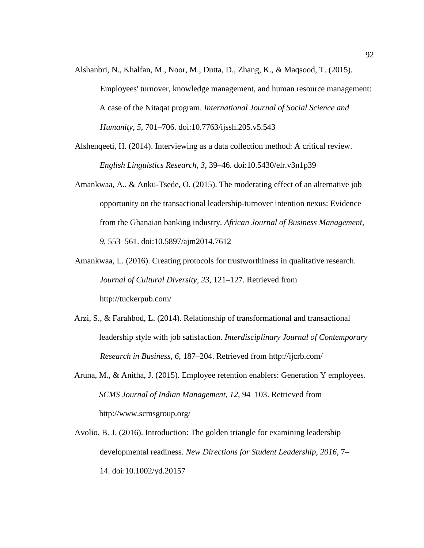- Alshanbri, N., Khalfan, M., Noor, M., Dutta, D., Zhang, K., & Maqsood, T. (2015). Employees' turnover, knowledge management, and human resource management: A case of the Nitaqat program. *International Journal of Social Science and Humanity, 5*, 701–706. doi:10.7763/ijssh.205.v5.543
- Alshenqeeti, H. (2014). Interviewing as a data collection method: A critical review. *English Linguistics Research, 3*, 39–46. doi:10.5430/elr.v3n1p39
- Amankwaa, A., & Anku-Tsede, O. (2015). The moderating effect of an alternative job opportunity on the transactional leadership-turnover intention nexus: Evidence from the Ghanaian banking industry. *African Journal of Business Management, 9*, 553–561. doi:10.5897/ajm2014.7612
- Amankwaa, L. (2016). Creating protocols for trustworthiness in qualitative research. *Journal of Cultural Diversity, 23*, 121–127. Retrieved from http://tuckerpub.com/
- Arzi, S., & Farahbod, L. (2014). Relationship of transformational and transactional leadership style with job satisfaction. *Interdisciplinary Journal of Contemporary Research in Business*, *6*, 187–204. Retrieved from http://ijcrb.com[/](http://ijcrb.com/)
- Aruna, M., & Anitha, J. (2015). Employee retention enablers: Generation Y employees. *SCMS Journal of Indian Management, 12*, 94–103. Retrieved from http://www.scmsgroup.org/
- Avolio, B. J. (2016). Introduction: The golden triangle for examining leadership developmental readiness. *New Directions for Student Leadership, 2016*, 7– 14. doi:10.1002/yd.20157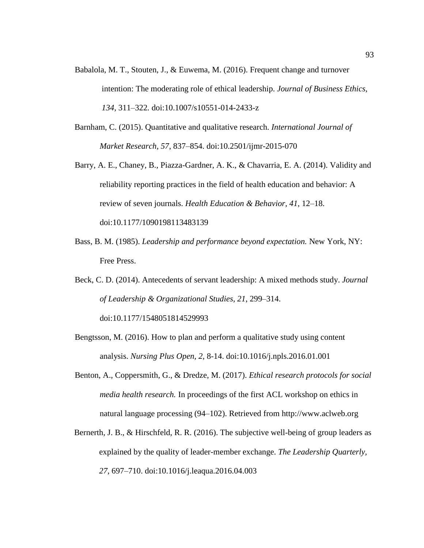- Babalola, M. T., Stouten, J., & Euwema, M. (2016). Frequent change and turnover intention: The moderating role of ethical leadership. *Journal of Business Ethics, 134,* 311–322*.* doi:10.1007/s10551-014-2433-z
- Barnham, C. (2015). Quantitative and qualitative research. *International Journal of Market Research*, *57*, 837–854. doi:10.2501/ijmr-2015-070
- Barry, A. E., Chaney, B., Piazza-Gardner, A. K., & Chavarria, E. A. (2014). Validity and reliability reporting practices in the field of health education and behavior: A review of seven journals. *Health Education & Behavior, 41*, 12–18. doi:10.1177/1090198113483139
- Bass, B. M. (1985). *Leadership and performance beyond expectation.* New York, NY: Free Press.
- Beck, C. D. (2014). Antecedents of servant leadership: A mixed methods study. *Journal of Leadership & Organizational Studies, 21*, 299–314.

doi:10.1177/1548051814529993

- Bengtsson, M. (2016). How to plan and perform a qualitative study using content analysis. *Nursing Plus Open, 2*, 8-14. doi:10.1016/j.npls.2016.01.001
- Benton, A., Coppersmith, G., & Dredze, M. (2017). *Ethical research protocols for social media health research.* In proceedings of the first ACL workshop on ethics in natural language processing (94–102). Retrieved from http://www.aclweb.org
- Bernerth, J. B., & Hirschfeld, R. R. (2016). The subjective well-being of group leaders as explained by the quality of leader-member exchange. *The Leadership Quarterly, 27*, 697–710. doi:10.1016/j.leaqua.2016.04.003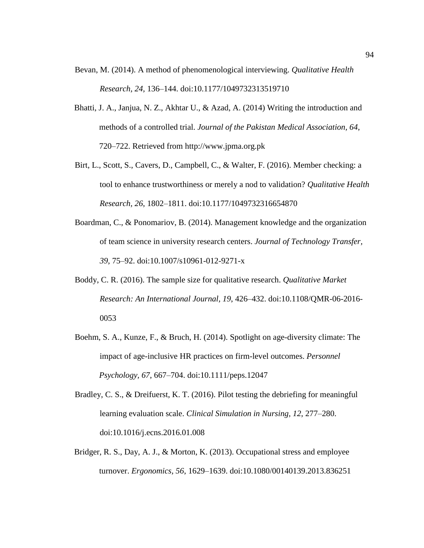- Bevan, M. (2014). A method of phenomenological interviewing. *Qualitative Health Research, 24,* 136–144. doi:10.1177/1049732313519710
- Bhatti, J. A., Janjua, N. Z., Akhtar U., & Azad, A. (2014) Writing the introduction and methods of a controlled trial. *Journal of the Pakistan Medical Association, 64*, 720–722. Retrieved from http://www.jpma.org.pk
- Birt, L., Scott, S., Cavers, D., Campbell, C., & Walter, F. (2016). Member checking: a tool to enhance trustworthiness or merely a nod to validation? *Qualitative Health Research, 26*, 1802–1811. doi:10.1177/1049732316654870
- Boardman, C., & Ponomariov, B. (2014). Management knowledge and the organization of team science in university research centers. *Journal of Technology Transfer, 39*, 75–92. doi:10.1007/s10961-012-9271-x
- Boddy, C. R. (2016). The sample size for qualitative research. *Qualitative Market Research: An International Journal, 19*, 426–432. doi:10.1108/QMR-06-2016- 0053
- Boehm, S. A., Kunze, F., & Bruch, H. (2014). Spotlight on age-diversity climate: The impact of age-inclusive HR practices on firm-level outcomes. *Personnel Psychology, 67*, 667–704. doi:10.1111/peps.12047
- Bradley, C. S., & Dreifuerst, K. T. (2016). Pilot testing the debriefing for meaningful learning evaluation scale. *Clinical Simulation in Nursing, 12*, 277–280. doi:10.1016/j.ecns.2016.01.008
- Bridger, R. S., Day, A. J., & Morton, K. (2013). Occupational stress and employee turnover. *Ergonomics, 56*, 1629–1639. doi:10.1080/00140139.2013.836251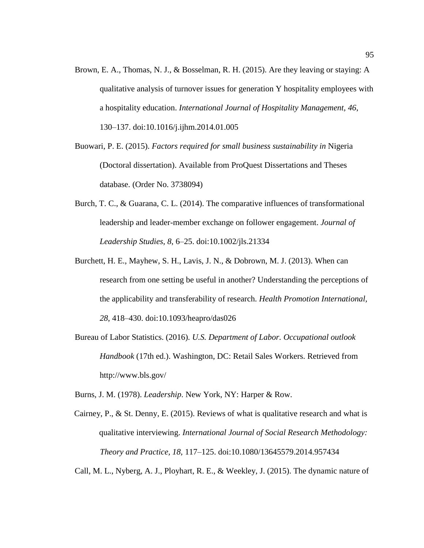- Brown, E. A., Thomas, N. J., & Bosselman, R. H. (2015). Are they leaving or staying: A qualitative analysis of turnover issues for generation Y hospitality employees with a hospitality education. *International Journal of Hospitality Management, 46*, 130–137. doi:10.1016/j.ijhm.2014.01.005
- Buowari, P. E. (2015). *Factors required for small business sustainability in* Nigeria (Doctoral dissertation). Available from ProQuest Dissertations and Theses database. (Order No. 3738094)
- Burch, T. C., & Guarana, C. L. (2014). The comparative influences of transformational leadership and leader-member exchange on follower engagement. *Journal of Leadership Studies*, *8*, 6–25. doi:10.1002/jls.21334
- Burchett, H. E., Mayhew, S. H., Lavis, J. N., & Dobrown, M. J. (2013). When can research from one setting be useful in another? Understanding the perceptions of the applicability and transferability of research. *Health Promotion International, 28*, 418–430. doi:10.1093/heapro/das026
- Bureau of Labor Statistics. (2016). *U.S. Department of Labor. Occupational outlook Handbook* (17th ed.). Washington, DC: Retail Sales Workers. Retrieved from http://www.bls.gov/

Burns, J. M. (1978). *Leadership*. New York, NY: Harper & Row.

Cairney, P., & St. Denny, E. (2015). Reviews of what is qualitative research and what is qualitative interviewing. *International Journal of Social Research Methodology: Theory and Practice, 18*, 117–125. doi:10.1080/13645579.2014.957434

Call, M. L., Nyberg, A. J., Ployhart, R. E., & Weekley, J. (2015). The dynamic nature of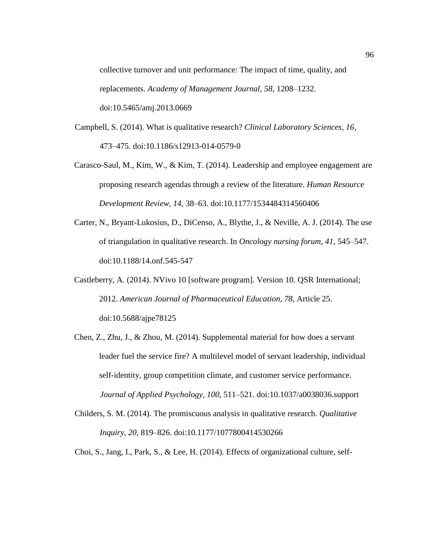collective turnover and unit performance: The impact of time, quality, and replacements. *Academy of Management Journal, 58*, 1208–1232. doi:10.5465/amj.2013.0669

- Campbell, S. (2014). What is qualitative research? *Clinical Laboratory Sciences, 16*, 473–475. doi:10.1186/s12913-014-0579-0
- Carasco-Saul, M., Kim, W., & Kim, T. (2014). Leadership and employee engagement are proposing research agendas through a review of the literature. *Human Resource Development Review, 14*, 38–63. doi:10.1177/1534484314560406
- Carter, N., Bryant-Lukosius, D., DiCenso, A., Blythe, J., & Neville, A. J. (2014). The use of triangulation in qualitative research. In *Oncology nursing forum*, *41*, 545–547. doi:10.1188/14.onf.545-547
- Castleberry, A. (2014). NVivo 10 [software program]. Version 10. QSR International; 2012. *American Journal of Pharmaceutical Education, 78*, Article 25. doi:10.5688/ajpe78125
- Chen, Z., Zhu, J., & Zhou, M. (2014). Supplemental material for how does a servant leader fuel the service fire? A multilevel model of servant leadership, individual self-identity, group competition climate, and customer service performance. *Journal of Applied Psychology, 100*, 511–521. doi:10.1037/a0038036.support
- Childers, S. M. (2014). The promiscuous analysis in qualitative research. *Qualitative Inquiry, 20*, 819–826. doi:10.1177/1077800414530266

Choi, S., Jang, I., Park, S., & Lee, H. (2014). Effects of organizational culture, self-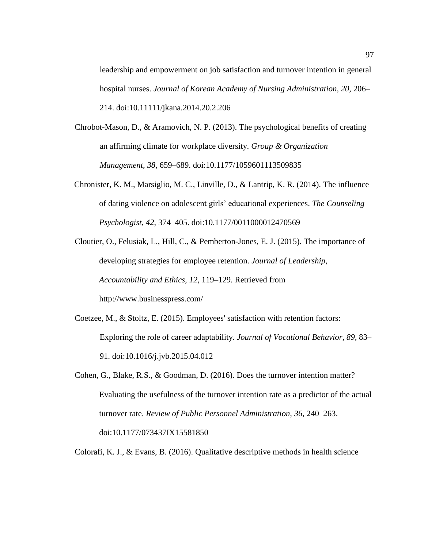leadership and empowerment on job satisfaction and turnover intention in general hospital nurses. *Journal of Korean Academy of Nursing Administration, 20*, 206– 214. doi:10.11111/jkana.2014.20.2.206

- Chrobot-Mason, D., & Aramovich, N. P. (2013). The psychological benefits of creating an affirming climate for workplace diversity. *Group & Organization Management, 38*, 659–689. doi:10.1177/1059601113509835
- Chronister, K. M., Marsiglio, M. C., Linville, D., & Lantrip, K. R. (2014). The influence of dating violence on adolescent girls' educational experiences. *The Counseling Psychologist*, *42*, 374–405. doi:10.1177/0011000012470569
- Cloutier, O., Felusiak, L., Hill, C., & Pemberton-Jones, E. J. (2015). The importance of developing strategies for employee retention. *Journal of Leadership, Accountability and Ethics, 12*, 119–129. Retrieved from http://www.businesspress.com/
- Coetzee, M., & Stoltz, E. (2015). Employees' satisfaction with retention factors: Exploring the role of career adaptability. *Journal of Vocational Behavior, 89,* 83– 91. doi:10.1016/j.jvb.2015.04.012
- Cohen, G., Blake, R.S., & Goodman, D. (2016). Does the turnover intention matter? Evaluating the usefulness of the turnover intention rate as a predictor of the actual turnover rate. *Review of Public Personnel Administration, 36*, 240–263. doi:10.1177/073437IX15581850

Colorafi, K. J., & Evans, B. (2016). Qualitative descriptive methods in health science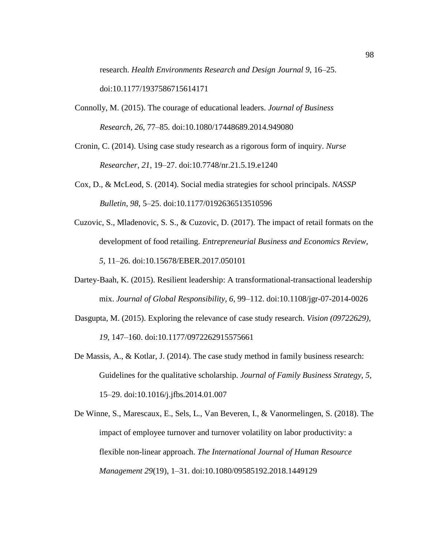research. *Health Environments Research and Design Journal 9*, 16–25. doi:10.1177/1937586715614171

- Connolly, M. (2015). The courage of educational leaders. *Journal of Business Research, 26*, 77–85. doi:10.1080/17448689.2014.949080
- Cronin, C. (2014). Using case study research as a rigorous form of inquiry. *Nurse Researcher, 21*, 19–27. doi:10.7748/nr.21.5.19.e1240
- Cox, D., & McLeod, S. (2014). Social media strategies for school principals. *NASSP Bulletin, 98*, 5–25. doi:10.1177/0192636513510596
- Cuzovic, S., Mladenovic, S. S., & Cuzovic, D. (2017). The impact of retail formats on the development of food retailing. *Entrepreneurial Business and Economics Review, 5,* 11–26. doi:10.15678/EBER.2017.050101
- Dartey-Baah, K. (2015). Resilient leadership: A transformational-transactional leadership mix. *Journal of Global Responsibility, 6*, 99–112. doi:10.1108/jgr-07-2014-0026
- Dasgupta, M. (2015). Exploring the relevance of case study research. *Vision (09722629), 19*, 147–160. doi:10.1177/0972262915575661
- De Massis, A., & Kotlar, J. (2014). The case study method in family business research: Guidelines for the qualitative scholarship. *Journal of Family Business Strategy, 5*, 15–29. doi:10.1016/j.jfbs.2014.01.007
- De Winne, S., Marescaux, E., Sels, L., Van Beveren, I., & Vanormelingen, S. (2018). The impact of employee turnover and turnover volatility on labor productivity: a flexible non-linear approach. *The International Journal of Human Resource Management 29*(19), 1–31. doi:10.1080/09585192.2018.1449129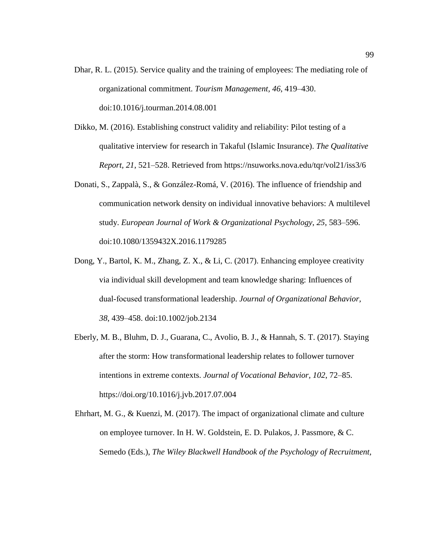- Dhar, R. L. (2015). Service quality and the training of employees: The mediating role of organizational commitment. *Tourism Management, 46*, 419–430. doi:10.1016/j.tourman.2014.08.001
- Dikko, M. (2016). Establishing construct validity and reliability: Pilot testing of a qualitative interview for research in Takaful (Islamic Insurance). *The Qualitative Report, 21*, 521–528. Retrieved from https://nsuworks.nova.edu/tqr/vol21/iss3/6
- Donati, S., Zappalà, S., & González-Romá, V. (2016). The influence of friendship and communication network density on individual innovative behaviors: A multilevel study. *European Journal of Work & Organizational Psychology*, *25*, 583–596. doi:10.1080/1359432X.2016.1179285
- Dong, Y., Bartol, K. M., Zhang, Z. X., & Li, C. (2017). Enhancing employee creativity via individual skill development and team knowledge sharing: Influences of dual‐focused transformational leadership. *Journal of Organizational Behavior, 38*, 439–458. doi:10.1002/job.2134
- Eberly, M. B., Bluhm, D. J., Guarana, C., Avolio, B. J., & Hannah, S. T. (2017). Staying after the storm: How transformational leadership relates to follower turnover intentions in extreme contexts. *Journal of Vocational Behavior, 102*, 72–85. https://doi.org/10.1016/j.jvb.2017.07.004
- Ehrhart, M. G., & Kuenzi, M. (2017). The impact of organizational climate and culture on employee turnover. In H. W. Goldstein, E. D. Pulakos, J. Passmore, & C. Semedo (Eds.), *The Wiley Blackwell Handbook of the Psychology of Recruitment,*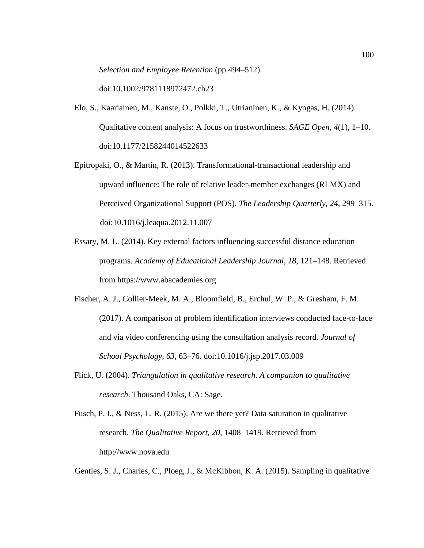*Selection and Employee Retention* (pp.494–512).

doi:10.1002/9781118972472.ch23

- Elo, S., Kaariainen, M., Kanste, O., Polkki, T., Utrianinen, K., & Kyngas, H. (2014). Qualitative content analysis: A focus on trustworthiness. *SAGE Open, 4*(1), 1–10. doi:10.1177/2158244014522633
- Epitropaki, O., & Martin, R. (2013). Transformational-transactional leadership and upward influence: The role of relative leader-member exchanges (RLMX) and Perceived Organizational Support (POS). *The Leadership Quarterly, 24*, 299–315. doi:10.1016/j.leaqua.2012.11.007
- Essary, M. L. (2014). Key external factors influencing successful distance education programs. *Academy of Educational Leadership Journal*, *18*, 121–148. Retrieved from https://www.abacademies.org
- Fischer, A. J., Collier-Meek, M. A., Bloomfield, B., Erchul, W. P., & Gresham, F. M. (2017). A comparison of problem identification interviews conducted face-to-face and via video conferencing using the consultation analysis record. *Journal of School Psychology, 63*, 63–76. doi:10.1016/j.jsp.2017.03.009
- Flick, U. (2004). *Triangulation in qualitative research. A companion to qualitative research*. Thousand Oaks, CA: Sage.
- Fusch, P. I., & Ness, L. R. (2015). Are we there yet? Data saturation in qualitative research. *The Qualitative Report, 20*, 1408–1419. Retrieved from http://www.nova.edu

Gentles, S. J., Charles, C., Ploeg, J., & McKibbon, K. A. (2015). Sampling in qualitative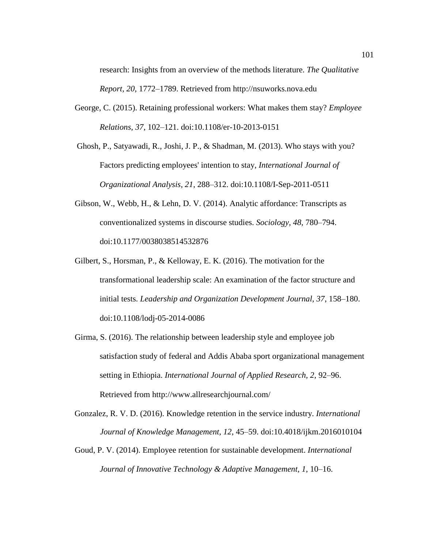research: Insights from an overview of the methods literature. *The Qualitative Report, 20*, 1772–1789. Retrieved from http://nsuworks.nova.edu

- George, C. (2015). Retaining professional workers: What makes them stay? *Employee Relations, 37*, 102–121. doi:10.1108/er-10-2013-0151
- Ghosh, P., Satyawadi, R., Joshi, J. P., & Shadman, M. (2013). Who stays with you? Factors predicting employees' intention to stay, *International Journal of Organizational Analysis, 21*, 288–312. doi:10.1108/I-Sep-2011-0511
- Gibson, W., Webb, H., & Lehn, D. V. (2014). Analytic affordance: Transcripts as conventionalized systems in discourse studies. *Sociology, 48*, 780–794. doi:10.1177/0038038514532876
- Gilbert, S., Horsman, P., & Kelloway, E. K. (2016). The motivation for the transformational leadership scale: An examination of the factor structure and initial tests. *Leadership and Organization Development Journal, 37*, 158–180. doi:10.1108/lodj-05-2014-0086
- Girma, S. (2016). The relationship between leadership style and employee job satisfaction study of federal and Addis Ababa sport organizational management setting in Ethiopia. *International Journal of Applied Research, 2*, 92–96. Retrieved from http://www.allresearchjournal.com/
- Gonzalez, R. V. D. (2016). Knowledge retention in the service industry. *International Journal of Knowledge Management, 12*, 45–59. doi:10.4018/ijkm.2016010104
- Goud, P. V. (2014). Employee retention for sustainable development. *International Journal of Innovative Technology & Adaptive Management, 1*, 10–16.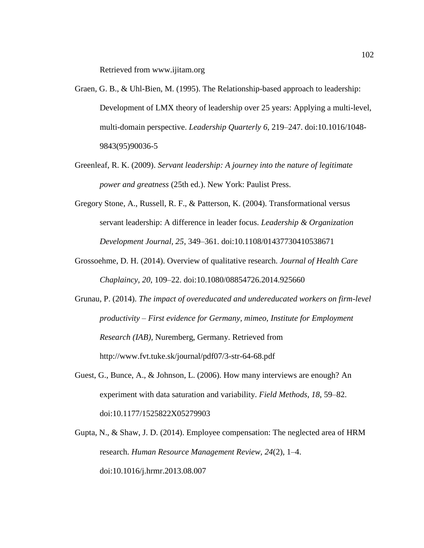Retrieved from www.ijitam.org

- Graen, G. B., & Uhl-Bien, M. (1995). The Relationship-based approach to leadership: Development of LMX theory of leadership over 25 years: Applying a multi-level, multi-domain perspective. *Leadership Quarterly 6*, 219–247. doi:10.1016/1048- 9843(95)90036-5
- Greenleaf, R. K. (2009). *Servant leadership: A journey into the nature of legitimate power and greatness* (25th ed.). New York: Paulist Press.
- Gregory Stone, A., Russell, R. F., & Patterson, K. (2004). Transformational versus servant leadership: A difference in leader focus. *Leadership & Organization Development Journal, 25*, 349–361. doi:10.1108/01437730410538671
- Grossoehme, D. H. (2014). Overview of qualitative research. *Journal of Health Care Chaplaincy, 20*, 109–22. doi:10.1080/08854726.2014.925660
- Grunau, P. (2014). *The impact of overeducated and undereducated workers on firm-level productivity – First evidence for Germany, mimeo, Institute for Employment Research (IAB)*, Nuremberg, Germany. Retrieved from http://www.fvt.tuke.sk/journal/pdf07/3-str-64-68.pdf
- Guest, G., Bunce, A., & Johnson, L. (2006). How many interviews are enough? An experiment with data saturation and variability. *Field Methods, 18*, 59–82. doi:10.1177/1525822X05279903
- Gupta, N., & Shaw, J. D. (2014). Employee compensation: The neglected area of HRM research. *Human Resource Management Review, 24*(2), 1–4. doi:10.1016/j.hrmr.2013.08.007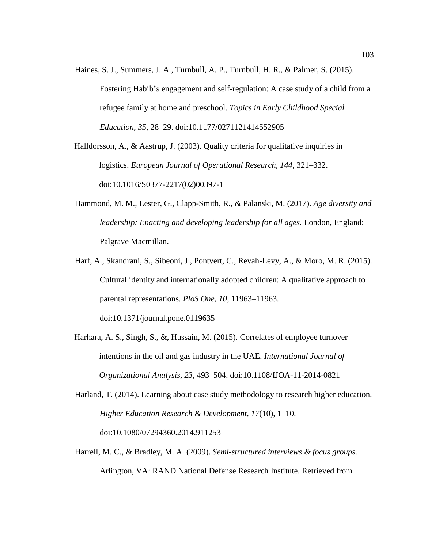Haines, S. J., Summers, J. A., Turnbull, A. P., Turnbull, H. R., & Palmer, S. (2015). Fostering Habib's engagement and self-regulation: A case study of a child from a refugee family at home and preschool. *Topics in Early Childhood Special Education, 35*, 28–29. doi:10.1177/0271121414552905

Halldorsson, A., & Aastrup, J. (2003). Quality criteria for qualitative inquiries in logistics. *European Journal of Operational Research, 144*, 321–332. doi:10.1016/S0377-2217(02)00397-1

- Hammond, M. M., Lester, G., Clapp-Smith, R., & Palanski, M. (2017). *Age diversity and leadership: Enacting and developing leadership for all ages.* London, England: Palgrave Macmillan.
- Harf, A., Skandrani, S., Sibeoni, J., Pontvert, C., Revah-Levy, A., & Moro, M. R. (2015). Cultural identity and internationally adopted children: A qualitative approach to parental representations. *PloS One*, *10*, 11963–11963.

doi:10.1371/journal.pone.0119635

- Harhara, A. S., Singh, S., &, Hussain, M. (2015). Correlates of employee turnover intentions in the oil and gas industry in the UAE. *International Journal of Organizational Analysis, 23*, 493–504. doi:10.1108/IJOA-11-2014-0821
- Harland, T. (2014). Learning about case study methodology to research higher education. *Higher Education Research & Development, 17*(10), 1–10. doi:10.1080/07294360.2014.911253
- Harrell, M. C., & Bradley, M. A. (2009). *Semi-structured interviews & focus groups.* Arlington, VA: RAND National Defense Research Institute. Retrieved from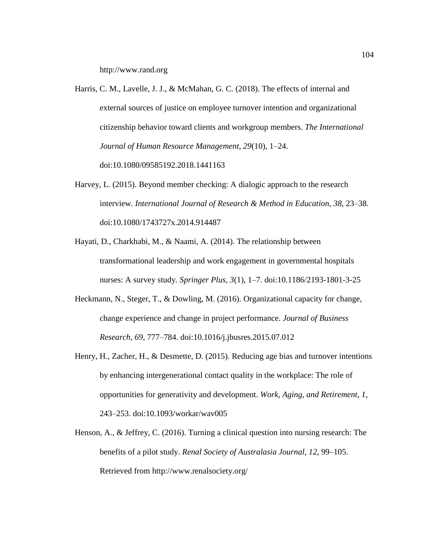http://www.rand.org

- Harris, C. M., Lavelle, J. J., & McMahan, G. C. (2018). The effects of internal and external sources of justice on employee turnover intention and organizational citizenship behavior toward clients and workgroup members. *The International Journal of Human Resource Management, 29*(10), 1–24. doi:10.1080/09585192.2018.1441163
- Harvey, L. (2015). Beyond member checking: A dialogic approach to the research interview. *International Journal of Research & Method in Education, 38*, 23–38. doi:10.1080/1743727x.2014.914487
- Hayati, D., Charkhabi, M., & Naami, A. (2014). The relationship between transformational leadership and work engagement in governmental hospitals nurses: A survey study*. Springer Plus, 3*(1), 1–7. doi:10.1186/2193-1801-3-25
- Heckmann, N., Steger, T., & Dowling, M. (2016). Organizational capacity for change, change experience and change in project performance. *Journal of Business Research, 69*, 777–784. doi:10.1016/j.jbusres.2015.07.012
- Henry, H., Zacher, H., & Desmette, D. (2015). Reducing age bias and turnover intentions by enhancing intergenerational contact quality in the workplace: The role of opportunities for generativity and development. *Work, Aging, and Retirement, 1*, 243–253. doi:10.1093/workar/wav005
- Henson, A., & Jeffrey, C. (2016). Turning a clinical question into nursing research: The benefits of a pilot study. *Renal Society of Australasia Journal, 12*, 99–105. Retrieved from http://www.renalsociety.org/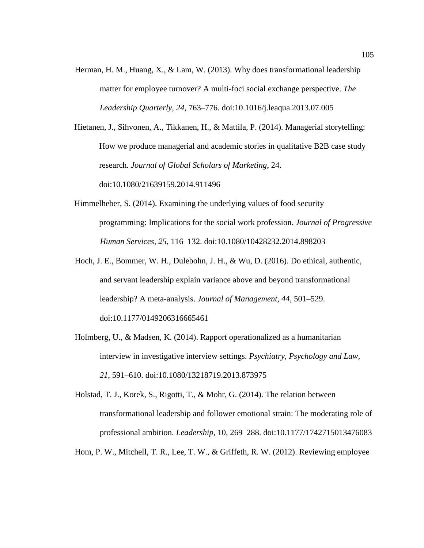Herman, H. M., Huang, X., & Lam, W. (2013). Why does transformational leadership matter for employee turnover? A multi-foci social exchange perspective. *The Leadership Quarterly, 24*, 763–776. doi:10.1016/j.leaqua.2013.07.005

Hietanen, J., Sihvonen, A., Tikkanen, H., & Mattila, P. (2014). Managerial storytelling: How we produce managerial and academic stories in qualitative B2B case study research*. Journal of Global Scholars of Marketing,* 24. doi:10.1080/21639159.2014.911496

- Himmelheber, S. (2014). Examining the underlying values of food security programming: Implications for the social work profession. *Journal of Progressive Human Services, 25*, 116–132. doi:10.1080/10428232.2014.898203
- Hoch, J. E., Bommer, W. H., Dulebohn, J. H., & Wu, D. (2016). Do ethical, authentic, and servant leadership explain variance above and beyond transformational leadership? A meta-analysis. *Journal of Management, 44,* 501–529. doi:10.1177/0149206316665461
- Holmberg, U., & Madsen, K. (2014). Rapport operationalized as a humanitarian interview in investigative interview settings. *Psychiatry, Psychology and Law, 21*, 591–610. doi:10.1080/13218719.2013.873975
- Holstad, T. J., Korek, S., Rigotti, T., & Mohr, G. (2014). The relation between transformational leadership and follower emotional strain: The moderating role of professional ambition. *Leadership*, 10, 269–288. doi:10.1177/1742715013476083

Hom, P. W., Mitchell, T. R., Lee, T. W., & Griffeth, R. W. (2012). Reviewing employee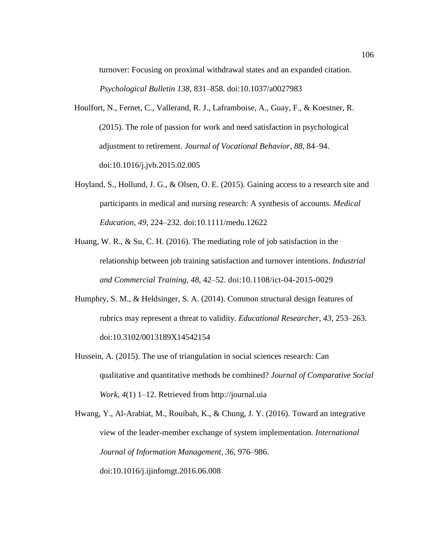turnover: Focusing on proximal withdrawal states and an expanded citation. *Psychological Bulletin 138*, 831–858. doi:10.1037/a0027983

- Houlfort, N., Fernet, C., Vallerand, R. J., Laframboise, A., Guay, F., & Koestner, R. (2015). The role of passion for work and need satisfaction in psychological adjustment to retirement. *Journal of Vocational Behavior*, *88*, 84–94. doi:10.1016/j.jvb.2015.02.005
- Hoyland, S., Hollund, J. G., & Olsen, O. E. (2015). Gaining access to a research site and participants in medical and nursing research: A synthesis of accounts. *Medical Education, 49*, 224–232. doi:10.1111/medu.12622
- Huang, W. R., & Su, C. H. (2016). The mediating role of job satisfaction in the relationship between job training satisfaction and turnover intentions. *Industrial and Commercial Training, 48*, 42–52. doi:10.1108/ict-04-2015-0029
- Humphry, S. M., & Heldsinger, S. A. (2014). Common structural design features of rubrics may represent a threat to validity. *Educational Researcher, 43*, 253–263. doi:10.3102/0013189X14542154
- Hussein, A. (2015). The use of triangulation in social sciences research: Can qualitative and quantitative methods be combined? *Journal of Comparative Social Work, 4*(1) 1–12. Retrieved from http://journal.uia

Hwang, Y., Al-Arabiat, M., Rouibah, K., & Chung, J. Y. (2016). Toward an integrative view of the leader-member exchange of system implementation. *International Journal of Information Management, 36*, 976–986. doi:10.1016/j.ijinfomgt.2016.06.008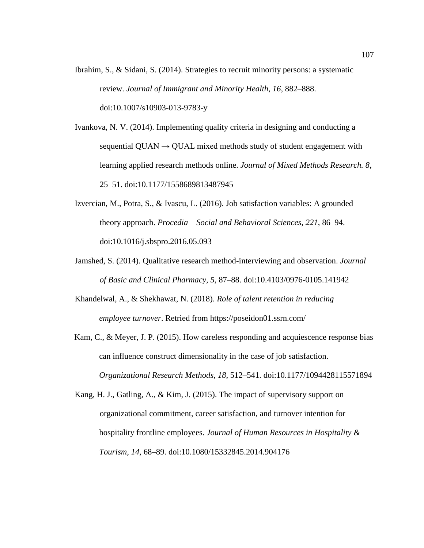Ibrahim, S., & Sidani, S. (2014). Strategies to recruit minority persons: a systematic review. *Journal of Immigrant and Minority Health, 16*, 882–888. doi:10.1007/s10903-013-9783-y

Ivankova, N. V. (2014). Implementing quality criteria in designing and conducting a sequential  $QUAN \rightarrow QUAL$  mixed methods study of student engagement with learning applied research methods online. *Journal of Mixed Methods Research. 8*, 25–51. doi:10.1177/1558689813487945

- Izvercian, M., Potra, S., & Ivascu, L. (2016). Job satisfaction variables: A grounded theory approach. *Procedia – Social and Behavioral Sciences, 221*, 86–94. doi:10.1016/j.sbspro.2016.05.093
- Jamshed, S. (2014). Qualitative research method-interviewing and observation. *Journal of Basic and Clinical Pharmacy*, *5*, 87–88. doi:10.4103/0976-0105.141942

Khandelwal, A., & Shekhawat, N. (2018). *Role of talent retention in reducing employee turnover*. Retried from https://poseidon01.ssrn.com/

Kam, C., & Meyer, J. P. (2015). How careless responding and acquiescence response bias can influence construct dimensionality in the case of job satisfaction. *Organizational Research Methods*, *18*, 512–541. doi:10.1177/1094428115571894

Kang, H. J., Gatling, A., & Kim, J. (2015). The impact of supervisory support on organizational commitment, career satisfaction, and turnover intention for hospitality frontline employees. *Journal of Human Resources in Hospitality & Tourism, 14*, 68–89. doi:10.1080/15332845.2014.904176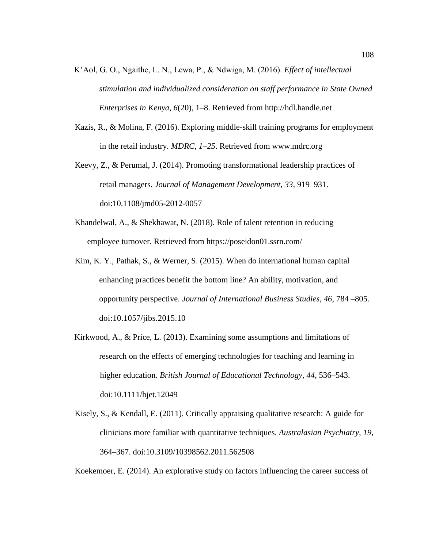- K'Aol, G. O., Ngaithe, L. N., Lewa, P., & Ndwiga, M. (2016). *Effect of intellectual stimulation and individualized consideration on staff performance in State Owned Enterprises in Kenya, 6*(20), 1–8. Retrieved from http://hdl.handle.net
- Kazis, R., & Molina, F. (2016). Exploring middle-skill training programs for employment in the retail industry. *MDRC, 1*–*25*. Retrieved from www.mdrc.org
- Keevy, Z., & Perumal, J. (2014). Promoting transformational leadership practices of retail managers. *Journal of Management Development, 33,* 919–931. doi:10.1108/jmd05-2012-0057
- Khandelwal, A., & Shekhawat, N. (2018). Role of talent retention in reducing employee turnover. Retrieved from https://poseidon01.ssrn.com/
- Kim, K. Y., Pathak, S., & Werner, S. (2015). When do international human capital enhancing practices benefit the bottom line? An ability, motivation, and opportunity perspective. *Journal of International Business Studies, 46*, 784 –805. doi:10.1057/jibs.2015.10
- Kirkwood, A., & Price, L. (2013). Examining some assumptions and limitations of research on the effects of emerging technologies for teaching and learning in higher education. *British Journal of Educational Technology, 44*, 536–543. doi:10.1111/bjet.12049
- Kisely, S., & Kendall, E. (2011). Critically appraising qualitative research: A guide for clinicians more familiar with quantitative techniques. *Australasian Psychiatry, 19*, 364–367. doi:10.3109/10398562.2011.562508

Koekemoer, E. (2014). An explorative study on factors influencing the career success of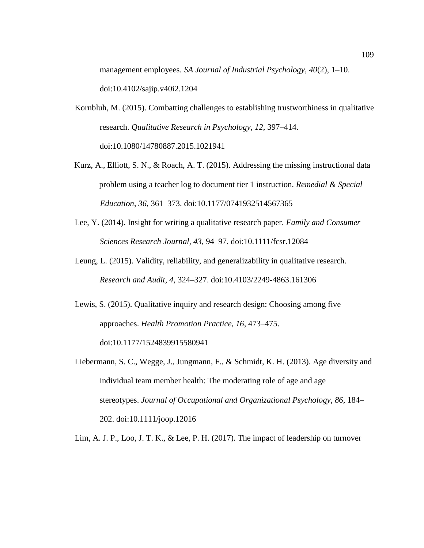management employees. *SA Journal of Industrial Psychology, 40*(2), 1–10. doi:10.4102/sajip.v40i2.1204

- Kornbluh, M. (2015). Combatting challenges to establishing trustworthiness in qualitative research. *Qualitative Research in Psychology, 12*, 397–414. doi:10.1080/14780887.2015.1021941
- Kurz, A., Elliott, S. N., & Roach, A. T. (2015). Addressing the missing instructional data problem using a teacher log to document tier 1 instruction. *Remedial & Special Education*, *36*, 361–373. doi:10.1177/0741932514567365
- Lee, Y. (2014). Insight for writing a qualitative research paper. *Family and Consumer Sciences Research Journal, 43,* 94–97. doi:10.1111/fcsr.12084
- Leung, L. (2015). Validity, reliability, and generalizability in qualitative research. *Research and Audit, 4*, 324–327. doi:10.4103/2249-4863.161306
- Lewis, S. (2015). Qualitative inquiry and research design: Choosing among five approaches. *Health Promotion Practice, 16*, 473–475. doi:10.1177/1524839915580941

Liebermann, S. C., Wegge, J., Jungmann, F., & Schmidt, K. H. (2013). Age diversity and individual team member health: The moderating role of age and age stereotypes. *Journal of Occupational and Organizational Psychology*, *86*, 184– 202. doi:10.1111/joop.12016

Lim, A. J. P., Loo, J. T. K., & Lee, P. H. (2017). The impact of leadership on turnover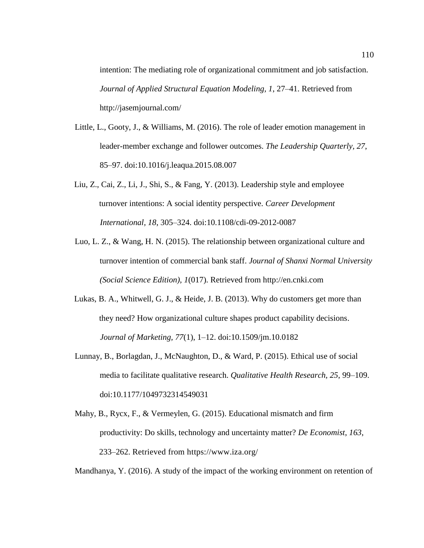intention: The mediating role of organizational commitment and job satisfaction. *Journal of Applied Structural Equation Modeling, 1*, 27–41. Retrieved from http://jasemjournal.com/

- Little, L., Gooty, J., & Williams, M. (2016). The role of leader emotion management in leader-member exchange and follower outcomes. *The Leadership Quarterly, 27*, 85–97. doi:10.1016/j.leaqua.2015.08.007
- Liu, Z., Cai, Z., Li, J., Shi, S., & Fang, Y. (2013). Leadership style and employee turnover intentions: A social identity perspective. *Career Development International, 18*, 305–324. doi:10.1108/cdi-09-2012-0087
- Luo, L. Z., & Wang, H. N. (2015). The relationship between organizational culture and turnover intention of commercial bank staff. *Journal of Shanxi Normal University (Social Science Edition), 1*(017). Retrieved from http://en.cnki.com
- Lukas, B. A., Whitwell, G. J., & Heide, J. B. (2013). Why do customers get more than they need? How organizational culture shapes product capability decisions. *Journal of Marketing, 77*(1), 1–12. doi:10.1509/jm.10.0182
- Lunnay, B., Borlagdan, J., McNaughton, D., & Ward, P. (2015). Ethical use of social media to facilitate qualitative research. *Qualitative Health Research, 25*, 99–109. doi:10.1177/1049732314549031
- Mahy, B., Rycx, F., & Vermeylen, G. (2015). Educational mismatch and firm productivity: Do skills, technology and uncertainty matter? *De Economist*, *163*, 233–262. Retrieved from https://www.iza.org/

Mandhanya, Y. (2016). A study of the impact of the working environment on retention of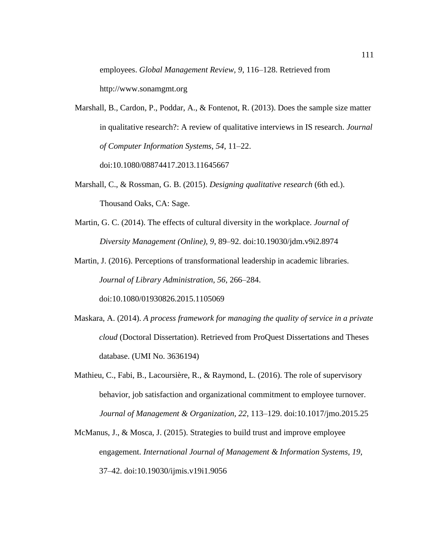employees. *Global Management Review, 9*, 116–128. Retrieved from

http://www.sonamgmt.org

- Marshall, B., Cardon, P., Poddar, A., & Fontenot, R. (2013). Does the sample size matter in qualitative research?: A review of qualitative interviews in IS research. *Journal of Computer Information Systems*, *54*, 11–22. doi:10.1080/08874417.2013.11645667
- Marshall, C., & Rossman, G. B. (2015). *Designing qualitative research* (6th ed.). Thousand Oaks, CA: Sage.
- Martin, G. C. (2014). The effects of cultural diversity in the workplace. *Journal of Diversity Management (Online), 9*, 89–92. doi:10.19030/jdm.v9i2.8974
- Martin, J. (2016). Perceptions of transformational leadership in academic libraries. *Journal of Library Administration, 56*, 266–284. doi:10.1080/01930826.2015.1105069
- Maskara, A. (2014). *A process framework for managing the quality of service in a private cloud* (Doctoral Dissertation). Retrieved from ProQuest Dissertations and Theses database. (UMI No. 3636194)
- Mathieu, C., Fabi, B., Lacoursière, R., & Raymond, L. (2016). The role of supervisory behavior, job satisfaction and organizational commitment to employee turnover. *Journal of Management & Organization, 22*, 113–129. doi:10.1017/jmo.2015.25
- McManus, J., & Mosca, J. (2015). Strategies to build trust and improve employee engagement. *International Journal of Management & Information Systems, 19*, 37–42. doi:10.19030/ijmis.v19i1.9056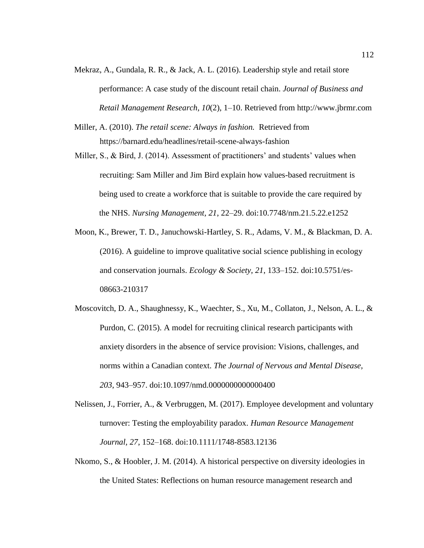- Mekraz, A., Gundala, R. R., & Jack, A. L. (2016). Leadership style and retail store performance: A case study of the discount retail chain. *Journal of Business and Retail Management Research, 10*(2), 1–10. Retrieved from http://www.jbrmr.com
- Miller, A. (2010). *The retail scene: Always in fashion.* Retrieved from https://barnard.edu/headlines/retail-scene-always-fashion
- Miller, S., & Bird, J. (2014). Assessment of practitioners' and students' values when recruiting: Sam Miller and Jim Bird explain how values-based recruitment is being used to create a workforce that is suitable to provide the care required by the NHS. *Nursing Management, 21*, 22–29. doi:10.7748/nm.21.5.22.e1252
- Moon, K., Brewer, T. D., Januchowski-Hartley, S. R., Adams, V. M., & Blackman, D. A. (2016). A guideline to improve qualitative social science publishing in ecology and conservation journals. *Ecology & Society*, *21*, 133–152. doi:10.5751/es-08663-210317
- Moscovitch, D. A., Shaughnessy, K., Waechter, S., Xu, M., Collaton, J., Nelson, A. L., & Purdon, C. (2015). A model for recruiting clinical research participants with anxiety disorders in the absence of service provision: Visions, challenges, and norms within a Canadian context. *The Journal of Nervous and Mental Disease, 203*, 943–957. doi:10.1097/nmd.0000000000000400
- Nelissen, J., Forrier, A., & Verbruggen, M. (2017). Employee development and voluntary turnover: Testing the employability paradox. *Human Resource Management Journal, 27*, 152–168. doi:10.1111/1748-8583.12136
- Nkomo, S., & Hoobler, J. M. (2014). A historical perspective on diversity ideologies in the United States: Reflections on human resource management research and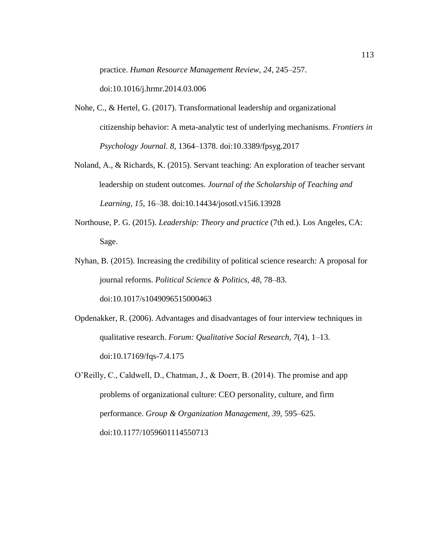practice. *Human Resource Management Review, 24*, 245–257.

doi:10.1016/j.hrmr.2014.03.006

- Nohe, C., & Hertel, G. (2017). Transformational leadership and organizational citizenship behavior: A meta-analytic test of underlying mechanisms. *Frontiers in Psychology Journal. 8*, 1364–1378. doi:10.3389/fpsyg.2017
- Noland, A., & Richards, K. (2015). Servant teaching: An exploration of teacher servant leadership on student outcomes*. Journal of the Scholarship of Teaching and Learning, 15*, 16–38. doi:10.14434/josotl.v15i6.13928
- Northouse, P. G. (2015). *Leadership: Theory and practice* (7th ed.). Los Angeles, CA: Sage.
- Nyhan, B. (2015). Increasing the credibility of political science research: A proposal for journal reforms. *Political Science & Politics, 48*, 78–83. doi:10.1017/s1049096515000463
- Opdenakker, R. (2006). Advantages and disadvantages of four interview techniques in qualitative research. *Forum: Qualitative Social Research, 7*(4), 1–13. doi:10.17169/fqs-7.4.175
- O'Reilly, C., Caldwell, D., Chatman, J., & Doerr, B. (2014). The promise and app problems of organizational culture: CEO personality, culture, and firm performance. *Group & Organization Management, 39,* 595–625. doi:10.1177/1059601114550713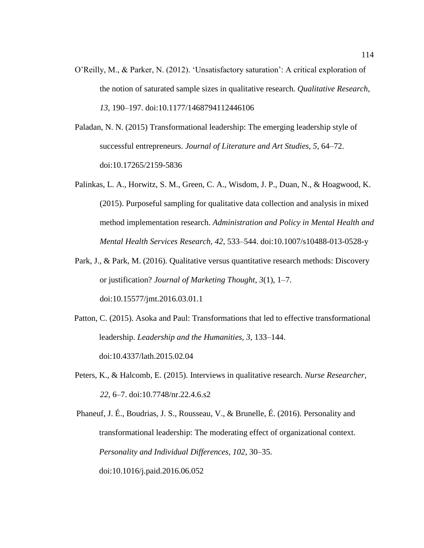- O'Reilly, M., & Parker, N. (2012). 'Unsatisfactory saturation': A critical exploration of the notion of saturated sample sizes in qualitative research. *Qualitative Research, 13*, 190–197. doi:10.1177/1468794112446106
- Paladan, N. N. (2015) Transformational leadership: The emerging leadership style of successful entrepreneurs. *Journal of Literature and Art Studies, 5*, 64–72. doi:10.17265/2159-5836
- Palinkas, L. A., Horwitz, S. M., Green, C. A., Wisdom, J. P., Duan, N., & Hoagwood, K. (2015). Purposeful sampling for qualitative data collection and analysis in mixed method implementation research. *Administration and Policy in Mental Health and Mental Health Services Research, 42*, 533–544. doi:10.1007/s10488-013-0528-y
- Park, J., & Park, M. (2016). Qualitative versus quantitative research methods: Discovery or justification? *Journal of Marketing Thought*, *3*(1), 1–7. doi:10.15577/jmt.2016.03.01.1
- Patton, C. (2015). Asoka and Paul: Transformations that led to effective transformational leadership. *Leadership and the Humanities, 3*, 133–144. doi:10.4337/lath.2015.02.04
- Peters, K., & Halcomb, E. (2015). Interviews in qualitative research. *Nurse Researcher, 22*, 6–7. doi:10.7748/nr.22.4.6.s2
- Phaneuf, J. É., Boudrias, J. S., Rousseau, V., & Brunelle, É. (2016). Personality and transformational leadership: The moderating effect of organizational context. *Personality and Individual Differences, 102*, 30–35. doi:10.1016/j.paid.2016.06.052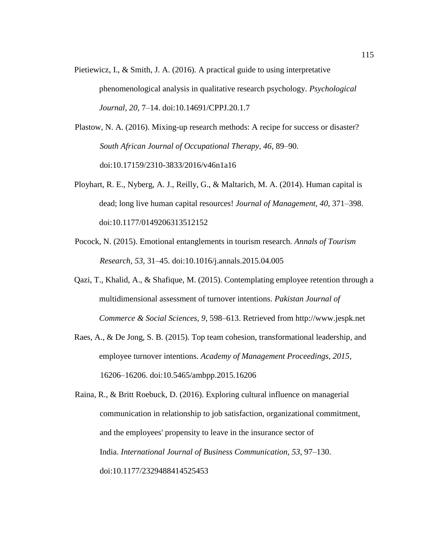Pietiewicz, I., & Smith, J. A. (2016). A practical guide to using interpretative phenomenological analysis in qualitative research psychology. *Psychological Journal, 20*, 7–14. doi:10.14691/CPPJ.20.1.7

Plastow, N. A. (2016). Mixing-up research methods: A recipe for success or disaster? *South African Journal of Occupational Therapy, 46*, 89–90. doi:10.17159/2310-3833/2016/v46n1a16

- Ployhart, R. E., Nyberg, A. J., Reilly, G., & Maltarich, M. A. (2014). Human capital is dead; long live human capital resources! *Journal of Management, 40*, 371–398. doi:10.1177/0149206313512152
- Pocock, N. (2015). Emotional entanglements in tourism research. *Annals of Tourism Research, 53*, 31–45. doi:10.1016/j.annals.2015.04.005
- Qazi, T., Khalid, A., & Shafique, M. (2015). Contemplating employee retention through a multidimensional assessment of turnover intentions. *Pakistan Journal of Commerce & Social Sciences, 9*, 598–613. Retrieved from http://www.jespk.net
- Raes, A., & De Jong, S. B. (2015). Top team cohesion, transformational leadership, and employee turnover intentions. *Academy of Management Proceedings, 2015*, 16206–16206. doi:10.5465/ambpp.2015.16206

Raina, R., & Britt Roebuck, D. (2016). Exploring cultural influence on managerial communication in relationship to job satisfaction, organizational commitment, and the employees' propensity to leave in the insurance sector of India. *International Journal of Business Communication, 53*, 97–130. doi:10.1177/2329488414525453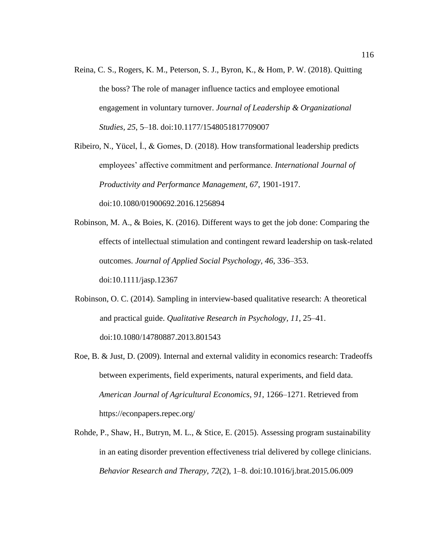Reina, C. S., Rogers, K. M., Peterson, S. J., Byron, K., & Hom, P. W. (2018). Quitting the boss? The role of manager influence tactics and employee emotional engagement in voluntary turnover. *Journal of Leadership & Organizational Studies, 25*, 5–18. doi:10.1177/1548051817709007

Ribeiro, N., Yücel, İ., & Gomes, D. (2018). How transformational leadership predicts employees' affective commitment and performance. *International Journal of Productivity and Performance Management, 67*, 1901-1917. doi:10.1080/01900692.2016.1256894

- Robinson, M. A., & Boies, K. (2016). Different ways to get the job done: Comparing the effects of intellectual stimulation and contingent reward leadership on task‐related outcomes. *Journal of Applied Social Psychology, 46*, 336–353. doi:10.1111/jasp.12367
- Robinson, O. C. (2014). Sampling in interview-based qualitative research: A theoretical and practical guide. *Qualitative Research in Psychology, 11*, 25–41. doi:10.1080/14780887.2013.801543
- Roe, B. & Just, D. (2009). Internal and external validity in economics research: Tradeoffs between experiments, field experiments, natural experiments, and field data. *American Journal of Agricultural Economics, 91*, 1266–1271. Retrieved from https://econpapers.repec.org/
- Rohde, P., Shaw, H., Butryn, M. L., & Stice, E. (2015). Assessing program sustainability in an eating disorder prevention effectiveness trial delivered by college clinicians. *Behavior Research and Therapy, 72*(2), 1–8. doi:10.1016/j.brat.2015.06.009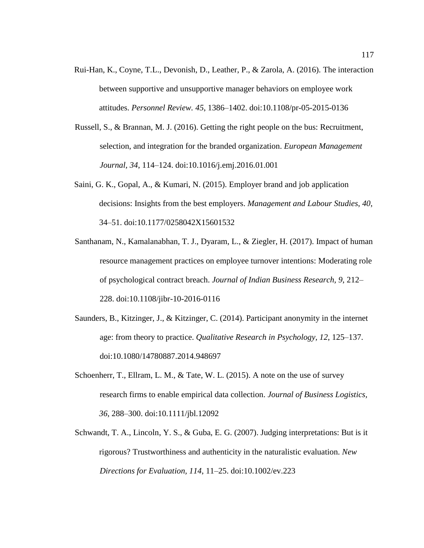- Rui-Han, K., Coyne, T.L., Devonish, D., Leather, P., & Zarola, A. (2016). The interaction between supportive and unsupportive manager behaviors on employee work attitudes. *Personnel Review. 45*, 1386–1402. doi:10.1108/pr-05-2015-0136
- Russell, S., & Brannan, M. J. (2016). Getting the right people on the bus: Recruitment, selection, and integration for the branded organization. *European Management Journal, 34*, 114–124. doi:10.1016/j.emj.2016.01.001
- Saini, G. K., Gopal, A., & Kumari, N. (2015). Employer brand and job application decisions: Insights from the best employers. *Management and Labour Studies*, *40*, 34–51. doi:10.1177/0258042X15601532
- Santhanam, N., Kamalanabhan, T. J., Dyaram, L., & Ziegler, H. (2017). Impact of human resource management practices on employee turnover intentions: Moderating role of psychological contract breach. *Journal of Indian Business Research, 9*, 212– 228. doi:10.1108/jibr-10-2016-0116
- Saunders, B., Kitzinger, J., & Kitzinger, C. (2014). Participant anonymity in the internet age: from theory to practice. *Qualitative Research in Psychology, 12*, 125–137. doi:10.1080/14780887.2014.948697
- Schoenherr, T., Ellram, L. M., & Tate, W. L. (2015). A note on the use of survey research firms to enable empirical data collection. *Journal of Business Logistics, 36*, 288–300. doi:10.1111/jbl.12092
- Schwandt, T. A., Lincoln, Y. S., & Guba, E. G. (2007). Judging interpretations: But is it rigorous? Trustworthiness and authenticity in the naturalistic evaluation. *New Directions for Evaluation, 114*, 11–25. doi:10.1002/ev.223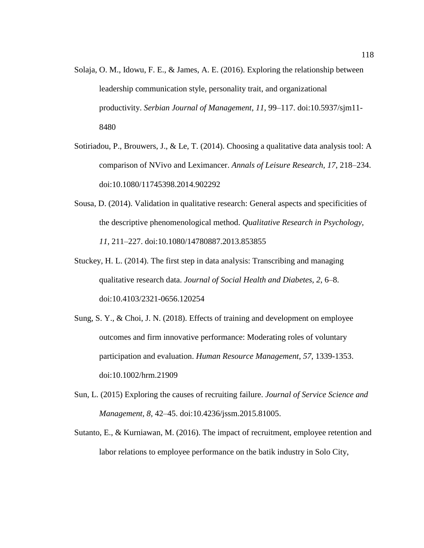- Solaja, O. M., Idowu, F. E., & James, A. E. (2016). Exploring the relationship between leadership communication style, personality trait, and organizational productivity. *Serbian Journal of Management*, *11*, 99–117. doi:10.5937/sjm11- 8480
- Sotiriadou, P., Brouwers, J., & Le, T. (2014). Choosing a qualitative data analysis tool: A comparison of NVivo and Leximancer. *Annals of Leisure Research, 17*, 218–234. doi:10.1080/11745398.2014.902292
- Sousa, D. (2014). Validation in qualitative research: General aspects and specificities of the descriptive phenomenological method. *Qualitative Research in Psychology, 11*, 211–227. doi:10.1080/14780887.2013.853855
- Stuckey, H. L. (2014). The first step in data analysis: Transcribing and managing qualitative research data. *Journal of Social Health and Diabetes, 2*, 6–8. doi:10.4103/2321-0656.120254
- Sung, S. Y., & Choi, J. N. (2018). Effects of training and development on employee outcomes and firm innovative performance: Moderating roles of voluntary participation and evaluation. *Human Resource Management*, *57*, 1339-1353. doi:10.1002/hrm.21909
- Sun, L. (2015) Exploring the causes of recruiting failure. *Journal of Service Science and Management, 8*, 42–45. doi:10.4236/jssm.2015.81005.
- Sutanto, E., & Kurniawan, M. (2016). The impact of recruitment, employee retention and labor relations to employee performance on the batik industry in Solo City,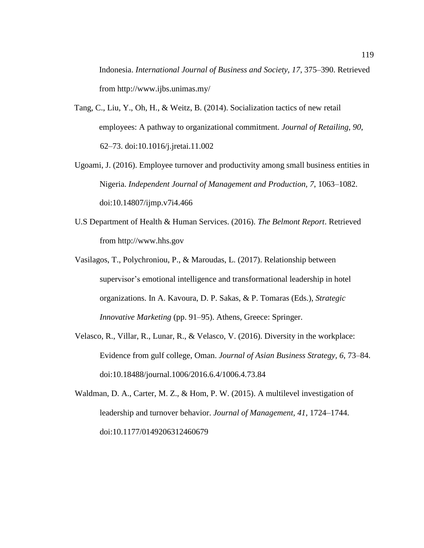Indonesia. *International Journal of Business and Society, 17*, 375–390. Retrieved from http://www.ijbs.unimas.my/

- Tang, C., Liu, Y., Oh, H., & Weitz, B. (2014). Socialization tactics of new retail employees: A pathway to organizational commitment. *Journal of Retailing, 90*, 62–73. doi:10.1016/j.jretai.11.002
- Ugoami, J. (2016). Employee turnover and productivity among small business entities in Nigeria. *Independent Journal of Management and Production, 7*, 1063–1082. doi:10.14807/ijmp.v7i4.466
- U.S Department of Health & Human Services. (2016). *The Belmont Report*. Retrieved from http://www.hhs.gov
- Vasilagos, T., Polychroniou, P., & Maroudas, L. (2017). Relationship between supervisor's emotional intelligence and transformational leadership in hotel organizations. In A. Kavoura, D. P. Sakas, & P. Tomaras (Eds.), *Strategic Innovative Marketing* (pp. 91–95). Athens, Greece: Springer.
- Velasco, R., Villar, R., Lunar, R., & Velasco, V. (2016). Diversity in the workplace: Evidence from gulf college, Oman. *Journal of Asian Business Strategy, 6*, 73–84. doi:10.18488/journal.1006/2016.6.4/1006.4.73.84
- Waldman, D. A., Carter, M. Z., & Hom, P. W. (2015). A multilevel investigation of leadership and turnover behavior. *Journal of Management, 41*, 1724–1744. doi:10.1177/0149206312460679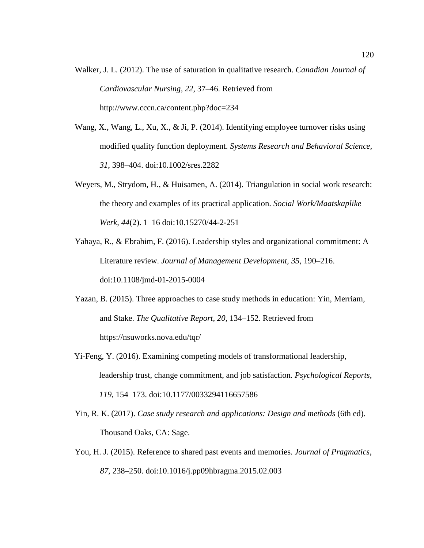- Walker, J. L. (2012). The use of saturation in qualitative research. *Canadian Journal of Cardiovascular Nursing, 22*, 37–46. Retrieved from http://www.cccn.ca/content.php?doc=234
- Wang, X., Wang, L., Xu, X., & Ji, P. (2014). Identifying employee turnover risks using modified quality function deployment. *Systems Research and Behavioral Science, 31*, 398–404. doi:10.1002/sres.2282
- Weyers, M., Strydom, H., & Huisamen, A. (2014). Triangulation in social work research: the theory and examples of its practical application. *Social Work/Maatskaplike Werk, 44*(2). 1–16 doi:10.15270/44-2-251
- Yahaya, R., & Ebrahim, F. (2016). Leadership styles and organizational commitment: A Literature review. *Journal of Management Development, 35,* 190–216. doi:10.1108/jmd-01-2015-0004
- Yazan, B. (2015). Three approaches to case study methods in education: Yin, Merriam, and Stake. *The Qualitative Report, 20*, 134–152. Retrieved from https://nsuworks.nova.edu/tqr/
- Yi-Feng, Y. (2016). Examining competing models of transformational leadership, leadership trust, change commitment, and job satisfaction. *Psychological Reports*, *119*, 154–173. doi:10.1177/0033294116657586
- Yin, R. K. (2017). *Case study research and applications: Design and methods* (6th ed). Thousand Oaks, CA: Sage.
- You, H. J. (2015). Reference to shared past events and memories. *Journal of Pragmatics*, *87*, 238–250. doi:10.1016/j.pp09hbragma.2015.02.003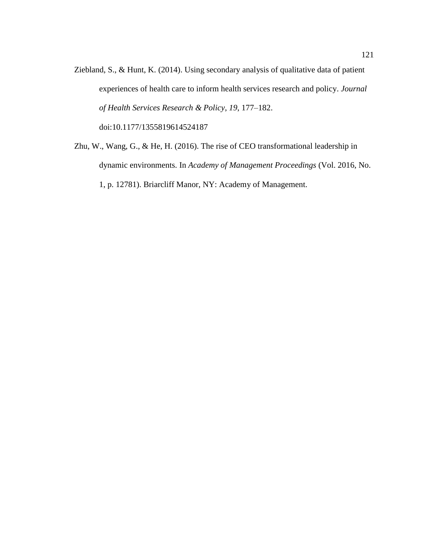- Ziebland, S., & Hunt, K. (2014). Using secondary analysis of qualitative data of patient experiences of health care to inform health services research and policy. *Journal of Health Services Research & Policy*, *19*, 177–182. doi:10.1177/1355819614524187
- Zhu, W., Wang, G., & He, H. (2016). The rise of CEO transformational leadership in dynamic environments. In *Academy of Management Proceedings* (Vol. 2016, No. 1, p. 12781). Briarcliff Manor, NY: Academy of Management.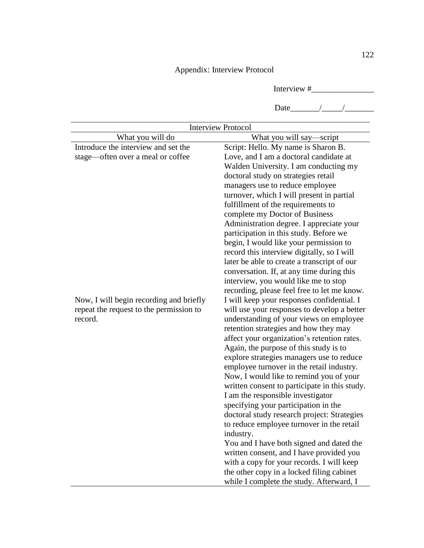## Appendix: Interview Protocol

Interview #\_\_\_\_\_\_\_\_\_\_\_\_\_\_\_

Date\_\_\_\_\_\_\_/\_\_\_\_\_/\_\_\_\_\_\_\_

| <b>Interview Protocol</b>               |                                                                            |
|-----------------------------------------|----------------------------------------------------------------------------|
| What you will do                        | What you will say—script                                                   |
| Introduce the interview and set the     | Script: Hello. My name is Sharon B.                                        |
| stage-often over a meal or coffee       | Love, and I am a doctoral candidate at                                     |
|                                         | Walden University. I am conducting my                                      |
|                                         | doctoral study on strategies retail                                        |
|                                         | managers use to reduce employee                                            |
|                                         | turnover, which I will present in partial                                  |
|                                         | fulfillment of the requirements to                                         |
|                                         | complete my Doctor of Business<br>Administration degree. I appreciate your |
|                                         | participation in this study. Before we                                     |
|                                         | begin, I would like your permission to                                     |
|                                         | record this interview digitally, so I will                                 |
|                                         | later be able to create a transcript of our                                |
|                                         | conversation. If, at any time during this                                  |
|                                         | interview, you would like me to stop                                       |
|                                         | recording, please feel free to let me know.                                |
| Now, I will begin recording and briefly | I will keep your responses confidential. I                                 |
| repeat the request to the permission to | will use your responses to develop a better                                |
| record.                                 | understanding of your views on employee                                    |
|                                         | retention strategies and how they may                                      |
|                                         | affect your organization's retention rates.                                |
|                                         | Again, the purpose of this study is to                                     |
|                                         | explore strategies managers use to reduce                                  |
|                                         | employee turnover in the retail industry.                                  |
|                                         | Now, I would like to remind you of your                                    |
|                                         | written consent to participate in this study.                              |
|                                         | I am the responsible investigator                                          |
|                                         | specifying your participation in the                                       |
|                                         | doctoral study research project: Strategies                                |
|                                         | to reduce employee turnover in the retail                                  |
|                                         | industry.                                                                  |
|                                         | You and I have both signed and dated the                                   |
|                                         | written consent, and I have provided you                                   |
|                                         | with a copy for your records. I will keep                                  |
|                                         | the other copy in a locked filing cabinet                                  |
|                                         | while I complete the study. Afterward, I                                   |